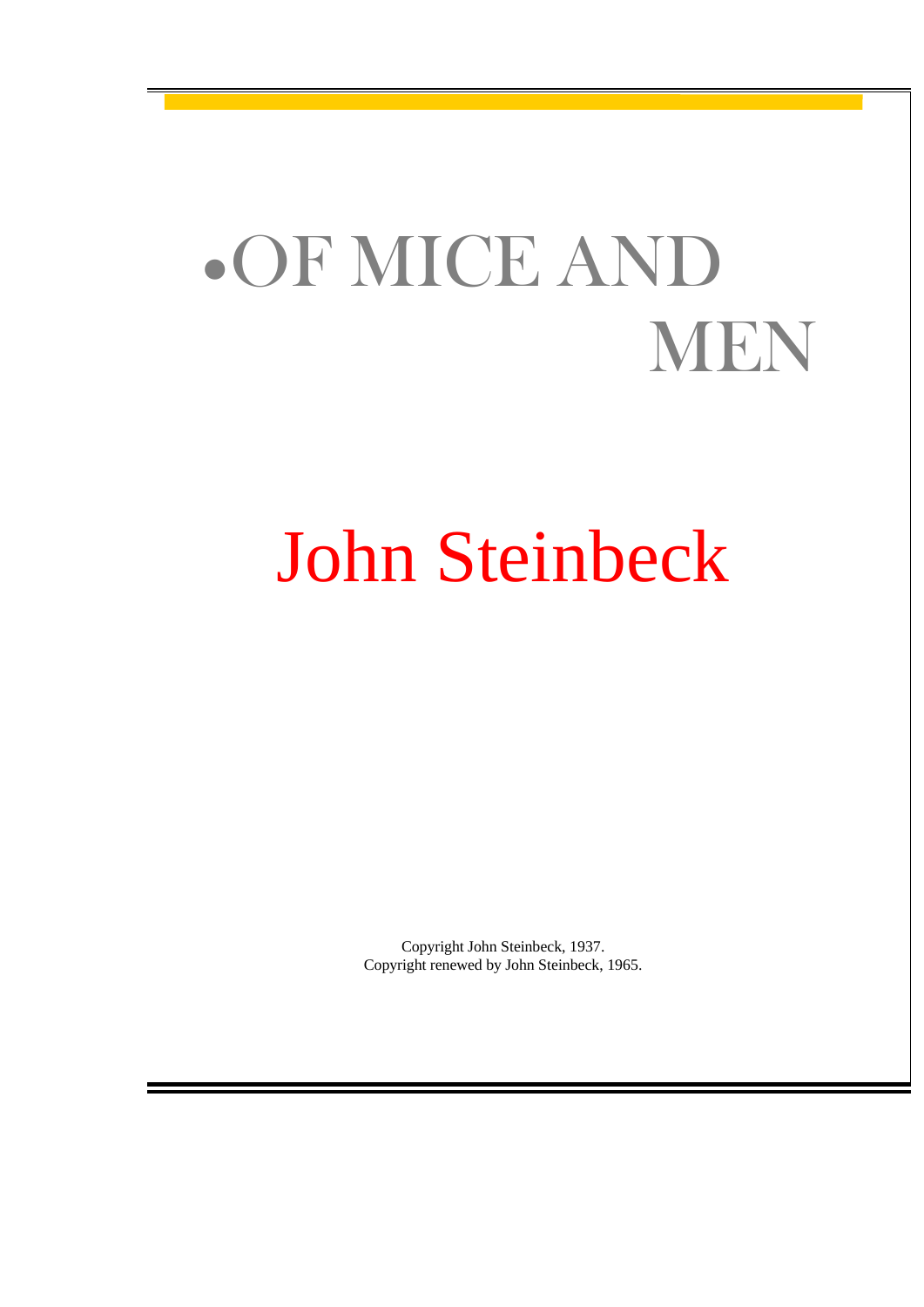## •OF MICE AND MEN

## John Steinbeck

Copyright John Steinbeck, 1937. Copyright renewed by John Steinbeck, 1965.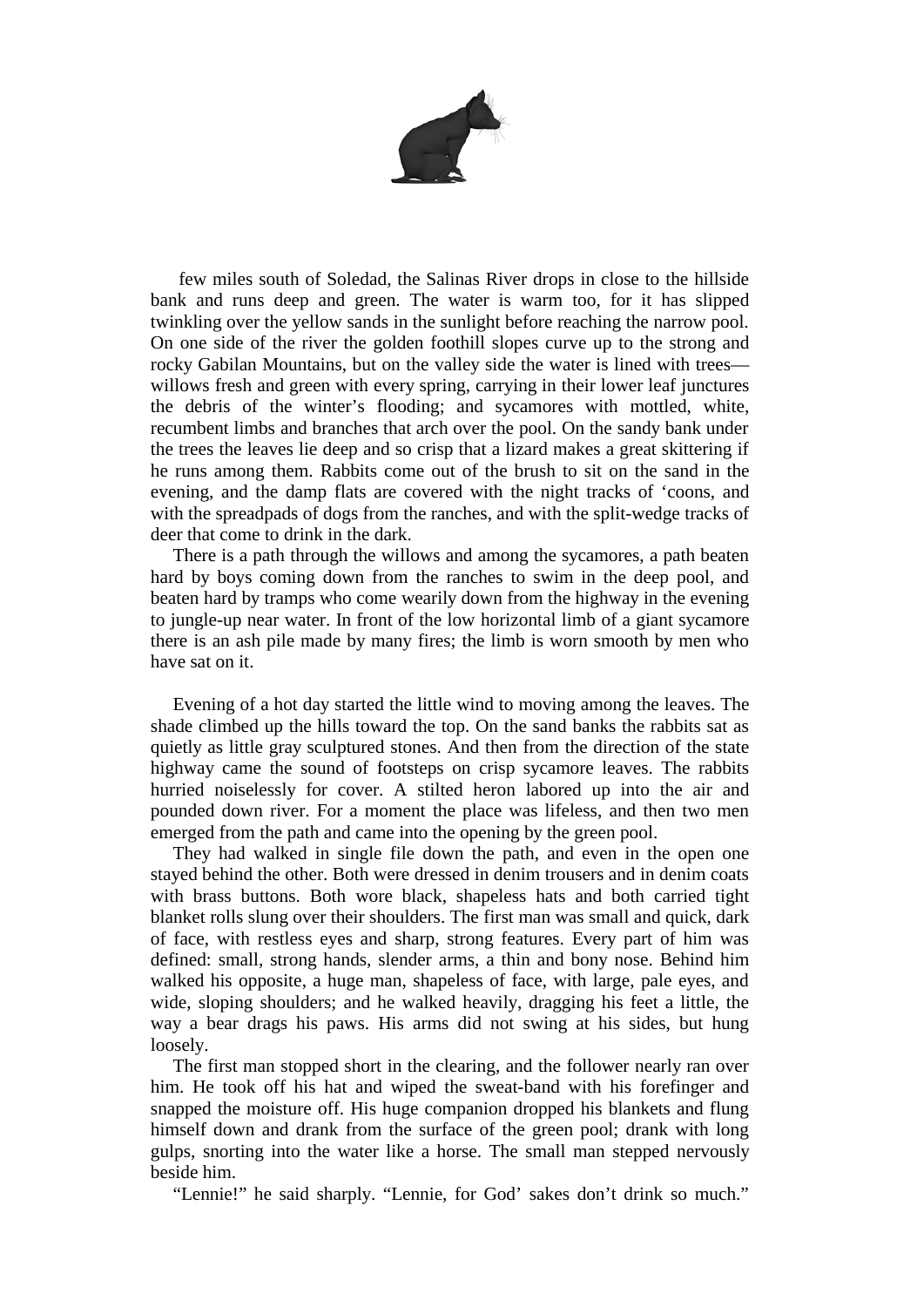

 few miles south of Soledad, the Salinas River drops in close to the hillside bank and runs deep and green. The water is warm too, for it has slipped twinkling over the yellow sands in the sunlight before reaching the narrow pool. On one side of the river the golden foothill slopes curve up to the strong and rocky Gabilan Mountains, but on the valley side the water is lined with trees willows fresh and green with every spring, carrying in their lower leaf junctures the debris of the winter's flooding; and sycamores with mottled, white, recumbent limbs and branches that arch over the pool. On the sandy bank under the trees the leaves lie deep and so crisp that a lizard makes a great skittering if he runs among them. Rabbits come out of the brush to sit on the sand in the evening, and the damp flats are covered with the night tracks of 'coons, and with the spreadpads of dogs from the ranches, and with the split-wedge tracks of deer that come to drink in the dark.

There is a path through the willows and among the sycamores, a path beaten hard by boys coming down from the ranches to swim in the deep pool, and beaten hard by tramps who come wearily down from the highway in the evening to jungle-up near water. In front of the low horizontal limb of a giant sycamore there is an ash pile made by many fires; the limb is worn smooth by men who have sat on it.

Evening of a hot day started the little wind to moving among the leaves. The shade climbed up the hills toward the top. On the sand banks the rabbits sat as quietly as little gray sculptured stones. And then from the direction of the state highway came the sound of footsteps on crisp sycamore leaves. The rabbits hurried noiselessly for cover. A stilted heron labored up into the air and pounded down river. For a moment the place was lifeless, and then two men emerged from the path and came into the opening by the green pool.

They had walked in single file down the path, and even in the open one stayed behind the other. Both were dressed in denim trousers and in denim coats with brass buttons. Both wore black, shapeless hats and both carried tight blanket rolls slung over their shoulders. The first man was small and quick, dark of face, with restless eyes and sharp, strong features. Every part of him was defined: small, strong hands, slender arms, a thin and bony nose. Behind him walked his opposite, a huge man, shapeless of face, with large, pale eyes, and wide, sloping shoulders; and he walked heavily, dragging his feet a little, the way a bear drags his paws. His arms did not swing at his sides, but hung loosely.

The first man stopped short in the clearing, and the follower nearly ran over him. He took off his hat and wiped the sweat-band with his forefinger and snapped the moisture off. His huge companion dropped his blankets and flung himself down and drank from the surface of the green pool; drank with long gulps, snorting into the water like a horse. The small man stepped nervously beside him.

"Lennie!" he said sharply. "Lennie, for God' sakes don't drink so much."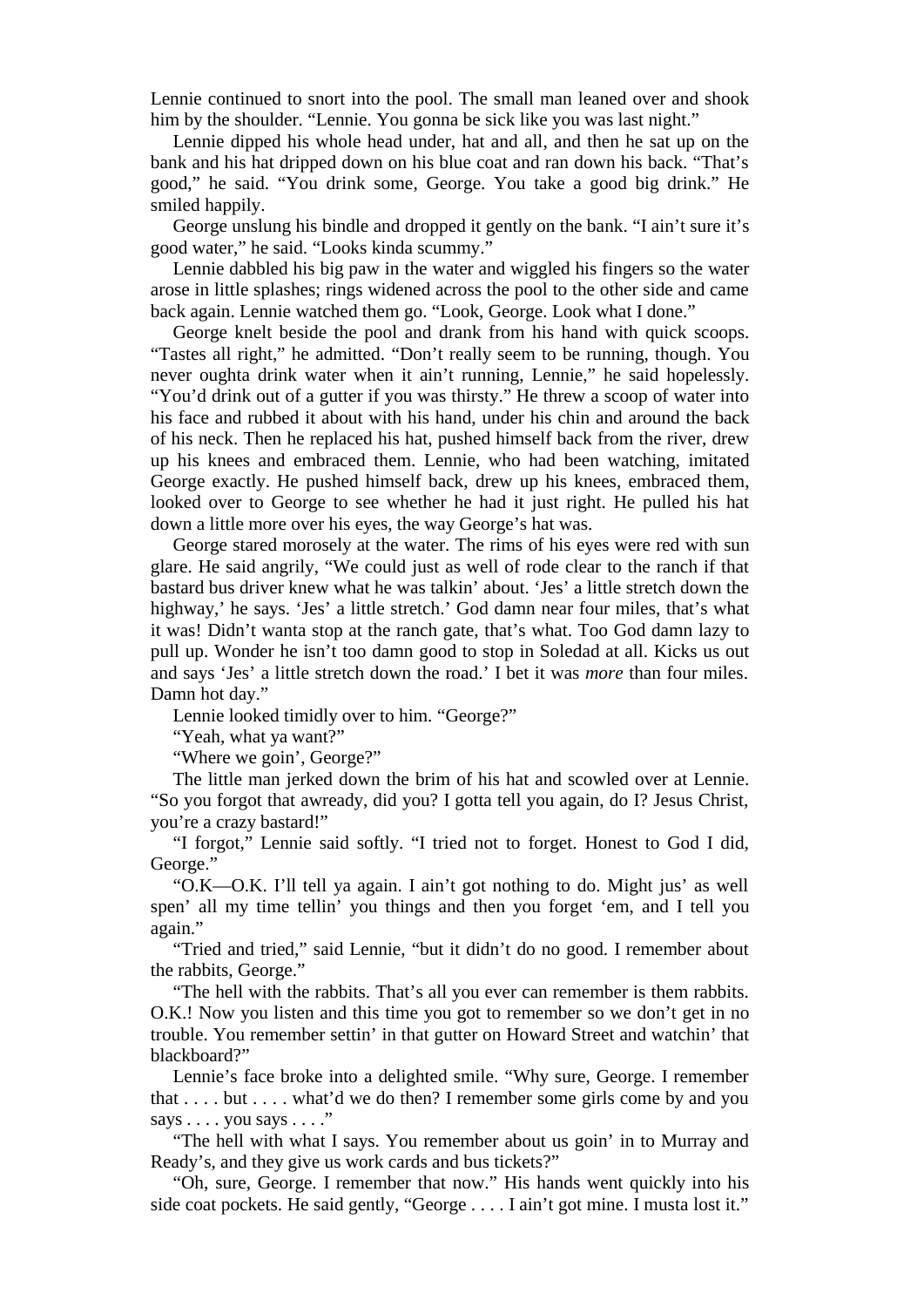Lennie continued to snort into the pool. The small man leaned over and shook him by the shoulder. "Lennie. You gonna be sick like you was last night."

Lennie dipped his whole head under, hat and all, and then he sat up on the bank and his hat dripped down on his blue coat and ran down his back. "That's good," he said. "You drink some, George. You take a good big drink." He smiled happily.

George unslung his bindle and dropped it gently on the bank. "I ain't sure it's good water," he said. "Looks kinda scummy."

Lennie dabbled his big paw in the water and wiggled his fingers so the water arose in little splashes; rings widened across the pool to the other side and came back again. Lennie watched them go. "Look, George. Look what I done."

George knelt beside the pool and drank from his hand with quick scoops. "Tastes all right," he admitted. "Don't really seem to be running, though. You never oughta drink water when it ain't running, Lennie," he said hopelessly. "You'd drink out of a gutter if you was thirsty." He threw a scoop of water into his face and rubbed it about with his hand, under his chin and around the back of his neck. Then he replaced his hat, pushed himself back from the river, drew up his knees and embraced them. Lennie, who had been watching, imitated George exactly. He pushed himself back, drew up his knees, embraced them, looked over to George to see whether he had it just right. He pulled his hat down a little more over his eyes, the way George's hat was.

George stared morosely at the water. The rims of his eyes were red with sun glare. He said angrily, "We could just as well of rode clear to the ranch if that bastard bus driver knew what he was talkin' about. 'Jes' a little stretch down the highway,' he says. 'Jes' a little stretch.' God damn near four miles, that's what it was! Didn't wanta stop at the ranch gate, that's what. Too God damn lazy to pull up. Wonder he isn't too damn good to stop in Soledad at all. Kicks us out and says 'Jes' a little stretch down the road.' I bet it was *more* than four miles. Damn hot day."

Lennie looked timidly over to him. "George?"

"Yeah, what ya want?"

"Where we goin', George?"

The little man jerked down the brim of his hat and scowled over at Lennie. "So you forgot that awready, did you? I gotta tell you again, do I? Jesus Christ, you're a crazy bastard!"

"I forgot," Lennie said softly. "I tried not to forget. Honest to God I did, George."

"O.K—O.K. I'll tell ya again. I ain't got nothing to do. Might jus' as well spen' all my time tellin' you things and then you forget 'em, and I tell you again."

"Tried and tried," said Lennie, "but it didn't do no good. I remember about the rabbits, George."

"The hell with the rabbits. That's all you ever can remember is them rabbits. O.K.! Now you listen and this time you got to remember so we don't get in no trouble. You remember settin' in that gutter on Howard Street and watchin' that blackboard?"

Lennie's face broke into a delighted smile. "Why sure, George. I remember that . . . . but . . . . what'd we do then? I remember some girls come by and you says . . . . you says . . . ."

"The hell with what I says. You remember about us goin' in to Murray and Ready's, and they give us work cards and bus tickets?"

"Oh, sure, George. I remember that now." His hands went quickly into his side coat pockets. He said gently, "George . . . . I ain't got mine. I musta lost it."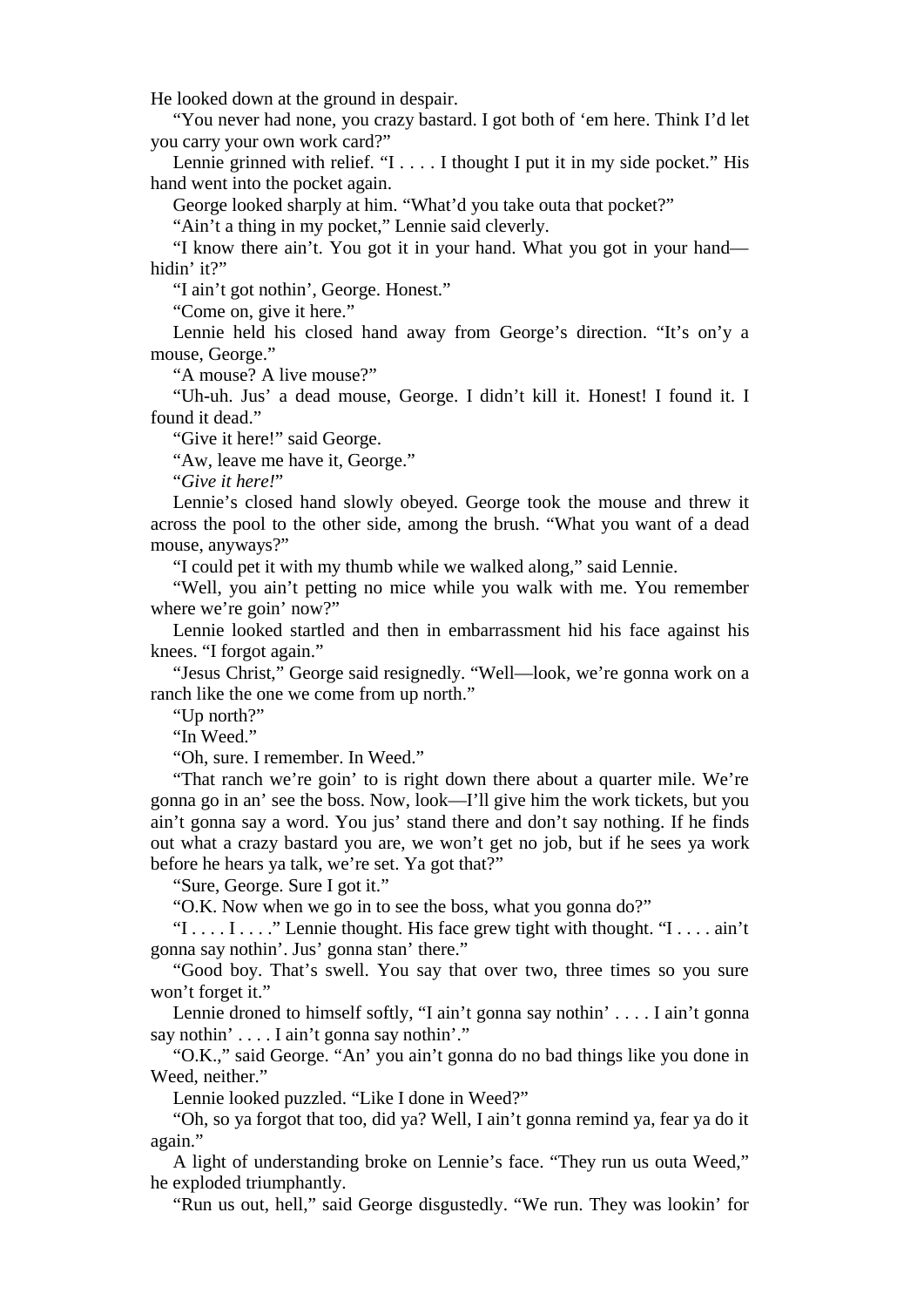He looked down at the ground in despair.

"You never had none, you crazy bastard. I got both of 'em here. Think I'd let you carry your own work card?"

Lennie grinned with relief. "I . . . . I thought I put it in my side pocket." His hand went into the pocket again.

George looked sharply at him. "What'd you take outa that pocket?"

"Ain't a thing in my pocket," Lennie said cleverly.

"I know there ain't. You got it in your hand. What you got in your hand hidin' it?"

"I ain't got nothin', George. Honest."

"Come on, give it here."

Lennie held his closed hand away from George's direction. "It's on'y a mouse, George."

"A mouse? A live mouse?"

"Uh-uh. Jus' a dead mouse, George. I didn't kill it. Honest! I found it. I found it dead."

"Give it here!" said George.

"Aw, leave me have it, George."

"*Give it here!*"

Lennie's closed hand slowly obeyed. George took the mouse and threw it across the pool to the other side, among the brush. "What you want of a dead mouse, anyways?"

"I could pet it with my thumb while we walked along," said Lennie.

"Well, you ain't petting no mice while you walk with me. You remember where we're goin' now?"

Lennie looked startled and then in embarrassment hid his face against his knees. "I forgot again."

"Jesus Christ," George said resignedly. "Well—look, we're gonna work on a ranch like the one we come from up north."

"Up north?"

"In Weed."

"Oh, sure. I remember. In Weed."

"That ranch we're goin' to is right down there about a quarter mile. We're gonna go in an' see the boss. Now, look—I'll give him the work tickets, but you ain't gonna say a word. You jus' stand there and don't say nothing. If he finds out what a crazy bastard you are, we won't get no job, but if he sees ya work before he hears ya talk, we're set. Ya got that?"

"Sure, George. Sure I got it."

"O.K. Now when we go in to see the boss, what you gonna do?"

" $I \ldots I \ldots$ ." Lennie thought. His face grew tight with thought. " $I \ldots$  ain't gonna say nothin'. Jus' gonna stan' there."

"Good boy. That's swell. You say that over two, three times so you sure won't forget it."

Lennie droned to himself softly, "I ain't gonna say nothin' ... . I ain't gonna say nothin' . . . . I ain't gonna say nothin'."

"O.K.," said George. "An' you ain't gonna do no bad things like you done in Weed, neither."

Lennie looked puzzled. "Like I done in Weed?"

"Oh, so ya forgot that too, did ya? Well, I ain't gonna remind ya, fear ya do it again."

A light of understanding broke on Lennie's face. "They run us outa Weed," he exploded triumphantly.

"Run us out, hell," said George disgustedly. "We run. They was lookin' for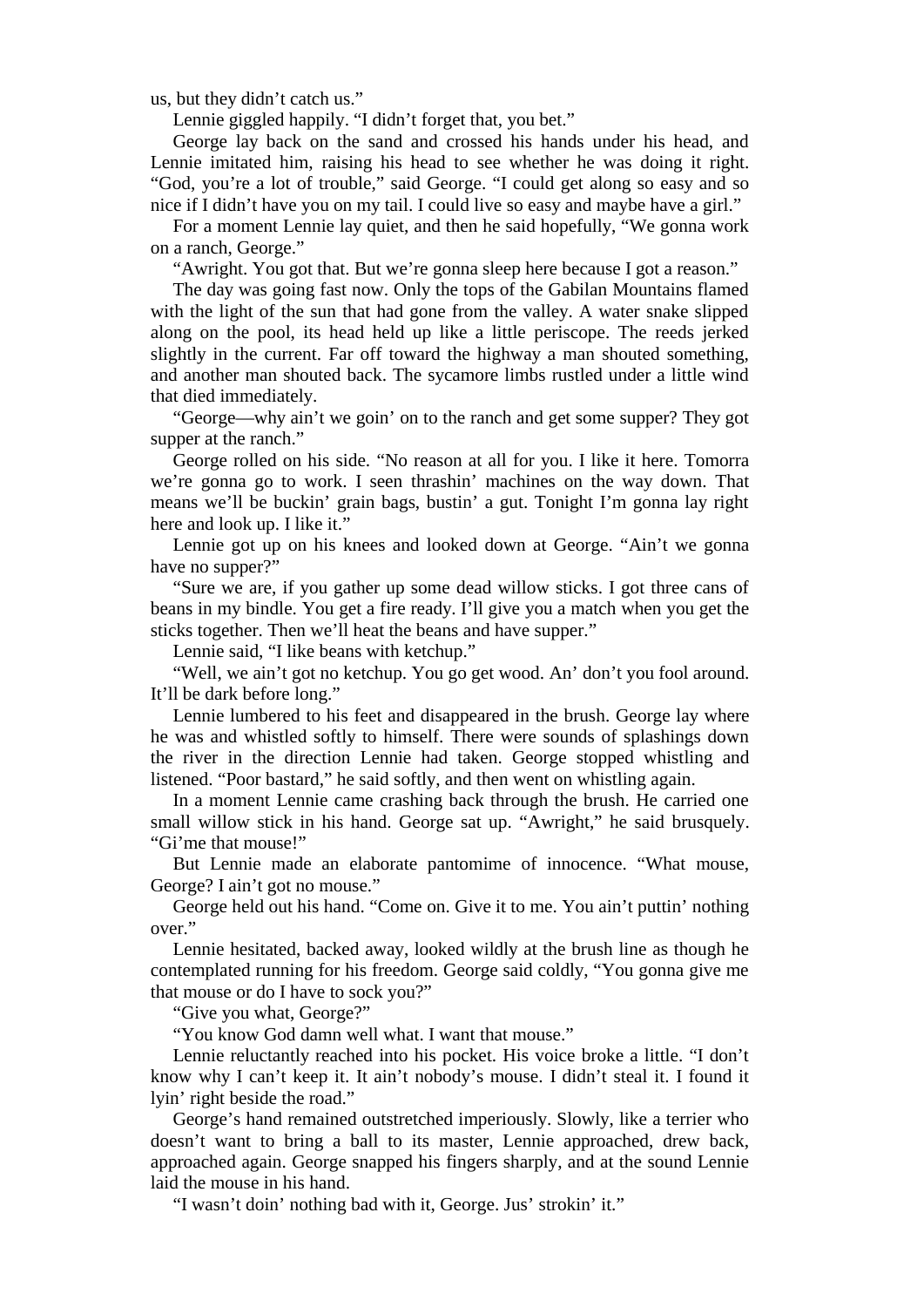us, but they didn't catch us."

Lennie giggled happily. "I didn't forget that, you bet."

George lay back on the sand and crossed his hands under his head, and Lennie imitated him, raising his head to see whether he was doing it right. "God, you're a lot of trouble," said George. "I could get along so easy and so nice if I didn't have you on my tail. I could live so easy and maybe have a girl."

For a moment Lennie lay quiet, and then he said hopefully, "We gonna work on a ranch, George."

"Awright. You got that. But we're gonna sleep here because I got a reason."

The day was going fast now. Only the tops of the Gabilan Mountains flamed with the light of the sun that had gone from the valley. A water snake slipped along on the pool, its head held up like a little periscope. The reeds jerked slightly in the current. Far off toward the highway a man shouted something, and another man shouted back. The sycamore limbs rustled under a little wind that died immediately.

"George—why ain't we goin' on to the ranch and get some supper? They got supper at the ranch."

George rolled on his side. "No reason at all for you. I like it here. Tomorra we're gonna go to work. I seen thrashin' machines on the way down. That means we'll be buckin' grain bags, bustin' a gut. Tonight I'm gonna lay right here and look up. I like it."

Lennie got up on his knees and looked down at George. "Ain't we gonna have no supper?"

"Sure we are, if you gather up some dead willow sticks. I got three cans of beans in my bindle. You get a fire ready. I'll give you a match when you get the sticks together. Then we'll heat the beans and have supper."

Lennie said, "I like beans with ketchup."

"Well, we ain't got no ketchup. You go get wood. An' don't you fool around. It'll be dark before long."

Lennie lumbered to his feet and disappeared in the brush. George lay where he was and whistled softly to himself. There were sounds of splashings down the river in the direction Lennie had taken. George stopped whistling and listened. "Poor bastard," he said softly, and then went on whistling again.

In a moment Lennie came crashing back through the brush. He carried one small willow stick in his hand. George sat up. "Awright," he said brusquely. "Gi'me that mouse!"

But Lennie made an elaborate pantomime of innocence. "What mouse, George? I ain't got no mouse."

George held out his hand. "Come on. Give it to me. You ain't puttin' nothing over."

Lennie hesitated, backed away, looked wildly at the brush line as though he contemplated running for his freedom. George said coldly, "You gonna give me that mouse or do I have to sock you?"

"Give you what, George?"

"You know God damn well what. I want that mouse."

Lennie reluctantly reached into his pocket. His voice broke a little. "I don't know why I can't keep it. It ain't nobody's mouse. I didn't steal it. I found it lyin' right beside the road."

George's hand remained outstretched imperiously. Slowly, like a terrier who doesn't want to bring a ball to its master, Lennie approached, drew back, approached again. George snapped his fingers sharply, and at the sound Lennie laid the mouse in his hand.

"I wasn't doin' nothing bad with it, George. Jus' strokin' it."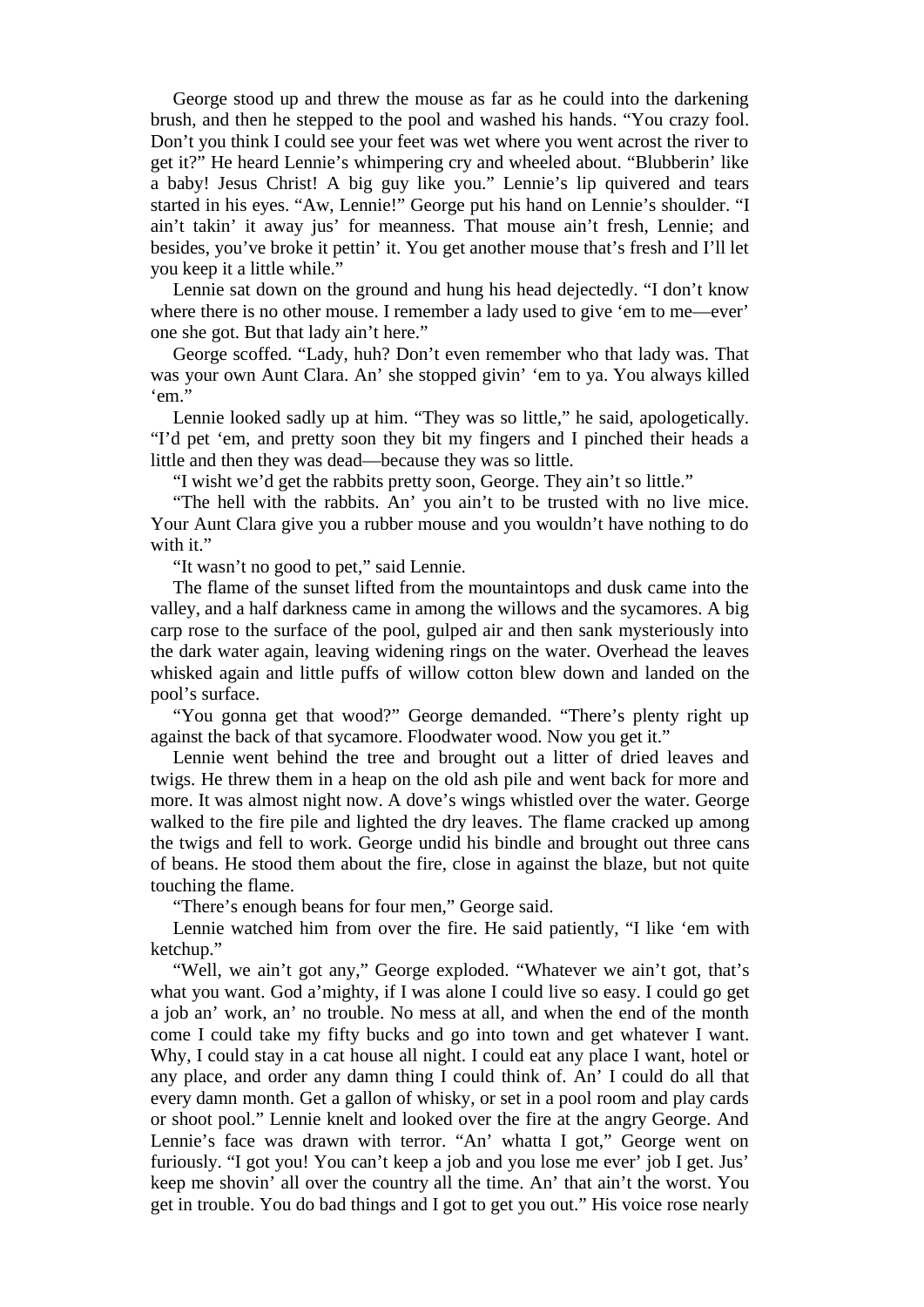George stood up and threw the mouse as far as he could into the darkening brush, and then he stepped to the pool and washed his hands. "You crazy fool. Don't you think I could see your feet was wet where you went acrost the river to get it?" He heard Lennie's whimpering cry and wheeled about. "Blubberin' like a baby! Jesus Christ! A big guy like you." Lennie's lip quivered and tears started in his eyes. "Aw, Lennie!" George put his hand on Lennie's shoulder. "I ain't takin' it away jus' for meanness. That mouse ain't fresh, Lennie; and besides, you've broke it pettin' it. You get another mouse that's fresh and I'll let you keep it a little while."

Lennie sat down on the ground and hung his head dejectedly. "I don't know where there is no other mouse. I remember a lady used to give 'em to me—ever' one she got. But that lady ain't here."

George scoffed. "Lady, huh? Don't even remember who that lady was. That was your own Aunt Clara. An' she stopped givin' 'em to ya. You always killed 'em."

Lennie looked sadly up at him. "They was so little," he said, apologetically. "I'd pet 'em, and pretty soon they bit my fingers and I pinched their heads a little and then they was dead—because they was so little.

"I wisht we'd get the rabbits pretty soon, George. They ain't so little."

"The hell with the rabbits. An' you ain't to be trusted with no live mice. Your Aunt Clara give you a rubber mouse and you wouldn't have nothing to do with it."

"It wasn't no good to pet," said Lennie.

The flame of the sunset lifted from the mountaintops and dusk came into the valley, and a half darkness came in among the willows and the sycamores. A big carp rose to the surface of the pool, gulped air and then sank mysteriously into the dark water again, leaving widening rings on the water. Overhead the leaves whisked again and little puffs of willow cotton blew down and landed on the pool's surface.

"You gonna get that wood?" George demanded. "There's plenty right up against the back of that sycamore. Floodwater wood. Now you get it."

Lennie went behind the tree and brought out a litter of dried leaves and twigs. He threw them in a heap on the old ash pile and went back for more and more. It was almost night now. A dove's wings whistled over the water. George walked to the fire pile and lighted the dry leaves. The flame cracked up among the twigs and fell to work. George undid his bindle and brought out three cans of beans. He stood them about the fire, close in against the blaze, but not quite touching the flame.

"There's enough beans for four men," George said.

Lennie watched him from over the fire. He said patiently, "I like 'em with ketchup."

"Well, we ain't got any," George exploded. "Whatever we ain't got, that's what you want. God a'mighty, if I was alone I could live so easy. I could go get a job an' work, an' no trouble. No mess at all, and when the end of the month come I could take my fifty bucks and go into town and get whatever I want. Why, I could stay in a cat house all night. I could eat any place I want, hotel or any place, and order any damn thing I could think of. An' I could do all that every damn month. Get a gallon of whisky, or set in a pool room and play cards or shoot pool." Lennie knelt and looked over the fire at the angry George. And Lennie's face was drawn with terror. "An' whatta I got," George went on furiously. "I got you! You can't keep a job and you lose me ever' job I get. Jus' keep me shovin' all over the country all the time. An' that ain't the worst. You get in trouble. You do bad things and I got to get you out." His voice rose nearly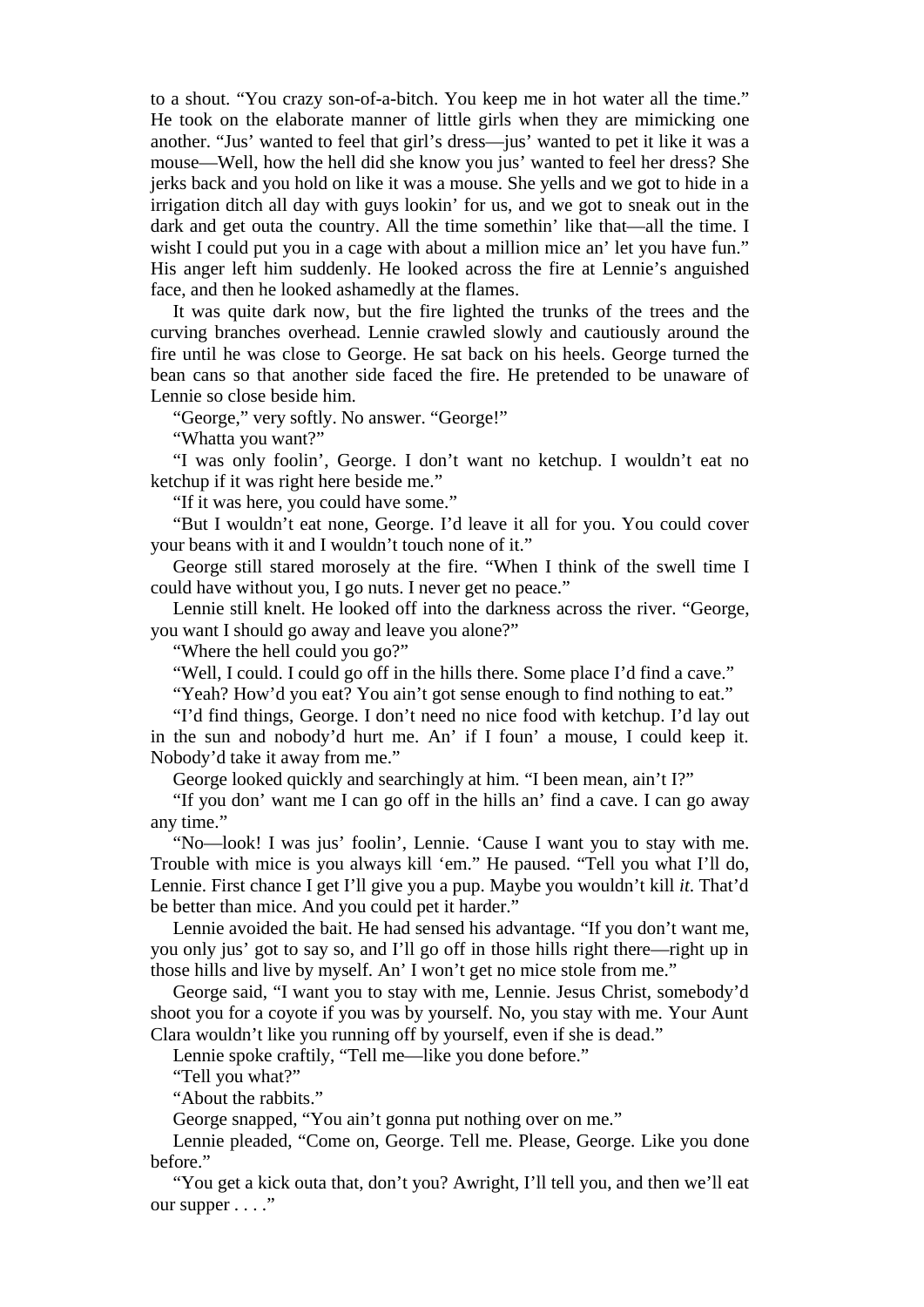to a shout. "You crazy son-of-a-bitch. You keep me in hot water all the time." He took on the elaborate manner of little girls when they are mimicking one another. "Jus' wanted to feel that girl's dress—jus' wanted to pet it like it was a mouse—Well, how the hell did she know you jus' wanted to feel her dress? She jerks back and you hold on like it was a mouse. She yells and we got to hide in a irrigation ditch all day with guys lookin' for us, and we got to sneak out in the dark and get outa the country. All the time somethin' like that—all the time. I wisht I could put you in a cage with about a million mice an' let you have fun." His anger left him suddenly. He looked across the fire at Lennie's anguished face, and then he looked ashamedly at the flames.

It was quite dark now, but the fire lighted the trunks of the trees and the curving branches overhead. Lennie crawled slowly and cautiously around the fire until he was close to George. He sat back on his heels. George turned the bean cans so that another side faced the fire. He pretended to be unaware of Lennie so close beside him.

"George," very softly. No answer. "George!"

"Whatta you want?"

"I was only foolin', George. I don't want no ketchup. I wouldn't eat no ketchup if it was right here beside me."

"If it was here, you could have some."

"But I wouldn't eat none, George. I'd leave it all for you. You could cover your beans with it and I wouldn't touch none of it."

George still stared morosely at the fire. "When I think of the swell time I could have without you, I go nuts. I never get no peace."

Lennie still knelt. He looked off into the darkness across the river. "George, you want I should go away and leave you alone?"

"Where the hell could you go?"

"Well, I could. I could go off in the hills there. Some place I'd find a cave."

"Yeah? How'd you eat? You ain't got sense enough to find nothing to eat."

"I'd find things, George. I don't need no nice food with ketchup. I'd lay out in the sun and nobody'd hurt me. An' if I foun' a mouse, I could keep it. Nobody'd take it away from me."

George looked quickly and searchingly at him. "I been mean, ain't I?"

"If you don' want me I can go off in the hills an' find a cave. I can go away any time."

"No—look! I was jus' foolin', Lennie. 'Cause I want you to stay with me. Trouble with mice is you always kill 'em." He paused. "Tell you what I'll do, Lennie. First chance I get I'll give you a pup. Maybe you wouldn't kill *it*. That'd be better than mice. And you could pet it harder."

Lennie avoided the bait. He had sensed his advantage. "If you don't want me, you only jus' got to say so, and I'll go off in those hills right there—right up in those hills and live by myself. An' I won't get no mice stole from me."

George said, "I want you to stay with me, Lennie. Jesus Christ, somebody'd shoot you for a coyote if you was by yourself. No, you stay with me. Your Aunt Clara wouldn't like you running off by yourself, even if she is dead."

Lennie spoke craftily, "Tell me—like you done before."

"Tell you what?"

"About the rabbits."

George snapped, "You ain't gonna put nothing over on me."

Lennie pleaded, "Come on, George. Tell me. Please, George. Like you done before."

"You get a kick outa that, don't you? Awright, I'll tell you, and then we'll eat our supper  $\dots$ ."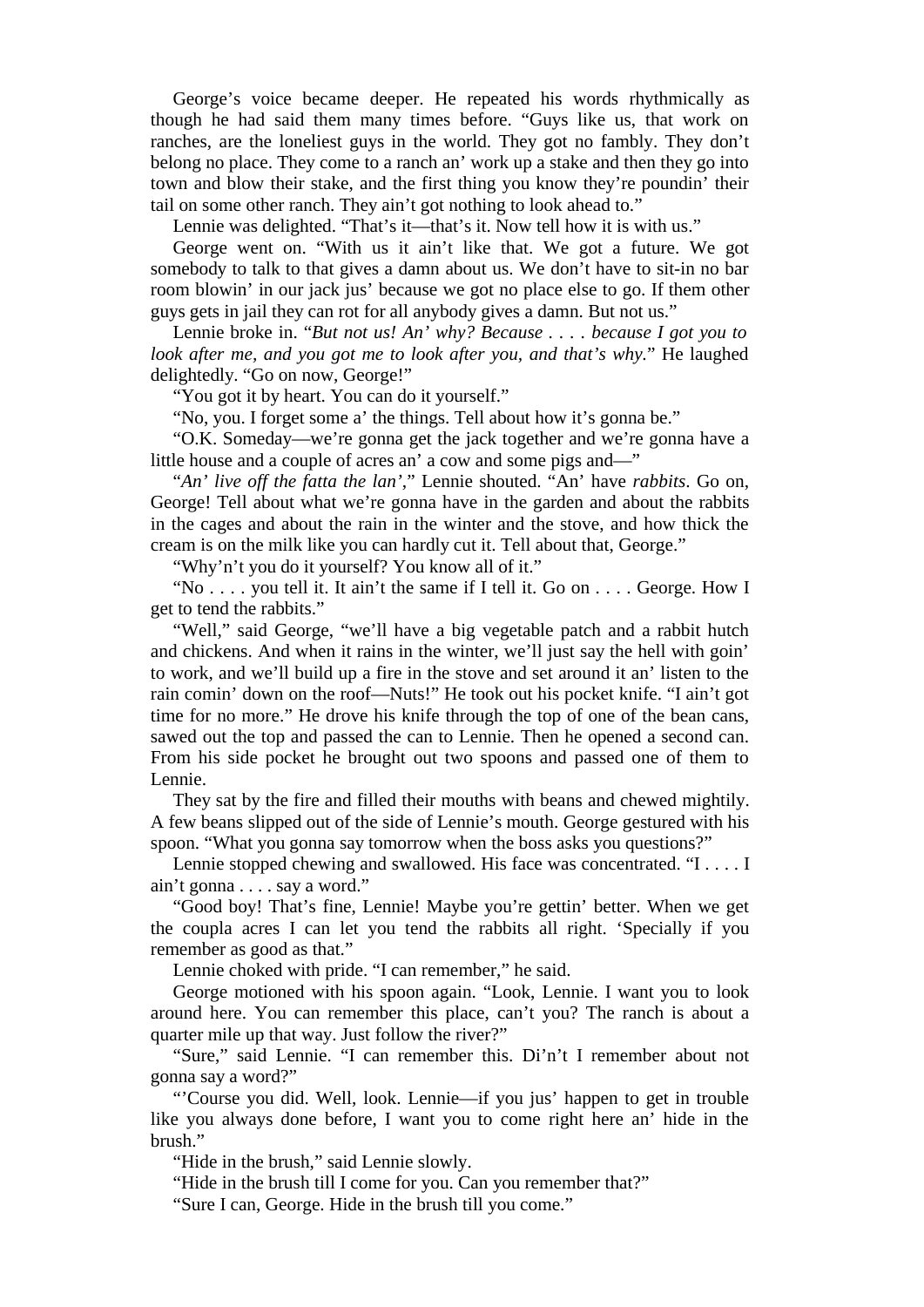George's voice became deeper. He repeated his words rhythmically as though he had said them many times before. "Guys like us, that work on ranches, are the loneliest guys in the world. They got no fambly. They don't belong no place. They come to a ranch an' work up a stake and then they go into town and blow their stake, and the first thing you know they're poundin' their tail on some other ranch. They ain't got nothing to look ahead to."

Lennie was delighted. "That's it—that's it. Now tell how it is with us."

George went on. "With us it ain't like that. We got a future. We got somebody to talk to that gives a damn about us. We don't have to sit-in no bar room blowin' in our jack jus' because we got no place else to go. If them other guys gets in jail they can rot for all anybody gives a damn. But not us."

Lennie broke in. "*But not us! An' why? Because . . . . because I got you to look after me, and you got me to look after you, and that's why.*" He laughed delightedly. "Go on now, George!"

"You got it by heart. You can do it yourself."

"No, you. I forget some a' the things. Tell about how it's gonna be."

"O.K. Someday—we're gonna get the jack together and we're gonna have a little house and a couple of acres an' a cow and some pigs and—"

"*An' live off the fatta the lan'*," Lennie shouted. "An' have *rabbits*. Go on, George! Tell about what we're gonna have in the garden and about the rabbits in the cages and about the rain in the winter and the stove, and how thick the cream is on the milk like you can hardly cut it. Tell about that, George."

"Why'n't you do it yourself? You know all of it."

"No . . . . you tell it. It ain't the same if I tell it. Go on . . . . George. How I get to tend the rabbits."

"Well," said George, "we'll have a big vegetable patch and a rabbit hutch and chickens. And when it rains in the winter, we'll just say the hell with goin' to work, and we'll build up a fire in the stove and set around it an' listen to the rain comin' down on the roof—Nuts!" He took out his pocket knife. "I ain't got time for no more." He drove his knife through the top of one of the bean cans, sawed out the top and passed the can to Lennie. Then he opened a second can. From his side pocket he brought out two spoons and passed one of them to Lennie.

They sat by the fire and filled their mouths with beans and chewed mightily. A few beans slipped out of the side of Lennie's mouth. George gestured with his spoon. "What you gonna say tomorrow when the boss asks you questions?"

Lennie stopped chewing and swallowed. His face was concentrated. "I.... I ain't gonna . . . . say a word."

"Good boy! That's fine, Lennie! Maybe you're gettin' better. When we get the coupla acres I can let you tend the rabbits all right. 'Specially if you remember as good as that."

Lennie choked with pride. "I can remember," he said.

George motioned with his spoon again. "Look, Lennie. I want you to look around here. You can remember this place, can't you? The ranch is about a quarter mile up that way. Just follow the river?"

"Sure," said Lennie. "I can remember this. Di'n't I remember about not gonna say a word?"

"'Course you did. Well, look. Lennie—if you jus' happen to get in trouble like you always done before, I want you to come right here an' hide in the brush."

"Hide in the brush," said Lennie slowly.

"Hide in the brush till I come for you. Can you remember that?"

"Sure I can, George. Hide in the brush till you come."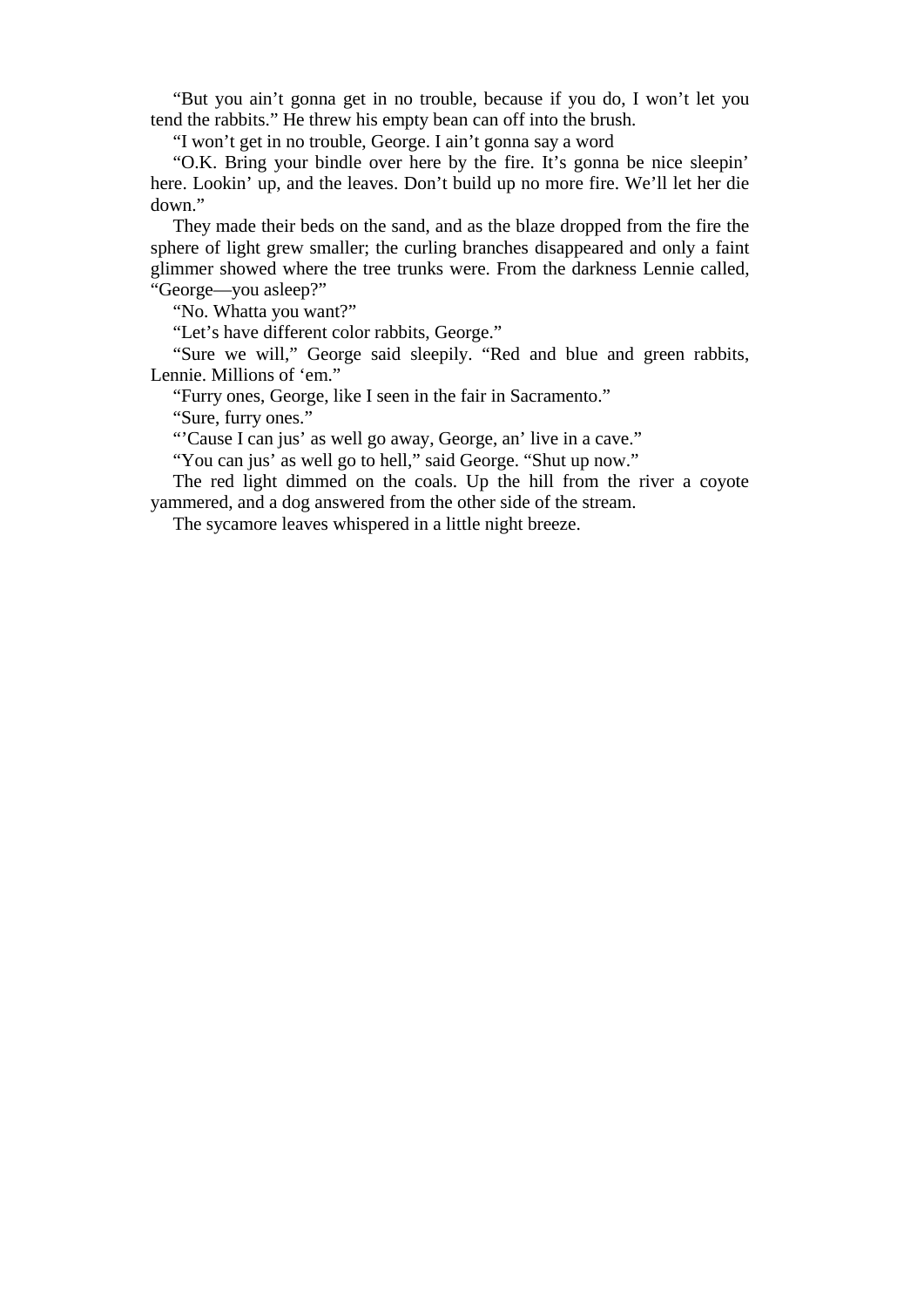"But you ain't gonna get in no trouble, because if you do, I won't let you tend the rabbits." He threw his empty bean can off into the brush.

"I won't get in no trouble, George. I ain't gonna say a word

"O.K. Bring your bindle over here by the fire. It's gonna be nice sleepin' here. Lookin' up, and the leaves. Don't build up no more fire. We'll let her die down."

They made their beds on the sand, and as the blaze dropped from the fire the sphere of light grew smaller; the curling branches disappeared and only a faint glimmer showed where the tree trunks were. From the darkness Lennie called, "George—you asleep?"

"No. Whatta you want?"

"Let's have different color rabbits, George."

"Sure we will," George said sleepily. "Red and blue and green rabbits, Lennie. Millions of 'em."

"Furry ones, George, like I seen in the fair in Sacramento."

"Sure, furry ones."

"'Cause I can jus' as well go away, George, an' live in a cave."

"You can jus' as well go to hell," said George. "Shut up now."

The red light dimmed on the coals. Up the hill from the river a coyote yammered, and a dog answered from the other side of the stream.

The sycamore leaves whispered in a little night breeze.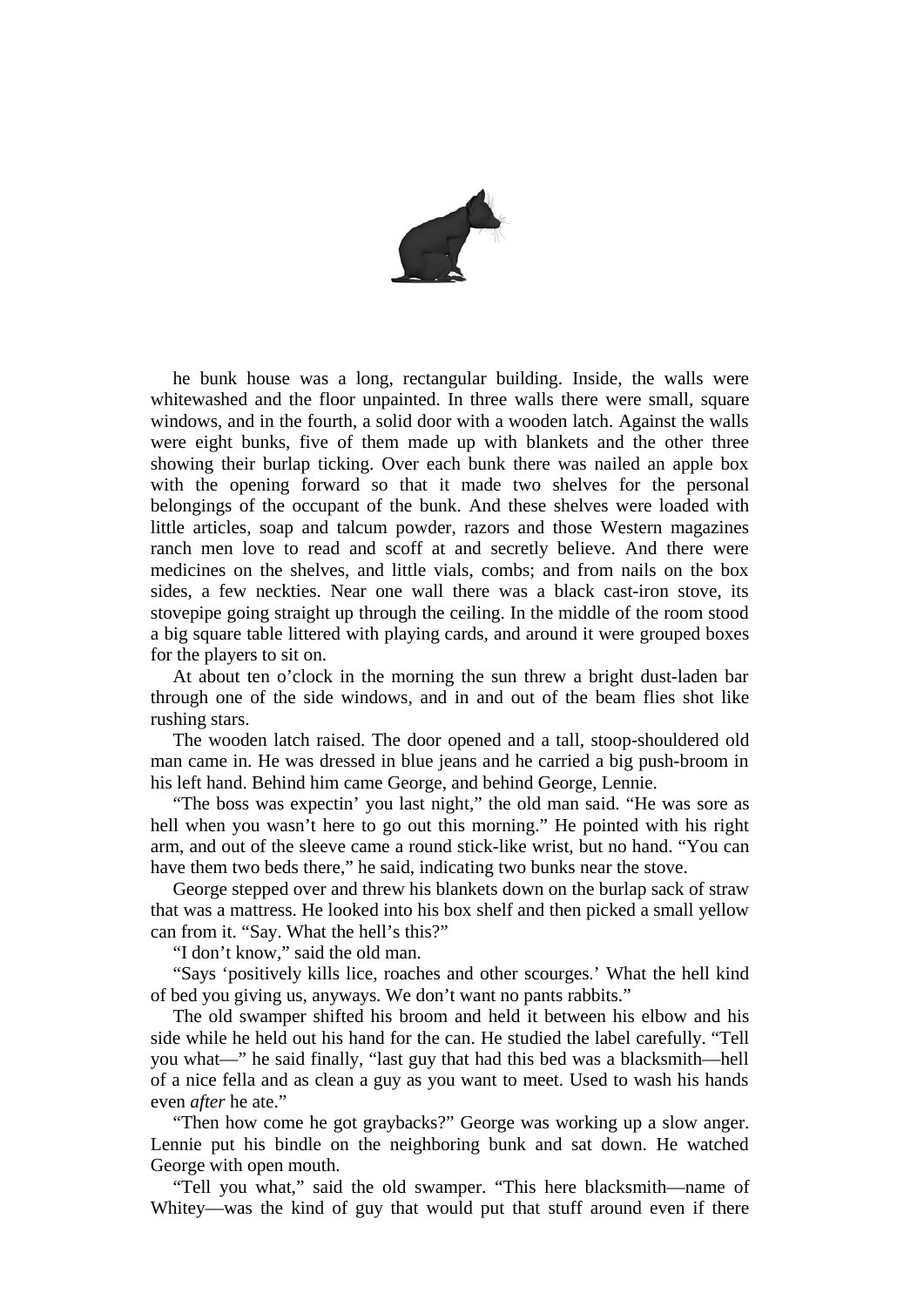

he bunk house was a long, rectangular building. Inside, the walls were whitewashed and the floor unpainted. In three walls there were small, square windows, and in the fourth, a solid door with a wooden latch. Against the walls were eight bunks, five of them made up with blankets and the other three showing their burlap ticking. Over each bunk there was nailed an apple box with the opening forward so that it made two shelves for the personal belongings of the occupant of the bunk. And these shelves were loaded with little articles, soap and talcum powder, razors and those Western magazines ranch men love to read and scoff at and secretly believe. And there were medicines on the shelves, and little vials, combs; and from nails on the box sides, a few neckties. Near one wall there was a black cast-iron stove, its stovepipe going straight up through the ceiling. In the middle of the room stood a big square table littered with playing cards, and around it were grouped boxes for the players to sit on.

At about ten o'clock in the morning the sun threw a bright dust-laden bar through one of the side windows, and in and out of the beam flies shot like rushing stars.

The wooden latch raised. The door opened and a tall, stoop-shouldered old man came in. He was dressed in blue jeans and he carried a big push-broom in his left hand. Behind him came George, and behind George, Lennie.

"The boss was expectin' you last night," the old man said. "He was sore as hell when you wasn't here to go out this morning." He pointed with his right arm, and out of the sleeve came a round stick-like wrist, but no hand. "You can have them two beds there," he said, indicating two bunks near the stove.

George stepped over and threw his blankets down on the burlap sack of straw that was a mattress. He looked into his box shelf and then picked a small yellow can from it. "Say. What the hell's this?"

"I don't know," said the old man.

"Says 'positively kills lice, roaches and other scourges.' What the hell kind of bed you giving us, anyways. We don't want no pants rabbits."

The old swamper shifted his broom and held it between his elbow and his side while he held out his hand for the can. He studied the label carefully. "Tell you what—" he said finally, "last guy that had this bed was a blacksmith—hell of a nice fella and as clean a guy as you want to meet. Used to wash his hands even *after* he ate."

"Then how come he got graybacks?" George was working up a slow anger. Lennie put his bindle on the neighboring bunk and sat down. He watched George with open mouth.

"Tell you what," said the old swamper. "This here blacksmith—name of Whitey—was the kind of guy that would put that stuff around even if there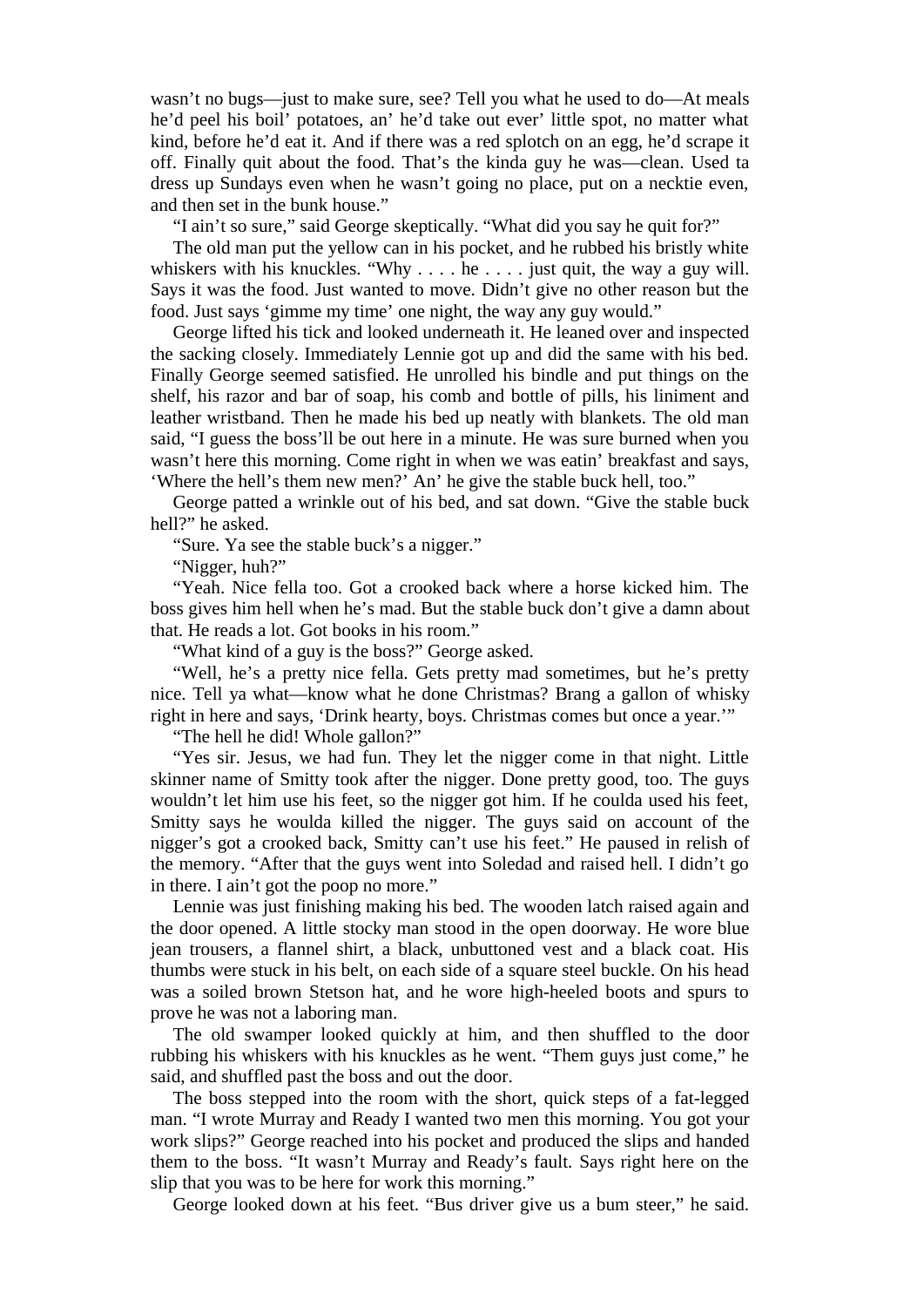wasn't no bugs—just to make sure, see? Tell you what he used to do—At meals he'd peel his boil' potatoes, an' he'd take out ever' little spot, no matter what kind, before he'd eat it. And if there was a red splotch on an egg, he'd scrape it off. Finally quit about the food. That's the kinda guy he was—clean. Used ta dress up Sundays even when he wasn't going no place, put on a necktie even, and then set in the bunk house."

"I ain't so sure," said George skeptically. "What did you say he quit for?"

The old man put the yellow can in his pocket, and he rubbed his bristly white whiskers with his knuckles. "Why  $\dots$  he  $\dots$  just quit, the way a guy will. Says it was the food. Just wanted to move. Didn't give no other reason but the food. Just says 'gimme my time' one night, the way any guy would."

George lifted his tick and looked underneath it. He leaned over and inspected the sacking closely. Immediately Lennie got up and did the same with his bed. Finally George seemed satisfied. He unrolled his bindle and put things on the shelf, his razor and bar of soap, his comb and bottle of pills, his liniment and leather wristband. Then he made his bed up neatly with blankets. The old man said, "I guess the boss'll be out here in a minute. He was sure burned when you wasn't here this morning. Come right in when we was eatin' breakfast and says, 'Where the hell's them new men?' An' he give the stable buck hell, too."

George patted a wrinkle out of his bed, and sat down. "Give the stable buck hell?" he asked.

"Sure. Ya see the stable buck's a nigger."

"Nigger, huh?"

"Yeah. Nice fella too. Got a crooked back where a horse kicked him. The boss gives him hell when he's mad. But the stable buck don't give a damn about that. He reads a lot. Got books in his room."

"What kind of a guy is the boss?" George asked.

"Well, he's a pretty nice fella. Gets pretty mad sometimes, but he's pretty nice. Tell ya what—know what he done Christmas? Brang a gallon of whisky right in here and says, 'Drink hearty, boys. Christmas comes but once a year.'"

"The hell he did! Whole gallon?"

"Yes sir. Jesus, we had fun. They let the nigger come in that night. Little skinner name of Smitty took after the nigger. Done pretty good, too. The guys wouldn't let him use his feet, so the nigger got him. If he coulda used his feet, Smitty says he woulda killed the nigger. The guys said on account of the nigger's got a crooked back, Smitty can't use his feet." He paused in relish of the memory. "After that the guys went into Soledad and raised hell. I didn't go in there. I ain't got the poop no more."

Lennie was just finishing making his bed. The wooden latch raised again and the door opened. A little stocky man stood in the open doorway. He wore blue jean trousers, a flannel shirt, a black, unbuttoned vest and a black coat. His thumbs were stuck in his belt, on each side of a square steel buckle. On his head was a soiled brown Stetson hat, and he wore high-heeled boots and spurs to prove he was not a laboring man.

The old swamper looked quickly at him, and then shuffled to the door rubbing his whiskers with his knuckles as he went. "Them guys just come," he said, and shuffled past the boss and out the door.

The boss stepped into the room with the short, quick steps of a fat-legged man. "I wrote Murray and Ready I wanted two men this morning. You got your work slips?" George reached into his pocket and produced the slips and handed them to the boss. "It wasn't Murray and Ready's fault. Says right here on the slip that you was to be here for work this morning."

George looked down at his feet. "Bus driver give us a bum steer," he said.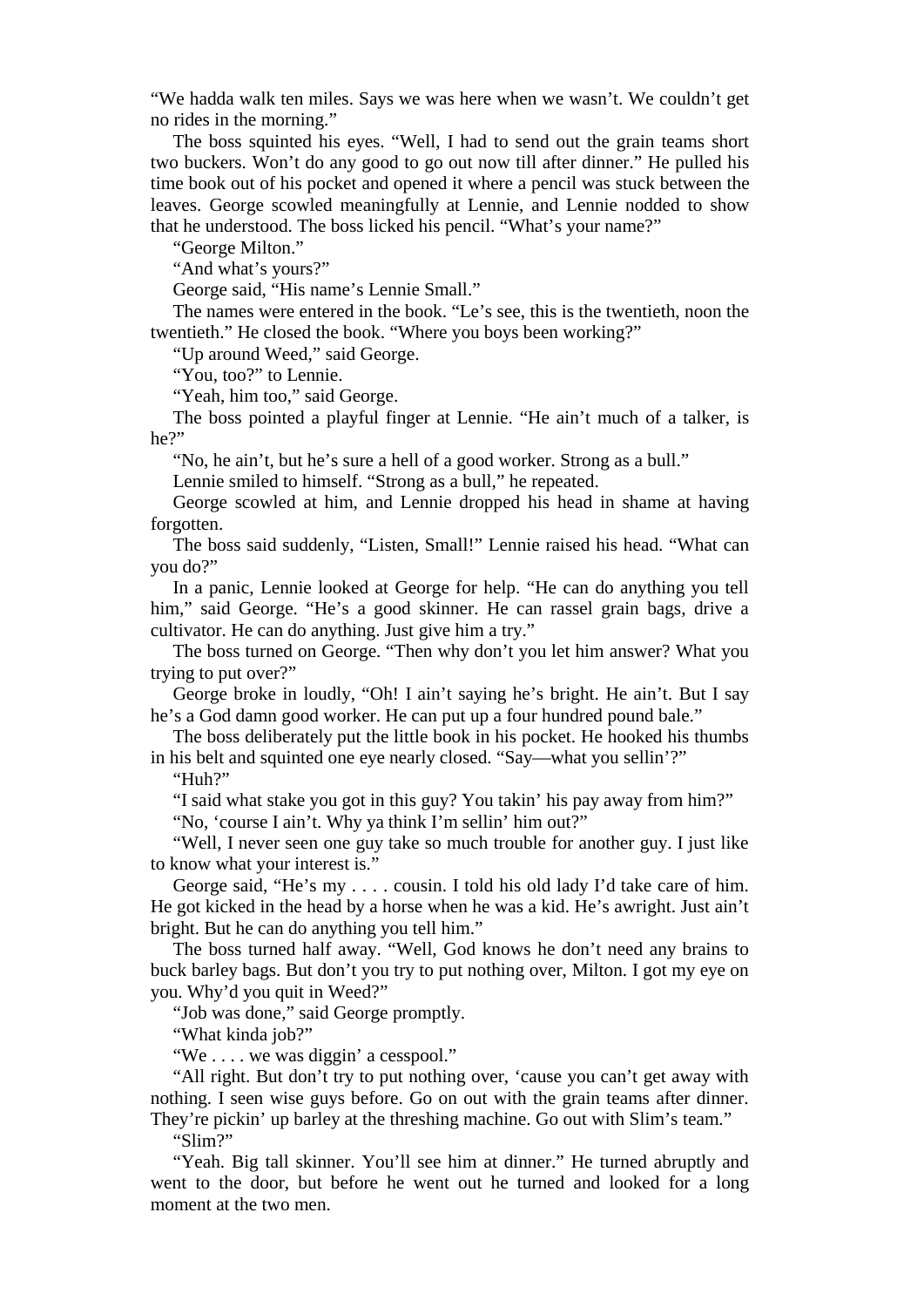"We hadda walk ten miles. Says we was here when we wasn't. We couldn't get no rides in the morning."

The boss squinted his eyes. "Well, I had to send out the grain teams short two buckers. Won't do any good to go out now till after dinner." He pulled his time book out of his pocket and opened it where a pencil was stuck between the leaves. George scowled meaningfully at Lennie, and Lennie nodded to show that he understood. The boss licked his pencil. "What's your name?"

"George Milton."

"And what's yours?"

George said, "His name's Lennie Small."

The names were entered in the book. "Le's see, this is the twentieth, noon the twentieth." He closed the book. "Where you boys been working?"

"Up around Weed," said George.

"You, too?" to Lennie.

"Yeah, him too," said George.

The boss pointed a playful finger at Lennie. "He ain't much of a talker, is he?"

"No, he ain't, but he's sure a hell of a good worker. Strong as a bull."

Lennie smiled to himself. "Strong as a bull," he repeated.

George scowled at him, and Lennie dropped his head in shame at having forgotten.

The boss said suddenly, "Listen, Small!" Lennie raised his head. "What can you do?"

In a panic, Lennie looked at George for help. "He can do anything you tell him," said George. "He's a good skinner. He can rassel grain bags, drive a cultivator. He can do anything. Just give him a try."

The boss turned on George. "Then why don't you let him answer? What you trying to put over?"

George broke in loudly, "Oh! I ain't saying he's bright. He ain't. But I say he's a God damn good worker. He can put up a four hundred pound bale."

The boss deliberately put the little book in his pocket. He hooked his thumbs in his belt and squinted one eye nearly closed. "Say—what you sellin'?"

"Huh?"

"I said what stake you got in this guy? You takin' his pay away from him?"

"No, 'course I ain't. Why ya think I'm sellin' him out?"

"Well, I never seen one guy take so much trouble for another guy. I just like to know what your interest is."

George said, "He's my . . . . cousin. I told his old lady I'd take care of him. He got kicked in the head by a horse when he was a kid. He's awright. Just ain't bright. But he can do anything you tell him."

The boss turned half away. "Well, God knows he don't need any brains to buck barley bags. But don't you try to put nothing over, Milton. I got my eye on you. Why'd you quit in Weed?"

"Job was done," said George promptly.

"What kinda job?"

"We . . . . we was diggin' a cesspool."

"All right. But don't try to put nothing over, 'cause you can't get away with nothing. I seen wise guys before. Go on out with the grain teams after dinner. They're pickin' up barley at the threshing machine. Go out with Slim's team."

"Slim?"

"Yeah. Big tall skinner. You'll see him at dinner." He turned abruptly and went to the door, but before he went out he turned and looked for a long moment at the two men.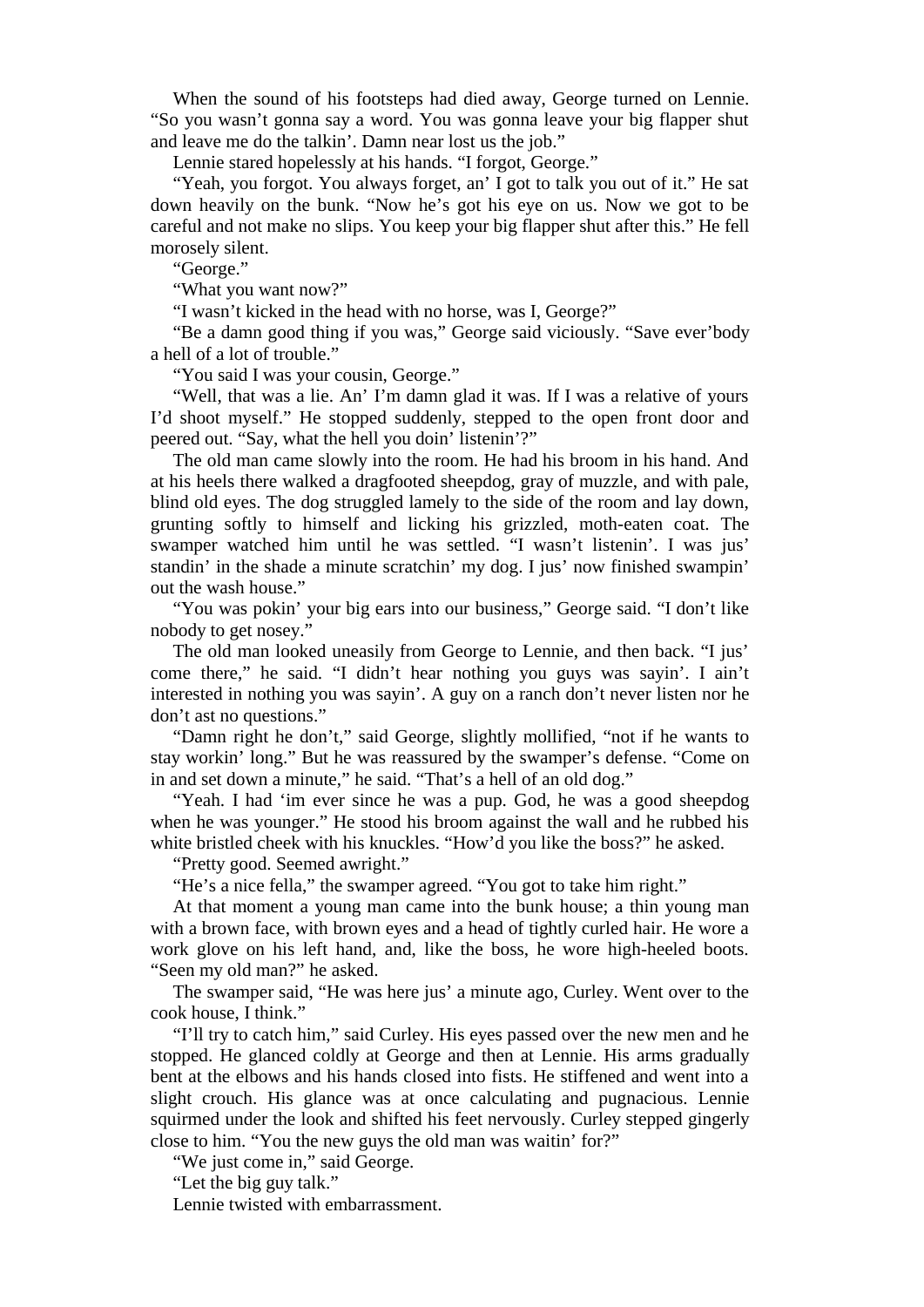When the sound of his footsteps had died away, George turned on Lennie. "So you wasn't gonna say a word. You was gonna leave your big flapper shut and leave me do the talkin'. Damn near lost us the job."

Lennie stared hopelessly at his hands. "I forgot, George."

"Yeah, you forgot. You always forget, an' I got to talk you out of it." He sat down heavily on the bunk. "Now he's got his eye on us. Now we got to be careful and not make no slips. You keep your big flapper shut after this." He fell morosely silent.

"George."

"What you want now?"

"I wasn't kicked in the head with no horse, was I, George?"

"Be a damn good thing if you was," George said viciously. "Save ever'body a hell of a lot of trouble."

"You said I was your cousin, George."

"Well, that was a lie. An' I'm damn glad it was. If I was a relative of yours I'd shoot myself." He stopped suddenly, stepped to the open front door and peered out. "Say, what the hell you doin' listenin'?"

The old man came slowly into the room. He had his broom in his hand. And at his heels there walked a dragfooted sheepdog, gray of muzzle, and with pale, blind old eyes. The dog struggled lamely to the side of the room and lay down, grunting softly to himself and licking his grizzled, moth-eaten coat. The swamper watched him until he was settled. "I wasn't listenin'. I was jus' standin' in the shade a minute scratchin' my dog. I jus' now finished swampin' out the wash house."

"You was pokin' your big ears into our business," George said. "I don't like nobody to get nosey."

The old man looked uneasily from George to Lennie, and then back. "I jus' come there," he said. "I didn't hear nothing you guys was sayin'. I ain't interested in nothing you was sayin'. A guy on a ranch don't never listen nor he don't ast no questions."

"Damn right he don't," said George, slightly mollified, "not if he wants to stay workin' long." But he was reassured by the swamper's defense. "Come on in and set down a minute," he said. "That's a hell of an old dog."

"Yeah. I had 'im ever since he was a pup. God, he was a good sheepdog when he was younger." He stood his broom against the wall and he rubbed his white bristled cheek with his knuckles. "How'd you like the boss?" he asked.

"Pretty good. Seemed awright."

"He's a nice fella," the swamper agreed. "You got to take him right."

At that moment a young man came into the bunk house; a thin young man with a brown face, with brown eyes and a head of tightly curled hair. He wore a work glove on his left hand, and, like the boss, he wore high-heeled boots. "Seen my old man?" he asked.

The swamper said, "He was here jus' a minute ago, Curley. Went over to the cook house, I think."

"I'll try to catch him," said Curley. His eyes passed over the new men and he stopped. He glanced coldly at George and then at Lennie. His arms gradually bent at the elbows and his hands closed into fists. He stiffened and went into a slight crouch. His glance was at once calculating and pugnacious. Lennie squirmed under the look and shifted his feet nervously. Curley stepped gingerly close to him. "You the new guys the old man was waitin' for?"

"We just come in," said George.

"Let the big guy talk."

Lennie twisted with embarrassment.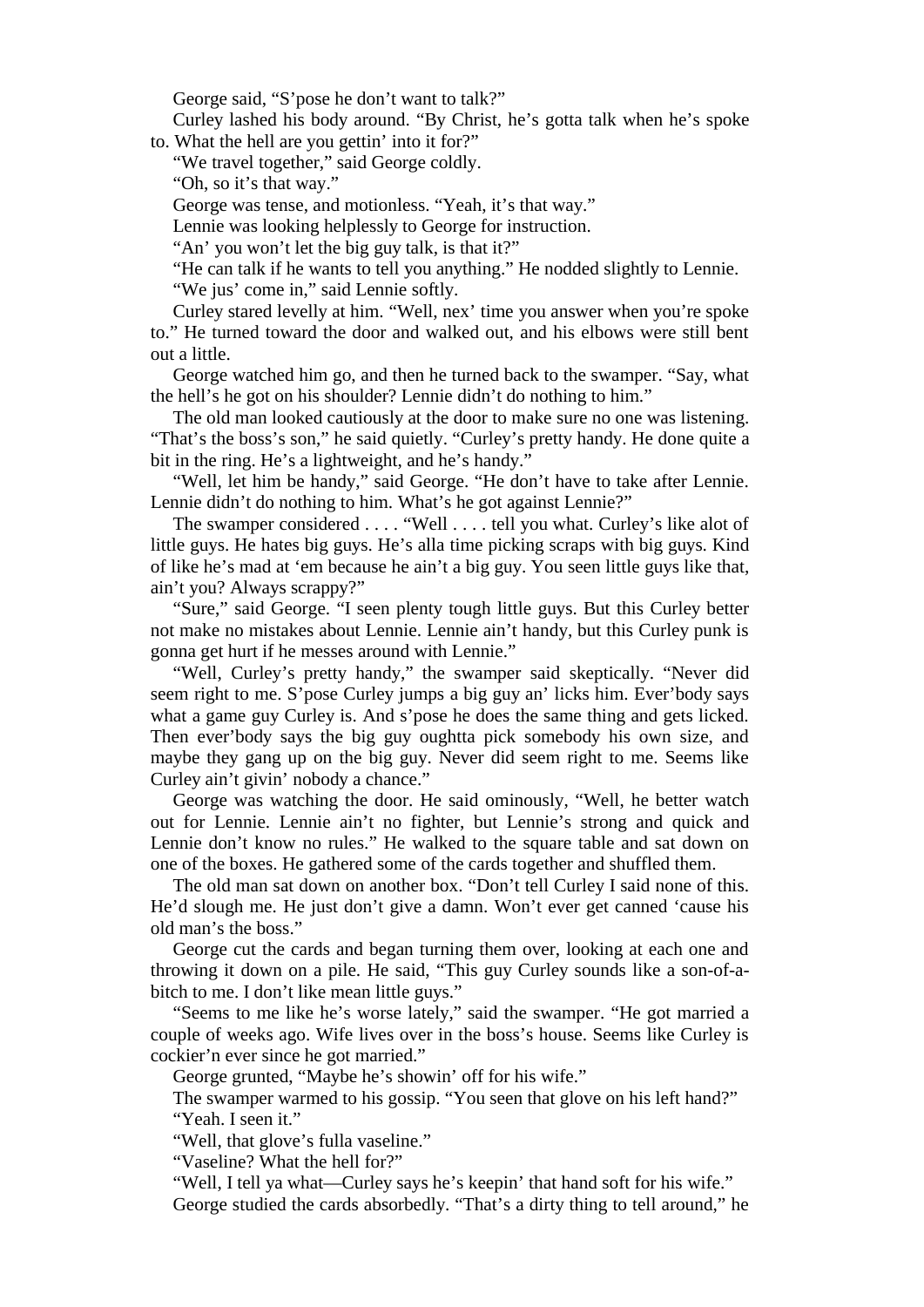George said, "S'pose he don't want to talk?"

Curley lashed his body around. "By Christ, he's gotta talk when he's spoke to. What the hell are you gettin' into it for?"

"We travel together," said George coldly.

"Oh, so it's that way."

George was tense, and motionless. "Yeah, it's that way."

Lennie was looking helplessly to George for instruction.

"An' you won't let the big guy talk, is that it?"

"He can talk if he wants to tell you anything." He nodded slightly to Lennie. "We jus' come in," said Lennie softly.

Curley stared levelly at him. "Well, nex' time you answer when you're spoke to." He turned toward the door and walked out, and his elbows were still bent out a little.

George watched him go, and then he turned back to the swamper. "Say, what the hell's he got on his shoulder? Lennie didn't do nothing to him."

The old man looked cautiously at the door to make sure no one was listening. "That's the boss's son," he said quietly. "Curley's pretty handy. He done quite a bit in the ring. He's a lightweight, and he's handy."

"Well, let him be handy," said George. "He don't have to take after Lennie. Lennie didn't do nothing to him. What's he got against Lennie?"

The swamper considered . . . . "Well . . . . tell you what. Curley's like alot of little guys. He hates big guys. He's alla time picking scraps with big guys. Kind of like he's mad at 'em because he ain't a big guy. You seen little guys like that, ain't you? Always scrappy?"

"Sure," said George. "I seen plenty tough little guys. But this Curley better not make no mistakes about Lennie. Lennie ain't handy, but this Curley punk is gonna get hurt if he messes around with Lennie."

"Well, Curley's pretty handy," the swamper said skeptically. "Never did seem right to me. S'pose Curley jumps a big guy an' licks him. Ever'body says what a game guy Curley is. And s'pose he does the same thing and gets licked. Then ever'body says the big guy oughtta pick somebody his own size, and maybe they gang up on the big guy. Never did seem right to me. Seems like Curley ain't givin' nobody a chance."

George was watching the door. He said ominously, "Well, he better watch out for Lennie. Lennie ain't no fighter, but Lennie's strong and quick and Lennie don't know no rules." He walked to the square table and sat down on one of the boxes. He gathered some of the cards together and shuffled them.

The old man sat down on another box. "Don't tell Curley I said none of this. He'd slough me. He just don't give a damn. Won't ever get canned 'cause his old man's the boss."

George cut the cards and began turning them over, looking at each one and throwing it down on a pile. He said, "This guy Curley sounds like a son-of-abitch to me. I don't like mean little guys."

"Seems to me like he's worse lately," said the swamper. "He got married a couple of weeks ago. Wife lives over in the boss's house. Seems like Curley is cockier'n ever since he got married."

George grunted, "Maybe he's showin' off for his wife."

The swamper warmed to his gossip. "You seen that glove on his left hand?" "Yeah. I seen it."

"Well, that glove's fulla vaseline."

"Vaseline? What the hell for?"

"Well, I tell ya what—Curley says he's keepin' that hand soft for his wife." George studied the cards absorbedly. "That's a dirty thing to tell around," he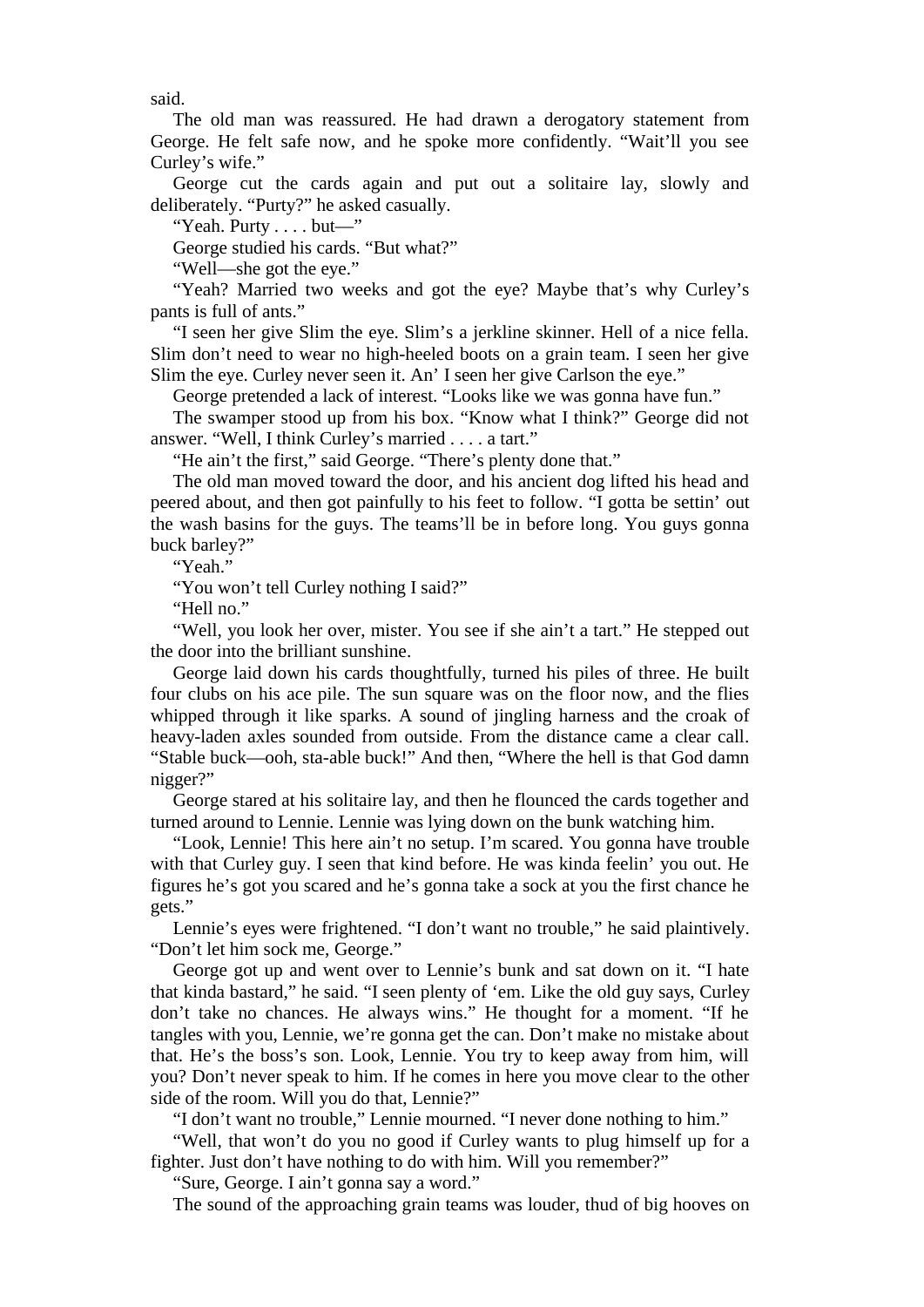said.

The old man was reassured. He had drawn a derogatory statement from George. He felt safe now, and he spoke more confidently. "Wait'll you see Curley's wife."

George cut the cards again and put out a solitaire lay, slowly and deliberately. "Purty?" he asked casually.

"Yeah. Purty . . . . but—"

George studied his cards. "But what?"

"Well—she got the eye."

"Yeah? Married two weeks and got the eye? Maybe that's why Curley's pants is full of ants."

"I seen her give Slim the eye. Slim's a jerkline skinner. Hell of a nice fella. Slim don't need to wear no high-heeled boots on a grain team. I seen her give Slim the eye. Curley never seen it. An' I seen her give Carlson the eye."

George pretended a lack of interest. "Looks like we was gonna have fun."

The swamper stood up from his box. "Know what I think?" George did not answer. "Well, I think Curley's married . . . . a tart."

"He ain't the first," said George. "There's plenty done that."

The old man moved toward the door, and his ancient dog lifted his head and peered about, and then got painfully to his feet to follow. "I gotta be settin' out the wash basins for the guys. The teams'll be in before long. You guys gonna buck barley?"

"Yeah."

"You won't tell Curley nothing I said?"

"Hell no."

"Well, you look her over, mister. You see if she ain't a tart." He stepped out the door into the brilliant sunshine.

George laid down his cards thoughtfully, turned his piles of three. He built four clubs on his ace pile. The sun square was on the floor now, and the flies whipped through it like sparks. A sound of jingling harness and the croak of heavy-laden axles sounded from outside. From the distance came a clear call. "Stable buck—ooh, sta-able buck!" And then, "Where the hell is that God damn nigger?"

George stared at his solitaire lay, and then he flounced the cards together and turned around to Lennie. Lennie was lying down on the bunk watching him.

"Look, Lennie! This here ain't no setup. I'm scared. You gonna have trouble with that Curley guy. I seen that kind before. He was kinda feelin' you out. He figures he's got you scared and he's gonna take a sock at you the first chance he gets."

Lennie's eyes were frightened. "I don't want no trouble," he said plaintively. "Don't let him sock me, George."

George got up and went over to Lennie's bunk and sat down on it. "I hate that kinda bastard," he said. "I seen plenty of 'em. Like the old guy says, Curley don't take no chances. He always wins." He thought for a moment. "If he tangles with you, Lennie, we're gonna get the can. Don't make no mistake about that. He's the boss's son. Look, Lennie. You try to keep away from him, will you? Don't never speak to him. If he comes in here you move clear to the other side of the room. Will you do that, Lennie?"

"I don't want no trouble," Lennie mourned. "I never done nothing to him."

"Well, that won't do you no good if Curley wants to plug himself up for a fighter. Just don't have nothing to do with him. Will you remember?"

"Sure, George. I ain't gonna say a word."

The sound of the approaching grain teams was louder, thud of big hooves on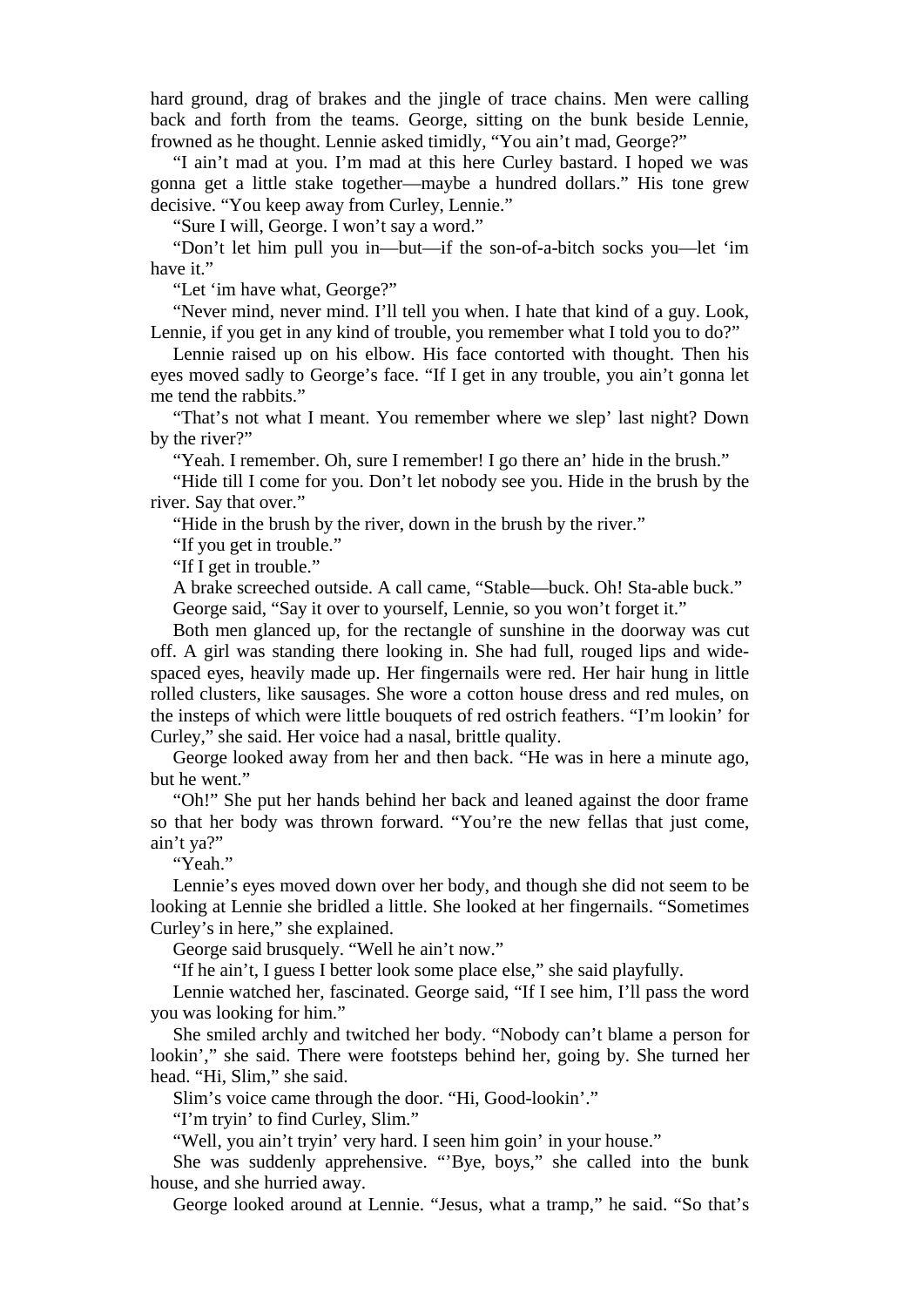hard ground, drag of brakes and the jingle of trace chains. Men were calling back and forth from the teams. George, sitting on the bunk beside Lennie, frowned as he thought. Lennie asked timidly, "You ain't mad, George?"

"I ain't mad at you. I'm mad at this here Curley bastard. I hoped we was gonna get a little stake together—maybe a hundred dollars." His tone grew decisive. "You keep away from Curley, Lennie."

"Sure I will, George. I won't say a word."

"Don't let him pull you in—but—if the son-of-a-bitch socks you—let 'im have it."

"Let 'im have what, George?"

"Never mind, never mind. I'll tell you when. I hate that kind of a guy. Look, Lennie, if you get in any kind of trouble, you remember what I told you to do?"

Lennie raised up on his elbow. His face contorted with thought. Then his eyes moved sadly to George's face. "If I get in any trouble, you ain't gonna let me tend the rabbits."

"That's not what I meant. You remember where we slep' last night? Down by the river?"

"Yeah. I remember. Oh, sure I remember! I go there an' hide in the brush."

"Hide till I come for you. Don't let nobody see you. Hide in the brush by the river. Say that over."

"Hide in the brush by the river, down in the brush by the river."

"If you get in trouble."

"If I get in trouble."

A brake screeched outside. A call came, "Stable—buck. Oh! Sta-able buck." George said, "Say it over to yourself, Lennie, so you won't forget it."

Both men glanced up, for the rectangle of sunshine in the doorway was cut off. A girl was standing there looking in. She had full, rouged lips and widespaced eyes, heavily made up. Her fingernails were red. Her hair hung in little rolled clusters, like sausages. She wore a cotton house dress and red mules, on the insteps of which were little bouquets of red ostrich feathers. "I'm lookin' for Curley," she said. Her voice had a nasal, brittle quality.

George looked away from her and then back. "He was in here a minute ago, but he went."

"Oh!" She put her hands behind her back and leaned against the door frame so that her body was thrown forward. "You're the new fellas that just come, ain't ya?"

"Yeah."

Lennie's eyes moved down over her body, and though she did not seem to be looking at Lennie she bridled a little. She looked at her fingernails. "Sometimes Curley's in here," she explained.

George said brusquely. "Well he ain't now."

"If he ain't, I guess I better look some place else," she said playfully.

Lennie watched her, fascinated. George said, "If I see him, I'll pass the word you was looking for him."

She smiled archly and twitched her body. "Nobody can't blame a person for lookin'," she said. There were footsteps behind her, going by. She turned her head. "Hi, Slim," she said.

Slim's voice came through the door. "Hi, Good-lookin'."

"I'm tryin' to find Curley, Slim."

"Well, you ain't tryin' very hard. I seen him goin' in your house."

She was suddenly apprehensive. "'Bye, boys," she called into the bunk house, and she hurried away.

George looked around at Lennie. "Jesus, what a tramp," he said. "So that's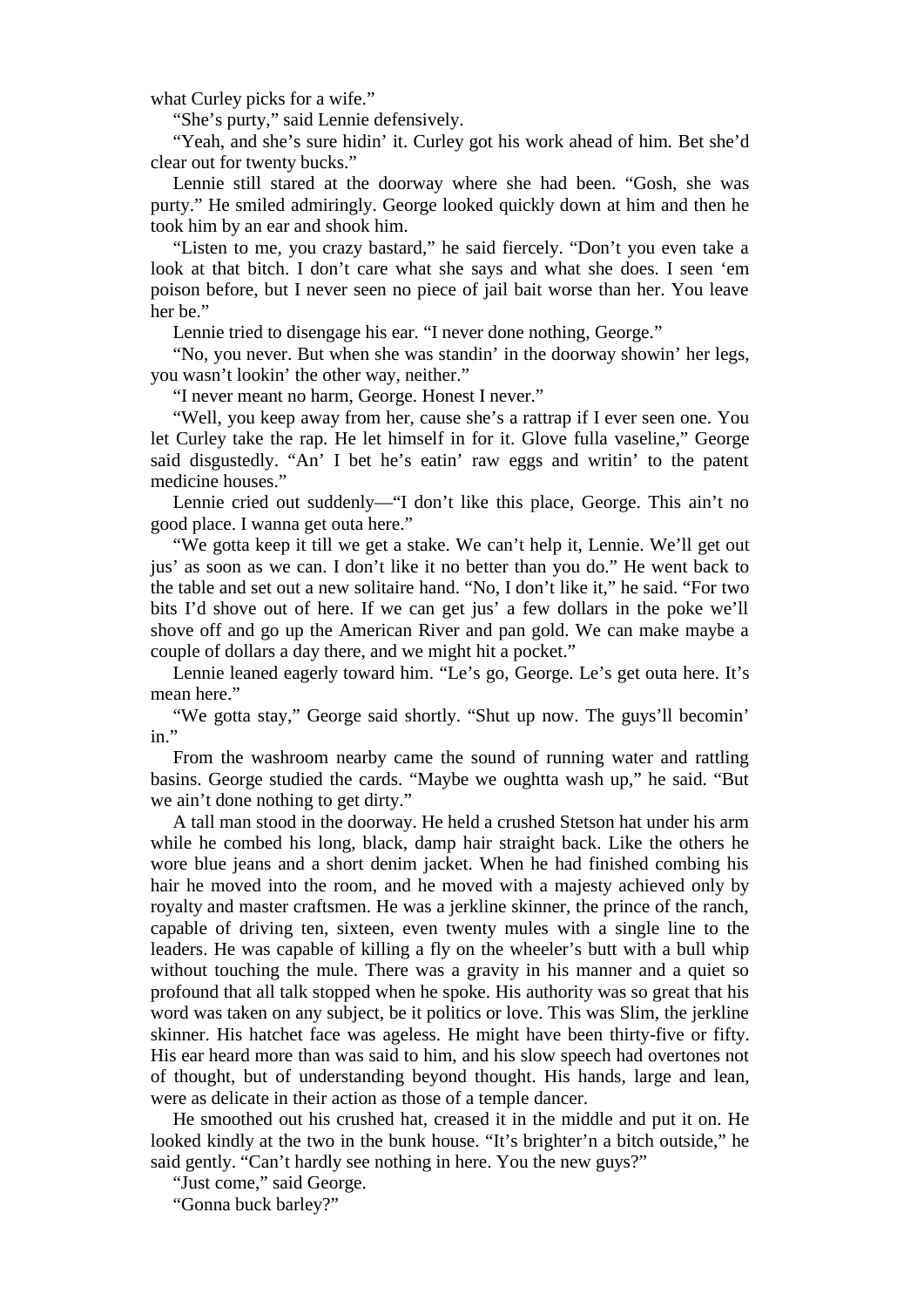what Curley picks for a wife."

"She's purty," said Lennie defensively.

"Yeah, and she's sure hidin' it. Curley got his work ahead of him. Bet she'd clear out for twenty bucks."

Lennie still stared at the doorway where she had been. "Gosh, she was purty." He smiled admiringly. George looked quickly down at him and then he took him by an ear and shook him.

"Listen to me, you crazy bastard," he said fiercely. "Don't you even take a look at that bitch. I don't care what she says and what she does. I seen 'em poison before, but I never seen no piece of jail bait worse than her. You leave her be."

Lennie tried to disengage his ear. "I never done nothing, George."

"No, you never. But when she was standin' in the doorway showin' her legs, you wasn't lookin' the other way, neither."

"I never meant no harm, George. Honest I never."

"Well, you keep away from her, cause she's a rattrap if I ever seen one. You let Curley take the rap. He let himself in for it. Glove fulla vaseline," George said disgustedly. "An' I bet he's eatin' raw eggs and writin' to the patent medicine houses."

Lennie cried out suddenly—"I don't like this place, George. This ain't no good place. I wanna get outa here."

"We gotta keep it till we get a stake. We can't help it, Lennie. We'll get out jus' as soon as we can. I don't like it no better than you do." He went back to the table and set out a new solitaire hand. "No, I don't like it," he said. "For two bits I'd shove out of here. If we can get jus' a few dollars in the poke we'll shove off and go up the American River and pan gold. We can make maybe a couple of dollars a day there, and we might hit a pocket."

Lennie leaned eagerly toward him. "Le's go, George. Le's get outa here. It's mean here."

"We gotta stay," George said shortly. "Shut up now. The guys'll becomin' in."

From the washroom nearby came the sound of running water and rattling basins. George studied the cards. "Maybe we oughtta wash up," he said. "But we ain't done nothing to get dirty."

A tall man stood in the doorway. He held a crushed Stetson hat under his arm while he combed his long, black, damp hair straight back. Like the others he wore blue jeans and a short denim jacket. When he had finished combing his hair he moved into the room, and he moved with a majesty achieved only by royalty and master craftsmen. He was a jerkline skinner, the prince of the ranch, capable of driving ten, sixteen, even twenty mules with a single line to the leaders. He was capable of killing a fly on the wheeler's butt with a bull whip without touching the mule. There was a gravity in his manner and a quiet so profound that all talk stopped when he spoke. His authority was so great that his word was taken on any subject, be it politics or love. This was Slim, the jerkline skinner. His hatchet face was ageless. He might have been thirty-five or fifty. His ear heard more than was said to him, and his slow speech had overtones not of thought, but of understanding beyond thought. His hands, large and lean, were as delicate in their action as those of a temple dancer.

He smoothed out his crushed hat, creased it in the middle and put it on. He looked kindly at the two in the bunk house. "It's brighter'n a bitch outside," he said gently. "Can't hardly see nothing in here. You the new guys?"

"Just come," said George.

"Gonna buck barley?"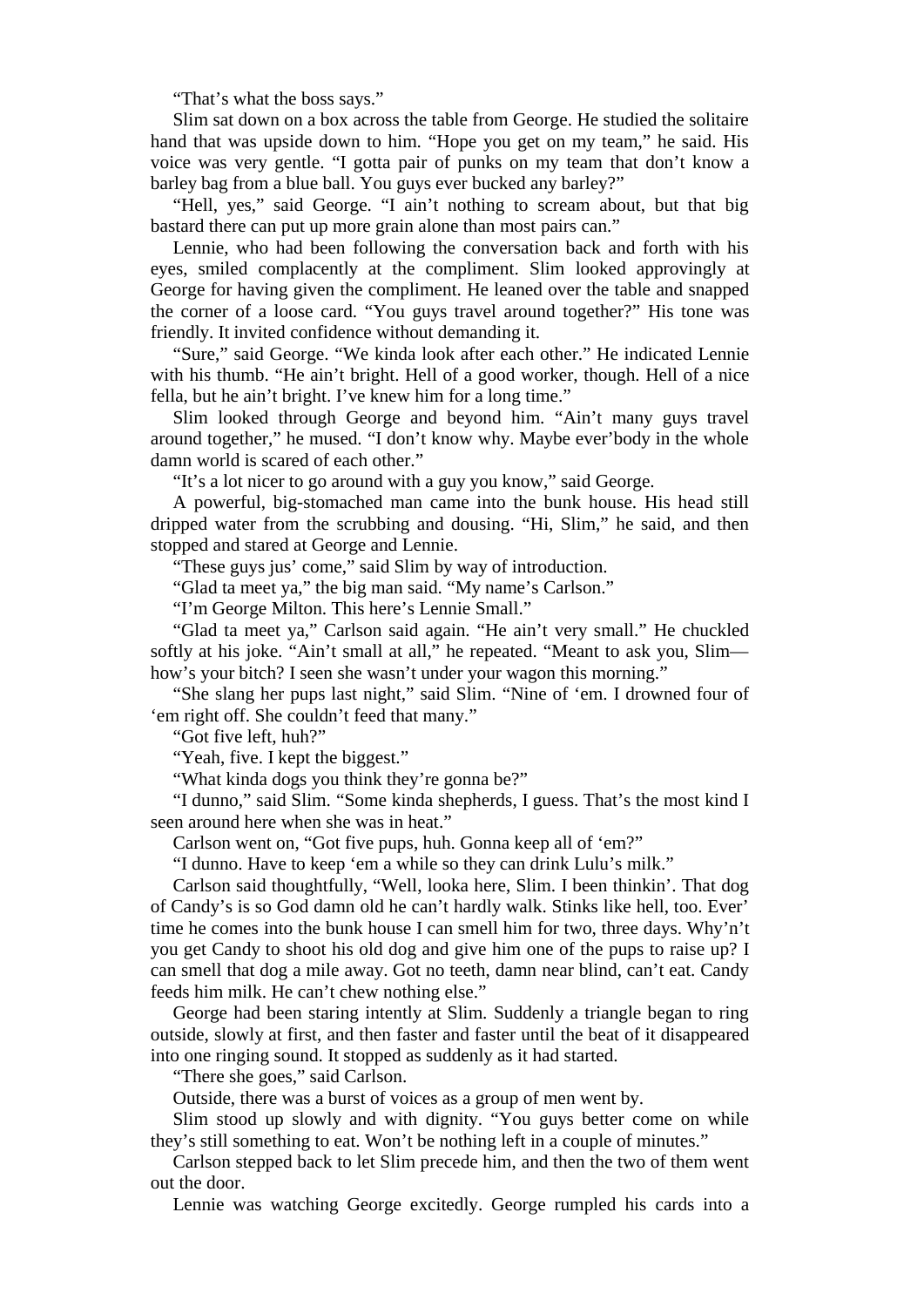"That's what the boss says."

Slim sat down on a box across the table from George. He studied the solitaire hand that was upside down to him. "Hope you get on my team," he said. His voice was very gentle. "I gotta pair of punks on my team that don't know a barley bag from a blue ball. You guys ever bucked any barley?"

"Hell, yes," said George. "I ain't nothing to scream about, but that big bastard there can put up more grain alone than most pairs can."

Lennie, who had been following the conversation back and forth with his eyes, smiled complacently at the compliment. Slim looked approvingly at George for having given the compliment. He leaned over the table and snapped the corner of a loose card. "You guys travel around together?" His tone was friendly. It invited confidence without demanding it.

"Sure," said George. "We kinda look after each other." He indicated Lennie with his thumb. "He ain't bright. Hell of a good worker, though. Hell of a nice fella, but he ain't bright. I've knew him for a long time."

Slim looked through George and beyond him. "Ain't many guys travel around together," he mused. "I don't know why. Maybe ever'body in the whole damn world is scared of each other."

"It's a lot nicer to go around with a guy you know," said George.

A powerful, big-stomached man came into the bunk house. His head still dripped water from the scrubbing and dousing. "Hi, Slim," he said, and then stopped and stared at George and Lennie.

"These guys jus' come," said Slim by way of introduction.

"Glad ta meet ya," the big man said. "My name's Carlson."

"I'm George Milton. This here's Lennie Small."

"Glad ta meet ya," Carlson said again. "He ain't very small." He chuckled softly at his joke. "Ain't small at all," he repeated. "Meant to ask you, Slim how's your bitch? I seen she wasn't under your wagon this morning."

"She slang her pups last night," said Slim. "Nine of 'em. I drowned four of 'em right off. She couldn't feed that many."

"Got five left, huh?"

"Yeah, five. I kept the biggest."

"What kinda dogs you think they're gonna be?"

"I dunno," said Slim. "Some kinda shepherds, I guess. That's the most kind I seen around here when she was in heat."

Carlson went on, "Got five pups, huh. Gonna keep all of 'em?"

"I dunno. Have to keep 'em a while so they can drink Lulu's milk."

Carlson said thoughtfully, "Well, looka here, Slim. I been thinkin'. That dog of Candy's is so God damn old he can't hardly walk. Stinks like hell, too. Ever' time he comes into the bunk house I can smell him for two, three days. Why'n't you get Candy to shoot his old dog and give him one of the pups to raise up? I can smell that dog a mile away. Got no teeth, damn near blind, can't eat. Candy feeds him milk. He can't chew nothing else."

George had been staring intently at Slim. Suddenly a triangle began to ring outside, slowly at first, and then faster and faster until the beat of it disappeared into one ringing sound. It stopped as suddenly as it had started.

"There she goes," said Carlson.

Outside, there was a burst of voices as a group of men went by.

Slim stood up slowly and with dignity. "You guys better come on while they's still something to eat. Won't be nothing left in a couple of minutes."

Carlson stepped back to let Slim precede him, and then the two of them went out the door.

Lennie was watching George excitedly. George rumpled his cards into a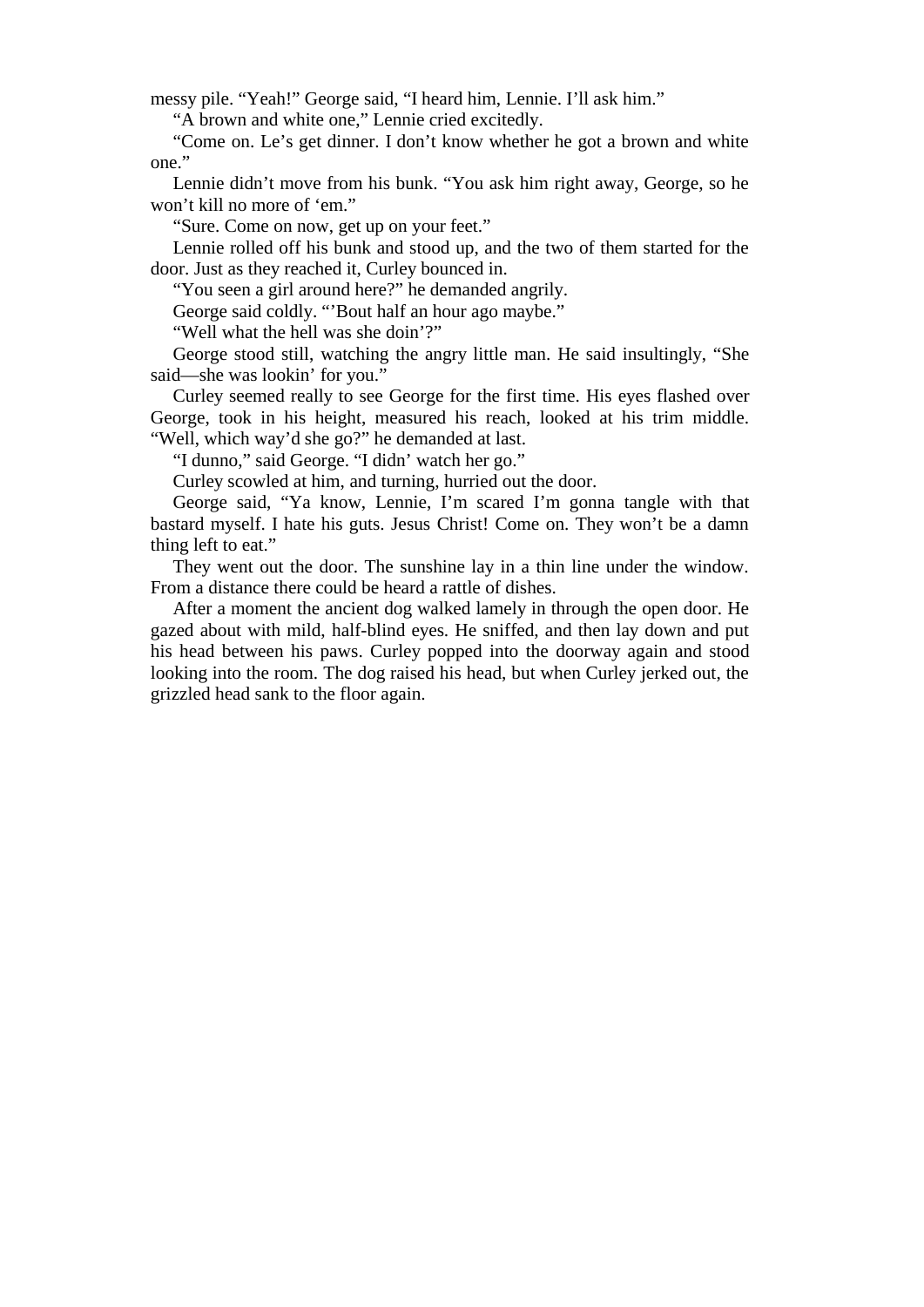messy pile. "Yeah!" George said, "I heard him, Lennie. I'll ask him."

"A brown and white one," Lennie cried excitedly.

"Come on. Le's get dinner. I don't know whether he got a brown and white one."

Lennie didn't move from his bunk. "You ask him right away, George, so he won't kill no more of 'em."

"Sure. Come on now, get up on your feet."

Lennie rolled off his bunk and stood up, and the two of them started for the door. Just as they reached it, Curley bounced in.

"You seen a girl around here?" he demanded angrily.

George said coldly. "'Bout half an hour ago maybe."

"Well what the hell was she doin'?"

George stood still, watching the angry little man. He said insultingly, "She said—she was lookin' for you."

Curley seemed really to see George for the first time. His eyes flashed over George, took in his height, measured his reach, looked at his trim middle. "Well, which way'd she go?" he demanded at last.

"I dunno," said George. "I didn' watch her go."

Curley scowled at him, and turning, hurried out the door.

George said, "Ya know, Lennie, I'm scared I'm gonna tangle with that bastard myself. I hate his guts. Jesus Christ! Come on. They won't be a damn thing left to eat."

They went out the door. The sunshine lay in a thin line under the window. From a distance there could be heard a rattle of dishes.

After a moment the ancient dog walked lamely in through the open door. He gazed about with mild, half-blind eyes. He sniffed, and then lay down and put his head between his paws. Curley popped into the doorway again and stood looking into the room. The dog raised his head, but when Curley jerked out, the grizzled head sank to the floor again.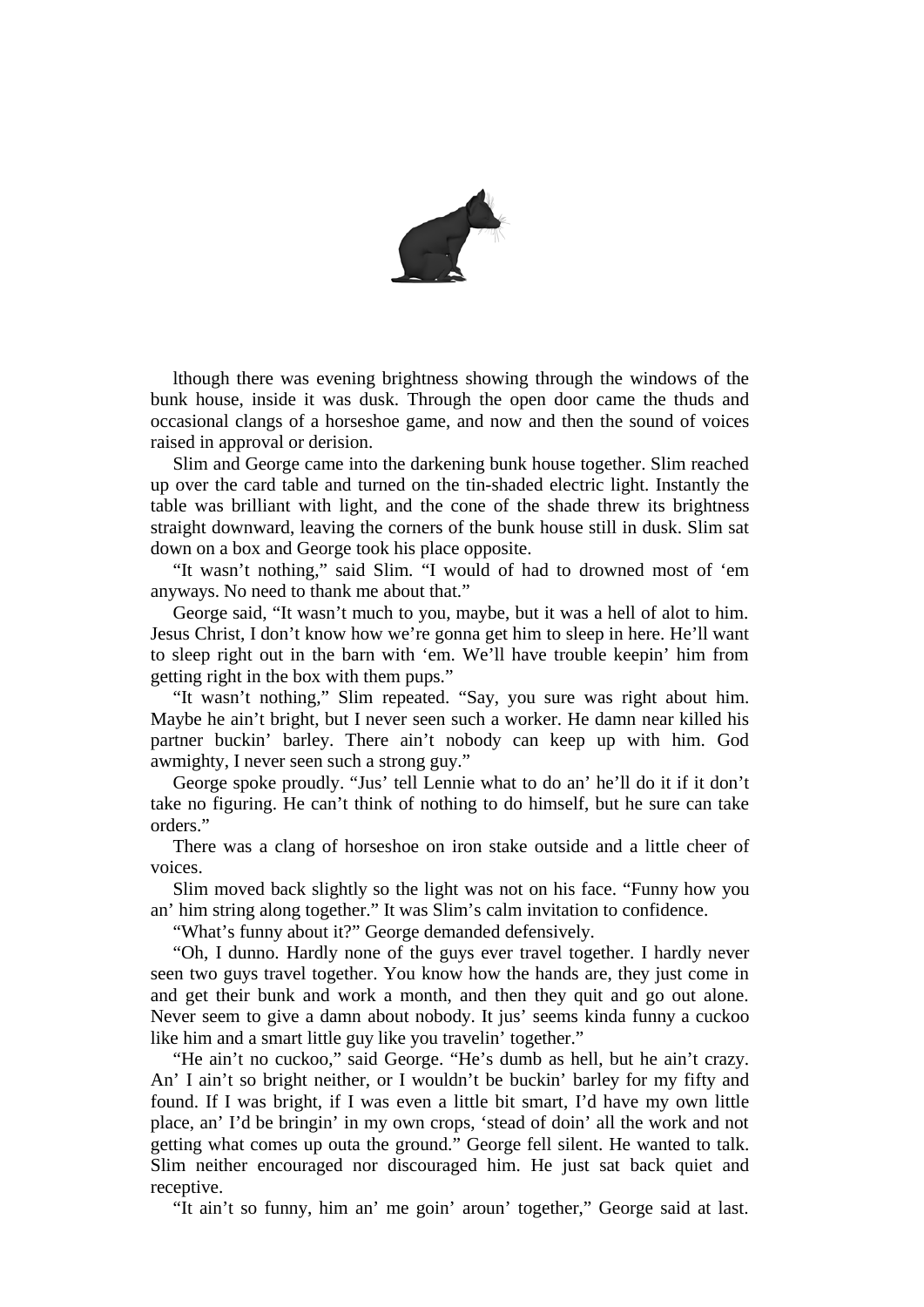

lthough there was evening brightness showing through the windows of the bunk house, inside it was dusk. Through the open door came the thuds and occasional clangs of a horseshoe game, and now and then the sound of voices raised in approval or derision.

Slim and George came into the darkening bunk house together. Slim reached up over the card table and turned on the tin-shaded electric light. Instantly the table was brilliant with light, and the cone of the shade threw its brightness straight downward, leaving the corners of the bunk house still in dusk. Slim sat down on a box and George took his place opposite.

"It wasn't nothing," said Slim. "I would of had to drowned most of 'em anyways. No need to thank me about that."

George said, "It wasn't much to you, maybe, but it was a hell of alot to him. Jesus Christ, I don't know how we're gonna get him to sleep in here. He'll want to sleep right out in the barn with 'em. We'll have trouble keepin' him from getting right in the box with them pups."

"It wasn't nothing," Slim repeated. "Say, you sure was right about him. Maybe he ain't bright, but I never seen such a worker. He damn near killed his partner buckin' barley. There ain't nobody can keep up with him. God awmighty, I never seen such a strong guy."

George spoke proudly. "Jus' tell Lennie what to do an' he'll do it if it don't take no figuring. He can't think of nothing to do himself, but he sure can take orders."

There was a clang of horseshoe on iron stake outside and a little cheer of voices.

Slim moved back slightly so the light was not on his face. "Funny how you an' him string along together." It was Slim's calm invitation to confidence.

"What's funny about it?" George demanded defensively.

"Oh, I dunno. Hardly none of the guys ever travel together. I hardly never seen two guys travel together. You know how the hands are, they just come in and get their bunk and work a month, and then they quit and go out alone. Never seem to give a damn about nobody. It jus' seems kinda funny a cuckoo like him and a smart little guy like you travelin' together."

"He ain't no cuckoo," said George. "He's dumb as hell, but he ain't crazy. An' I ain't so bright neither, or I wouldn't be buckin' barley for my fifty and found. If I was bright, if I was even a little bit smart, I'd have my own little place, an' I'd be bringin' in my own crops, 'stead of doin' all the work and not getting what comes up outa the ground." George fell silent. He wanted to talk. Slim neither encouraged nor discouraged him. He just sat back quiet and receptive.

"It ain't so funny, him an' me goin' aroun' together," George said at last.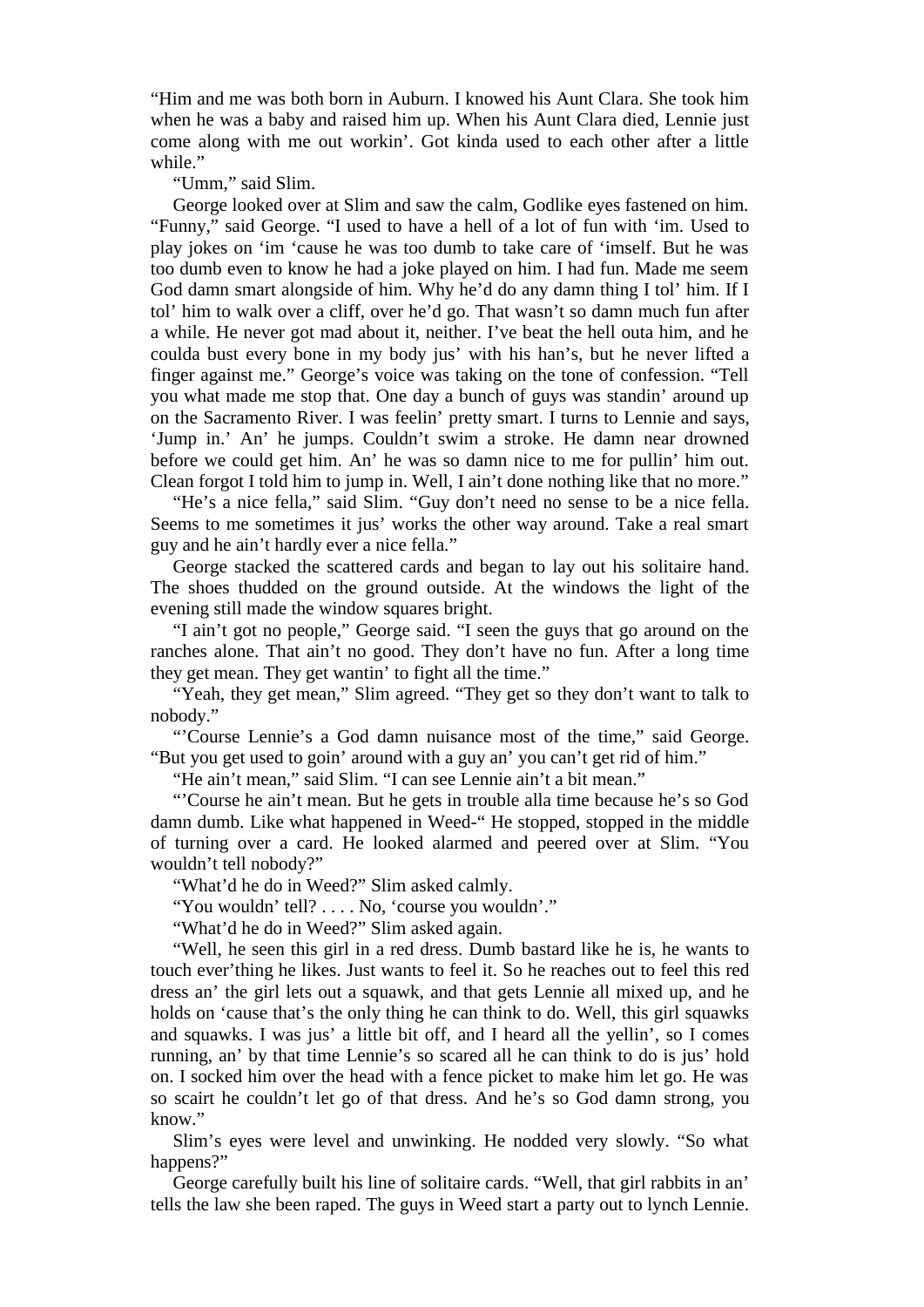"Him and me was both born in Auburn. I knowed his Aunt Clara. She took him when he was a baby and raised him up. When his Aunt Clara died, Lennie just come along with me out workin'. Got kinda used to each other after a little while."

"Umm," said Slim.

George looked over at Slim and saw the calm, Godlike eyes fastened on him. "Funny," said George. "I used to have a hell of a lot of fun with 'im. Used to play jokes on 'im 'cause he was too dumb to take care of 'imself. But he was too dumb even to know he had a joke played on him. I had fun. Made me seem God damn smart alongside of him. Why he'd do any damn thing I tol' him. If I tol' him to walk over a cliff, over he'd go. That wasn't so damn much fun after a while. He never got mad about it, neither. I've beat the hell outa him, and he coulda bust every bone in my body jus' with his han's, but he never lifted a finger against me." George's voice was taking on the tone of confession. "Tell you what made me stop that. One day a bunch of guys was standin' around up on the Sacramento River. I was feelin' pretty smart. I turns to Lennie and says, 'Jump in.' An' he jumps. Couldn't swim a stroke. He damn near drowned before we could get him. An' he was so damn nice to me for pullin' him out. Clean forgot I told him to jump in. Well, I ain't done nothing like that no more."

"He's a nice fella," said Slim. "Guy don't need no sense to be a nice fella. Seems to me sometimes it jus' works the other way around. Take a real smart guy and he ain't hardly ever a nice fella."

George stacked the scattered cards and began to lay out his solitaire hand. The shoes thudded on the ground outside. At the windows the light of the evening still made the window squares bright.

"I ain't got no people," George said. "I seen the guys that go around on the ranches alone. That ain't no good. They don't have no fun. After a long time they get mean. They get wantin' to fight all the time."

"Yeah, they get mean," Slim agreed. "They get so they don't want to talk to nobody."

"'Course Lennie's a God damn nuisance most of the time," said George. "But you get used to goin' around with a guy an' you can't get rid of him."

"He ain't mean," said Slim. "I can see Lennie ain't a bit mean."

"'Course he ain't mean. But he gets in trouble alla time because he's so God damn dumb. Like what happened in Weed-" He stopped, stopped in the middle of turning over a card. He looked alarmed and peered over at Slim. "You wouldn't tell nobody?"

"What'd he do in Weed?" Slim asked calmly.

"You wouldn' tell? . . . . No, 'course you wouldn'."

"What'd he do in Weed?" Slim asked again.

"Well, he seen this girl in a red dress. Dumb bastard like he is, he wants to touch ever'thing he likes. Just wants to feel it. So he reaches out to feel this red dress an' the girl lets out a squawk, and that gets Lennie all mixed up, and he holds on 'cause that's the only thing he can think to do. Well, this girl squawks and squawks. I was jus' a little bit off, and I heard all the yellin', so I comes running, an' by that time Lennie's so scared all he can think to do is jus' hold on. I socked him over the head with a fence picket to make him let go. He was so scairt he couldn't let go of that dress. And he's so God damn strong, you know."

Slim's eyes were level and unwinking. He nodded very slowly. "So what happens?"

George carefully built his line of solitaire cards. "Well, that girl rabbits in an' tells the law she been raped. The guys in Weed start a party out to lynch Lennie.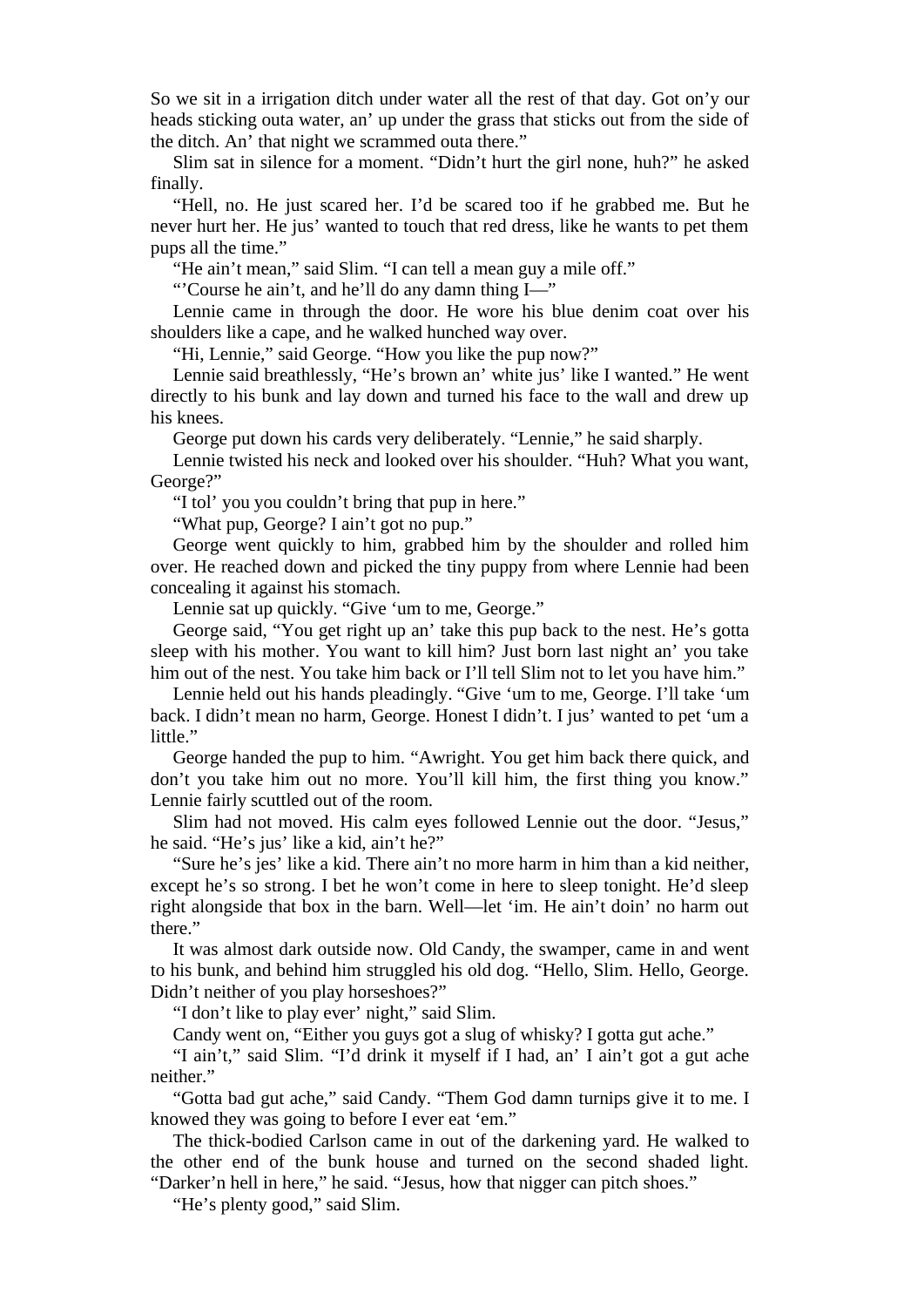So we sit in a irrigation ditch under water all the rest of that day. Got on'y our heads sticking outa water, an' up under the grass that sticks out from the side of the ditch. An' that night we scrammed outa there."

Slim sat in silence for a moment. "Didn't hurt the girl none, huh?" he asked finally.

"Hell, no. He just scared her. I'd be scared too if he grabbed me. But he never hurt her. He jus' wanted to touch that red dress, like he wants to pet them pups all the time."

"He ain't mean," said Slim. "I can tell a mean guy a mile off."

"'Course he ain't, and he'll do any damn thing I—"

Lennie came in through the door. He wore his blue denim coat over his shoulders like a cape, and he walked hunched way over.

"Hi, Lennie," said George. "How you like the pup now?"

Lennie said breathlessly, "He's brown an' white jus' like I wanted." He went directly to his bunk and lay down and turned his face to the wall and drew up his knees.

George put down his cards very deliberately. "Lennie," he said sharply.

Lennie twisted his neck and looked over his shoulder. "Huh? What you want, George?"

"I tol' you you couldn't bring that pup in here."

"What pup, George? I ain't got no pup."

George went quickly to him, grabbed him by the shoulder and rolled him over. He reached down and picked the tiny puppy from where Lennie had been concealing it against his stomach.

Lennie sat up quickly. "Give 'um to me, George."

George said, "You get right up an' take this pup back to the nest. He's gotta sleep with his mother. You want to kill him? Just born last night an' you take him out of the nest. You take him back or I'll tell Slim not to let you have him."

Lennie held out his hands pleadingly. "Give 'um to me, George. I'll take 'um back. I didn't mean no harm, George. Honest I didn't. I jus' wanted to pet 'um a little."

George handed the pup to him. "Awright. You get him back there quick, and don't you take him out no more. You'll kill him, the first thing you know." Lennie fairly scuttled out of the room.

Slim had not moved. His calm eyes followed Lennie out the door. "Jesus," he said. "He's jus' like a kid, ain't he?"

"Sure he's jes' like a kid. There ain't no more harm in him than a kid neither, except he's so strong. I bet he won't come in here to sleep tonight. He'd sleep right alongside that box in the barn. Well—let 'im. He ain't doin' no harm out there."

It was almost dark outside now. Old Candy, the swamper, came in and went to his bunk, and behind him struggled his old dog. "Hello, Slim. Hello, George. Didn't neither of you play horseshoes?"

"I don't like to play ever' night," said Slim.

Candy went on, "Either you guys got a slug of whisky? I gotta gut ache."

"I ain't," said Slim. "I'd drink it myself if I had, an' I ain't got a gut ache neither."

"Gotta bad gut ache," said Candy. "Them God damn turnips give it to me. I knowed they was going to before I ever eat 'em."

The thick-bodied Carlson came in out of the darkening yard. He walked to the other end of the bunk house and turned on the second shaded light. "Darker'n hell in here," he said. "Jesus, how that nigger can pitch shoes."

"He's plenty good," said Slim.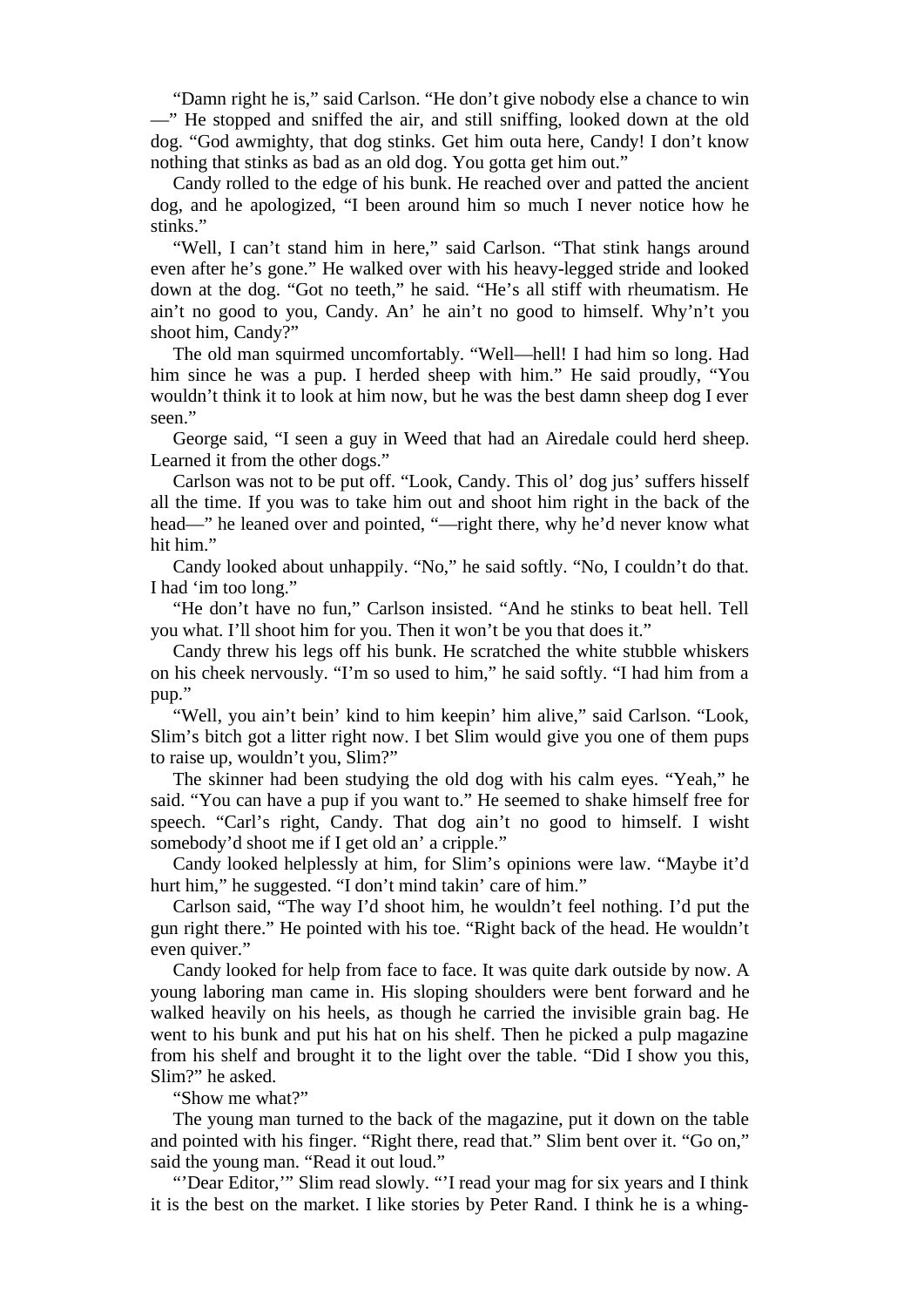"Damn right he is," said Carlson. "He don't give nobody else a chance to win —" He stopped and sniffed the air, and still sniffing, looked down at the old dog. "God awmighty, that dog stinks. Get him outa here, Candy! I don't know nothing that stinks as bad as an old dog. You gotta get him out."

Candy rolled to the edge of his bunk. He reached over and patted the ancient dog, and he apologized, "I been around him so much I never notice how he stinks."

"Well, I can't stand him in here," said Carlson. "That stink hangs around even after he's gone." He walked over with his heavy-legged stride and looked down at the dog. "Got no teeth," he said. "He's all stiff with rheumatism. He ain't no good to you, Candy. An' he ain't no good to himself. Why'n't you shoot him, Candy?"

The old man squirmed uncomfortably. "Well—hell! I had him so long. Had him since he was a pup. I herded sheep with him." He said proudly, "You wouldn't think it to look at him now, but he was the best damn sheep dog I ever seen."

George said, "I seen a guy in Weed that had an Airedale could herd sheep. Learned it from the other dogs."

Carlson was not to be put off. "Look, Candy. This ol' dog jus' suffers hisself all the time. If you was to take him out and shoot him right in the back of the head—" he leaned over and pointed, "—right there, why he'd never know what hit him."

Candy looked about unhappily. "No," he said softly. "No, I couldn't do that. I had 'im too long."

"He don't have no fun," Carlson insisted. "And he stinks to beat hell. Tell you what. I'll shoot him for you. Then it won't be you that does it."

Candy threw his legs off his bunk. He scratched the white stubble whiskers on his cheek nervously. "I'm so used to him," he said softly. "I had him from a pup."

"Well, you ain't bein' kind to him keepin' him alive," said Carlson. "Look, Slim's bitch got a litter right now. I bet Slim would give you one of them pups to raise up, wouldn't you, Slim?"

The skinner had been studying the old dog with his calm eyes. "Yeah," he said. "You can have a pup if you want to." He seemed to shake himself free for speech. "Carl's right, Candy. That dog ain't no good to himself. I wisht somebody'd shoot me if I get old an' a cripple."

Candy looked helplessly at him, for Slim's opinions were law. "Maybe it'd hurt him," he suggested. "I don't mind takin' care of him."

Carlson said, "The way I'd shoot him, he wouldn't feel nothing. I'd put the gun right there." He pointed with his toe. "Right back of the head. He wouldn't even quiver."

Candy looked for help from face to face. It was quite dark outside by now. A young laboring man came in. His sloping shoulders were bent forward and he walked heavily on his heels, as though he carried the invisible grain bag. He went to his bunk and put his hat on his shelf. Then he picked a pulp magazine from his shelf and brought it to the light over the table. "Did I show you this, Slim?" he asked.

"Show me what?"

The young man turned to the back of the magazine, put it down on the table and pointed with his finger. "Right there, read that." Slim bent over it. "Go on," said the young man. "Read it out loud."

"'Dear Editor,"' Slim read slowly. "'I read your mag for six years and I think it is the best on the market. I like stories by Peter Rand. I think he is a whing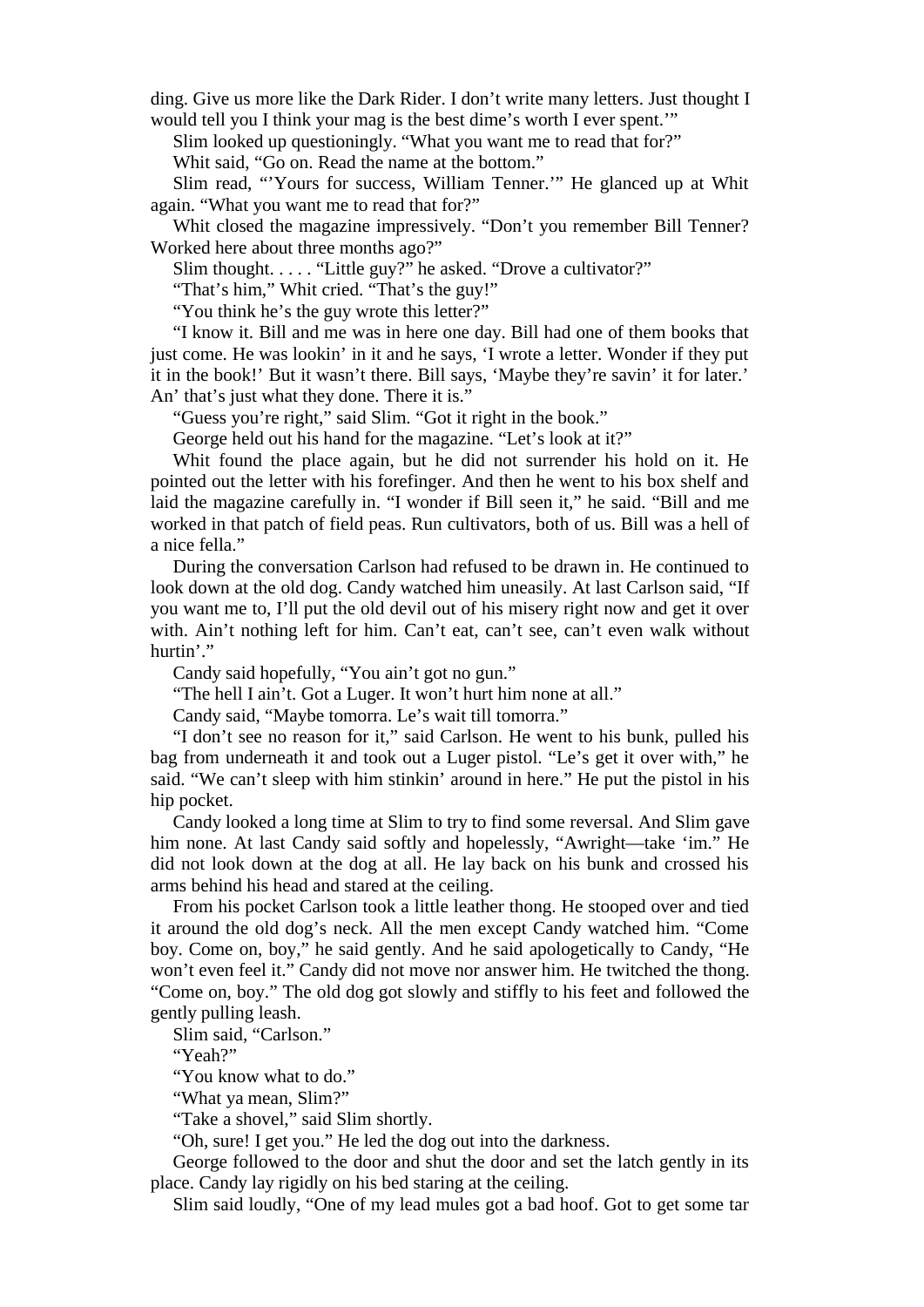ding. Give us more like the Dark Rider. I don't write many letters. Just thought I would tell you I think your mag is the best dime's worth I ever spent.'"

Slim looked up questioningly. "What you want me to read that for?"

Whit said, "Go on. Read the name at the bottom."

Slim read, "'Yours for success, William Tenner.'" He glanced up at Whit again. "What you want me to read that for?"

Whit closed the magazine impressively. "Don't you remember Bill Tenner? Worked here about three months ago?"

Slim thought. . . . . "Little guy?" he asked. "Drove a cultivator?"

"That's him," Whit cried. "That's the guy!"

"You think he's the guy wrote this letter?"

"I know it. Bill and me was in here one day. Bill had one of them books that just come. He was lookin' in it and he says, 'I wrote a letter. Wonder if they put it in the book!' But it wasn't there. Bill says, 'Maybe they're savin' it for later.' An' that's just what they done. There it is."

"Guess you're right," said Slim. "Got it right in the book."

George held out his hand for the magazine. "Let's look at it?"

Whit found the place again, but he did not surrender his hold on it. He pointed out the letter with his forefinger. And then he went to his box shelf and laid the magazine carefully in. "I wonder if Bill seen it," he said. "Bill and me worked in that patch of field peas. Run cultivators, both of us. Bill was a hell of a nice fella."

During the conversation Carlson had refused to be drawn in. He continued to look down at the old dog. Candy watched him uneasily. At last Carlson said, "If you want me to, I'll put the old devil out of his misery right now and get it over with. Ain't nothing left for him. Can't eat, can't see, can't even walk without hurtin'."

Candy said hopefully, "You ain't got no gun."

"The hell I ain't. Got a Luger. It won't hurt him none at all."

Candy said, "Maybe tomorra. Le's wait till tomorra."

"I don't see no reason for it," said Carlson. He went to his bunk, pulled his bag from underneath it and took out a Luger pistol. "Le's get it over with," he said. "We can't sleep with him stinkin' around in here." He put the pistol in his hip pocket.

Candy looked a long time at Slim to try to find some reversal. And Slim gave him none. At last Candy said softly and hopelessly, "Awright—take 'im." He did not look down at the dog at all. He lay back on his bunk and crossed his arms behind his head and stared at the ceiling.

From his pocket Carlson took a little leather thong. He stooped over and tied it around the old dog's neck. All the men except Candy watched him. "Come boy. Come on, boy," he said gently. And he said apologetically to Candy, "He won't even feel it." Candy did not move nor answer him. He twitched the thong. "Come on, boy." The old dog got slowly and stiffly to his feet and followed the gently pulling leash.

Slim said, "Carlson."

"Yeah?"

"You know what to do."

"What ya mean, Slim?"

"Take a shovel," said Slim shortly.

"Oh, sure! I get you." He led the dog out into the darkness.

George followed to the door and shut the door and set the latch gently in its place. Candy lay rigidly on his bed staring at the ceiling.

Slim said loudly, "One of my lead mules got a bad hoof. Got to get some tar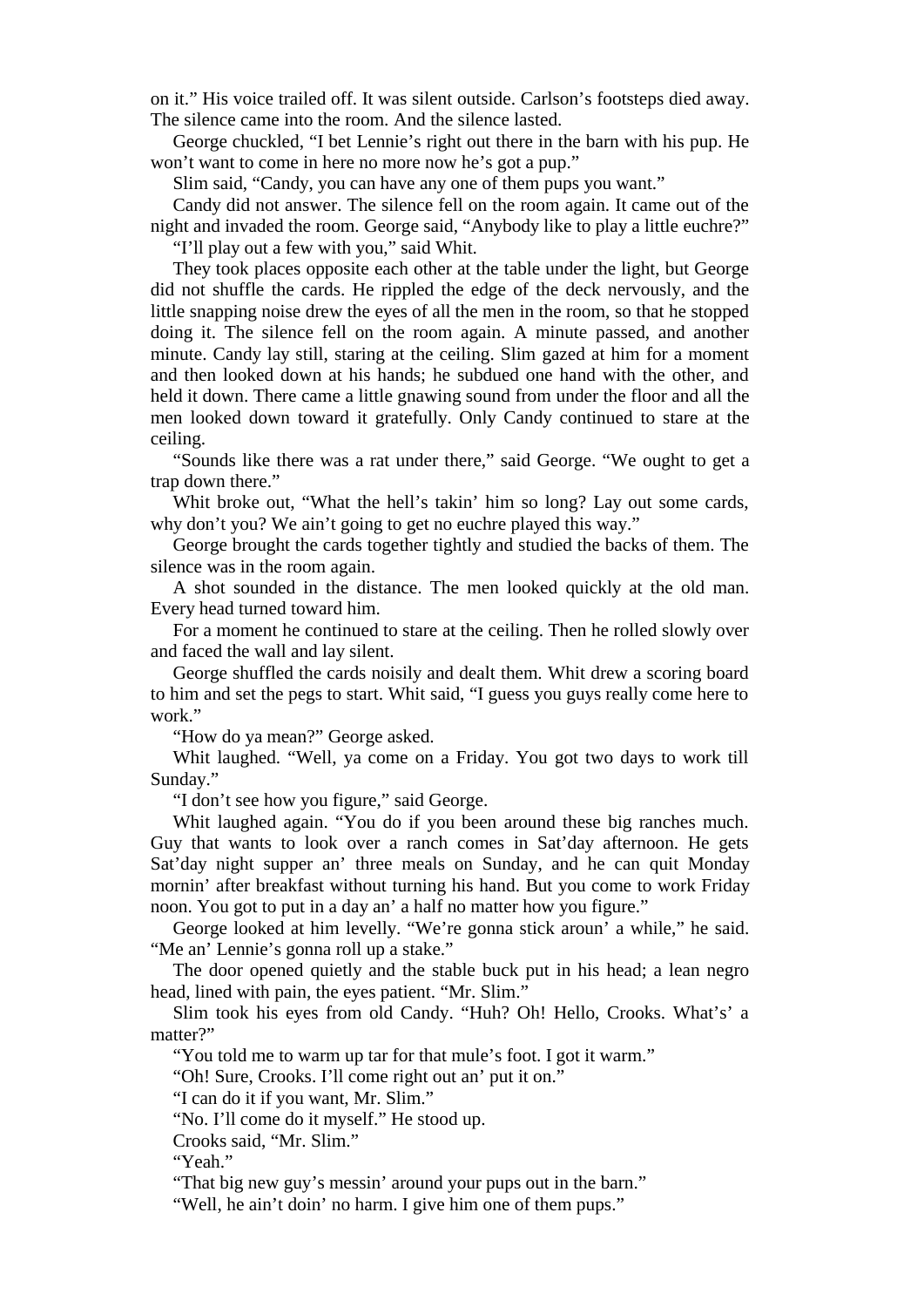on it." His voice trailed off. It was silent outside. Carlson's footsteps died away. The silence came into the room. And the silence lasted.

George chuckled, "I bet Lennie's right out there in the barn with his pup. He won't want to come in here no more now he's got a pup."

Slim said, "Candy, you can have any one of them pups you want."

Candy did not answer. The silence fell on the room again. It came out of the night and invaded the room. George said, "Anybody like to play a little euchre?"

"I'll play out a few with you," said Whit.

They took places opposite each other at the table under the light, but George did not shuffle the cards. He rippled the edge of the deck nervously, and the little snapping noise drew the eyes of all the men in the room, so that he stopped doing it. The silence fell on the room again. A minute passed, and another minute. Candy lay still, staring at the ceiling. Slim gazed at him for a moment and then looked down at his hands; he subdued one hand with the other, and held it down. There came a little gnawing sound from under the floor and all the men looked down toward it gratefully. Only Candy continued to stare at the ceiling.

"Sounds like there was a rat under there," said George. "We ought to get a trap down there."

Whit broke out, "What the hell's takin' him so long? Lay out some cards, why don't you? We ain't going to get no euchre played this way."

George brought the cards together tightly and studied the backs of them. The silence was in the room again.

A shot sounded in the distance. The men looked quickly at the old man. Every head turned toward him.

For a moment he continued to stare at the ceiling. Then he rolled slowly over and faced the wall and lay silent.

George shuffled the cards noisily and dealt them. Whit drew a scoring board to him and set the pegs to start. Whit said, "I guess you guys really come here to work."

"How do ya mean?" George asked.

Whit laughed. "Well, ya come on a Friday. You got two days to work till Sunday."

"I don't see how you figure," said George.

Whit laughed again. "You do if you been around these big ranches much. Guy that wants to look over a ranch comes in Sat'day afternoon. He gets Sat'day night supper an' three meals on Sunday, and he can quit Monday mornin' after breakfast without turning his hand. But you come to work Friday noon. You got to put in a day an' a half no matter how you figure."

George looked at him levelly. "We're gonna stick aroun' a while," he said. "Me an' Lennie's gonna roll up a stake."

The door opened quietly and the stable buck put in his head; a lean negro head, lined with pain, the eyes patient. "Mr. Slim."

Slim took his eyes from old Candy. "Huh? Oh! Hello, Crooks. What's' a matter?"

"You told me to warm up tar for that mule's foot. I got it warm."

"Oh! Sure, Crooks. I'll come right out an' put it on."

"I can do it if you want, Mr. Slim."

"No. I'll come do it myself." He stood up.

Crooks said, "Mr. Slim."

"Yeah."

"That big new guy's messin' around your pups out in the barn."

"Well, he ain't doin' no harm. I give him one of them pups."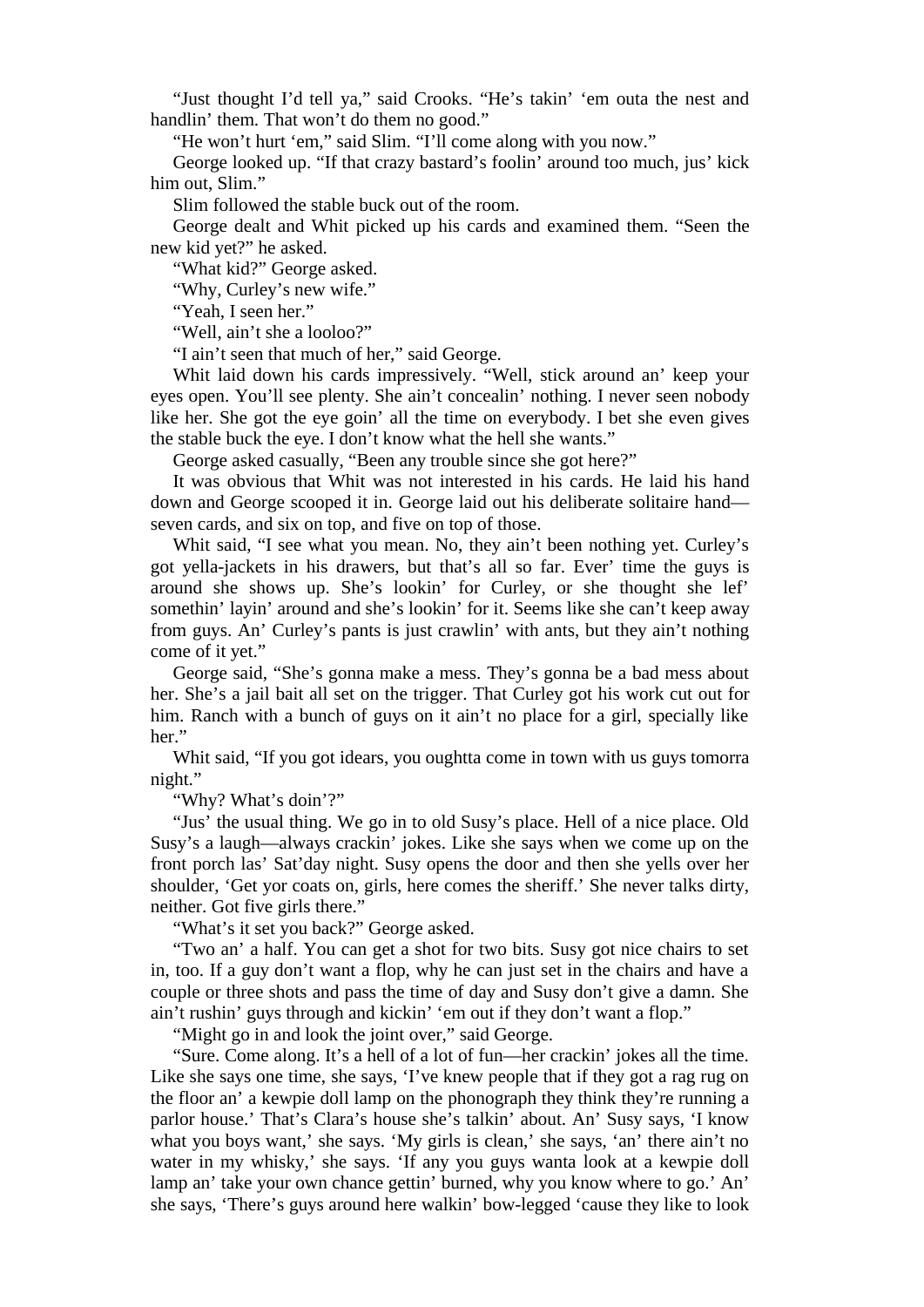"Just thought I'd tell ya," said Crooks. "He's takin' 'em outa the nest and handlin' them. That won't do them no good."

"He won't hurt 'em," said Slim. "I'll come along with you now."

George looked up. "If that crazy bastard's foolin' around too much, jus' kick him out, Slim."

Slim followed the stable buck out of the room.

George dealt and Whit picked up his cards and examined them. "Seen the new kid yet?" he asked.

"What kid?" George asked.

"Why, Curley's new wife."

"Yeah, I seen her."

"Well, ain't she a looloo?"

"I ain't seen that much of her," said George.

Whit laid down his cards impressively. "Well, stick around an' keep your eyes open. You'll see plenty. She ain't concealin' nothing. I never seen nobody like her. She got the eye goin' all the time on everybody. I bet she even gives the stable buck the eye. I don't know what the hell she wants."

George asked casually, "Been any trouble since she got here?"

It was obvious that Whit was not interested in his cards. He laid his hand down and George scooped it in. George laid out his deliberate solitaire hand seven cards, and six on top, and five on top of those.

Whit said, "I see what you mean. No, they ain't been nothing yet. Curley's got yella-jackets in his drawers, but that's all so far. Ever' time the guys is around she shows up. She's lookin' for Curley, or she thought she lef' somethin' layin' around and she's lookin' for it. Seems like she can't keep away from guys. An' Curley's pants is just crawlin' with ants, but they ain't nothing come of it yet."

George said, "She's gonna make a mess. They's gonna be a bad mess about her. She's a jail bait all set on the trigger. That Curley got his work cut out for him. Ranch with a bunch of guys on it ain't no place for a girl, specially like her."

Whit said, "If you got idears, you oughtta come in town with us guys tomorra night."

"Why? What's doin'?"

"Jus' the usual thing. We go in to old Susy's place. Hell of a nice place. Old Susy's a laugh—always crackin' jokes. Like she says when we come up on the front porch las' Sat'day night. Susy opens the door and then she yells over her shoulder, 'Get yor coats on, girls, here comes the sheriff.' She never talks dirty, neither. Got five girls there."

"What's it set you back?" George asked.

"Two an' a half. You can get a shot for two bits. Susy got nice chairs to set in, too. If a guy don't want a flop, why he can just set in the chairs and have a couple or three shots and pass the time of day and Susy don't give a damn. She ain't rushin' guys through and kickin' 'em out if they don't want a flop."

"Might go in and look the joint over," said George.

"Sure. Come along. It's a hell of a lot of fun—her crackin' jokes all the time. Like she says one time, she says, 'I've knew people that if they got a rag rug on the floor an' a kewpie doll lamp on the phonograph they think they're running a parlor house.' That's Clara's house she's talkin' about. An' Susy says, 'I know what you boys want,' she says. 'My girls is clean,' she says, 'an' there ain't no water in my whisky,' she says. 'If any you guys wanta look at a kewpie doll lamp an' take your own chance gettin' burned, why you know where to go.' An' she says, 'There's guys around here walkin' bow-legged 'cause they like to look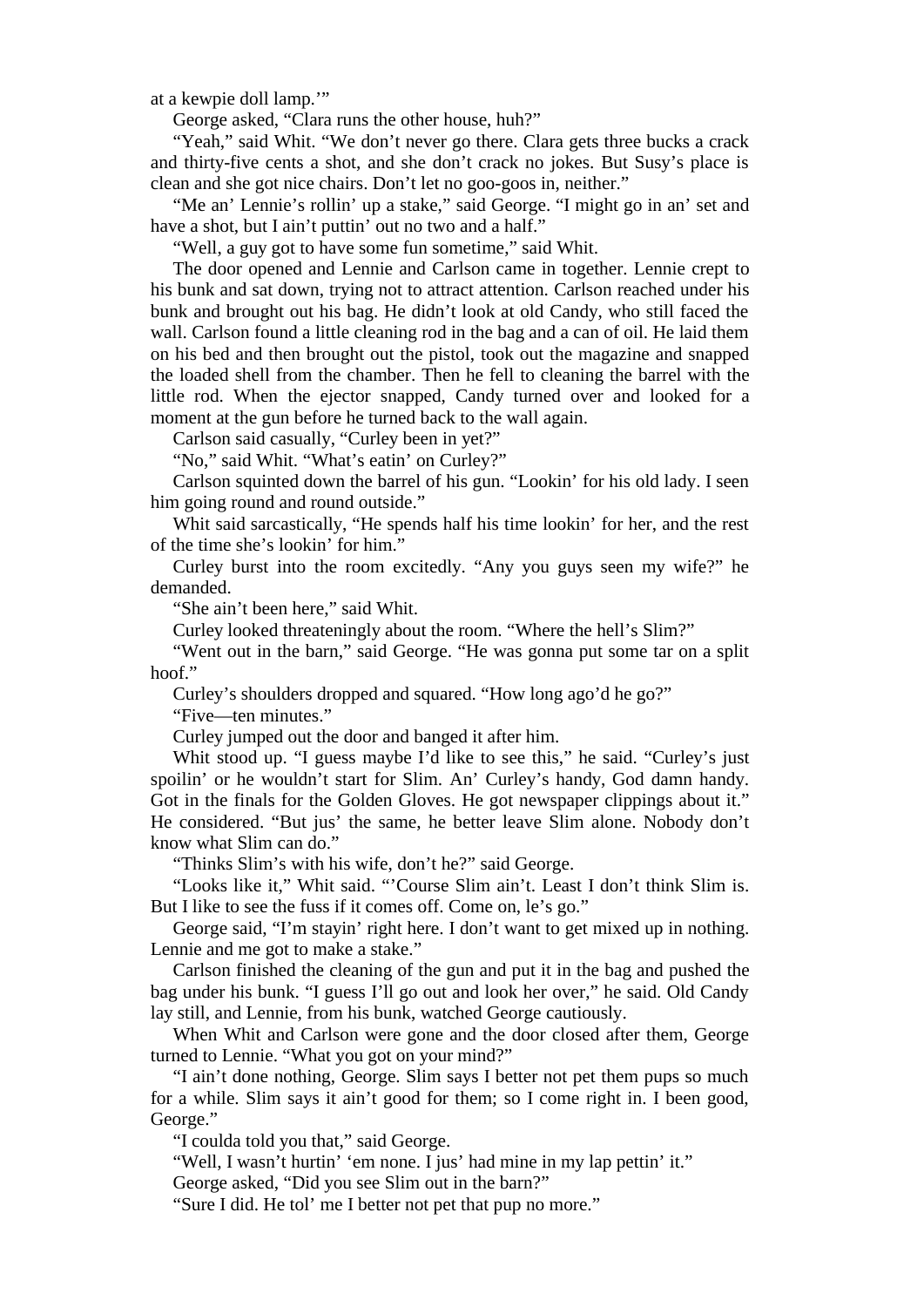at a kewpie doll lamp.'"

George asked, "Clara runs the other house, huh?"

"Yeah," said Whit. "We don't never go there. Clara gets three bucks a crack and thirty-five cents a shot, and she don't crack no jokes. But Susy's place is clean and she got nice chairs. Don't let no goo-goos in, neither."

"Me an' Lennie's rollin' up a stake," said George. "I might go in an' set and have a shot, but I ain't puttin' out no two and a half."

"Well, a guy got to have some fun sometime," said Whit.

The door opened and Lennie and Carlson came in together. Lennie crept to his bunk and sat down, trying not to attract attention. Carlson reached under his bunk and brought out his bag. He didn't look at old Candy, who still faced the wall. Carlson found a little cleaning rod in the bag and a can of oil. He laid them on his bed and then brought out the pistol, took out the magazine and snapped the loaded shell from the chamber. Then he fell to cleaning the barrel with the little rod. When the ejector snapped, Candy turned over and looked for a moment at the gun before he turned back to the wall again.

Carlson said casually, "Curley been in yet?"

"No," said Whit. "What's eatin' on Curley?"

Carlson squinted down the barrel of his gun. "Lookin' for his old lady. I seen him going round and round outside."

Whit said sarcastically, "He spends half his time lookin' for her, and the rest of the time she's lookin' for him."

Curley burst into the room excitedly. "Any you guys seen my wife?" he demanded.

"She ain't been here," said Whit.

Curley looked threateningly about the room. "Where the hell's Slim?"

"Went out in the barn," said George. "He was gonna put some tar on a split hoof."

Curley's shoulders dropped and squared. "How long ago'd he go?"

"Five—ten minutes."

Curley jumped out the door and banged it after him.

Whit stood up. "I guess maybe I'd like to see this," he said. "Curley's just spoilin' or he wouldn't start for Slim. An' Curley's handy, God damn handy. Got in the finals for the Golden Gloves. He got newspaper clippings about it." He considered. "But jus' the same, he better leave Slim alone. Nobody don't know what Slim can do."

"Thinks Slim's with his wife, don't he?" said George.

"Looks like it," Whit said. "'Course Slim ain't. Least I don't think Slim is. But I like to see the fuss if it comes off. Come on, le's go."

George said, "I'm stayin' right here. I don't want to get mixed up in nothing. Lennie and me got to make a stake."

Carlson finished the cleaning of the gun and put it in the bag and pushed the bag under his bunk. "I guess I'll go out and look her over," he said. Old Candy lay still, and Lennie, from his bunk, watched George cautiously.

When Whit and Carlson were gone and the door closed after them, George turned to Lennie. "What you got on your mind?"

"I ain't done nothing, George. Slim says I better not pet them pups so much for a while. Slim says it ain't good for them; so I come right in. I been good, George."

"I coulda told you that," said George.

"Well, I wasn't hurtin' 'em none. I jus' had mine in my lap pettin' it."

George asked, "Did you see Slim out in the barn?"

"Sure I did. He tol' me I better not pet that pup no more."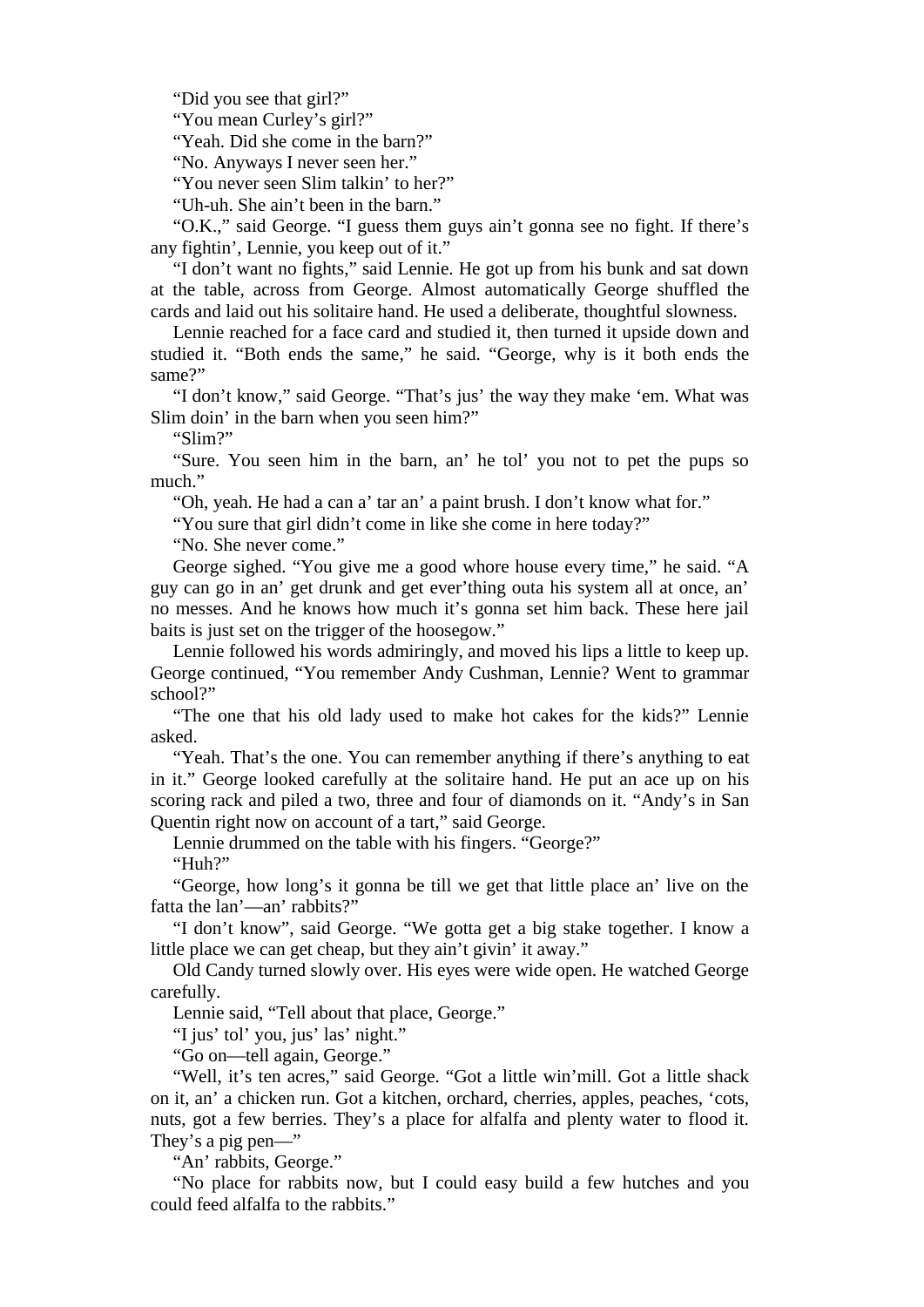"Did you see that girl?"

"You mean Curley's girl?"

"Yeah. Did she come in the barn?"

"No. Anyways I never seen her."

"You never seen Slim talkin' to her?"

"Uh-uh. She ain't been in the barn."

"O.K.," said George. "I guess them guys ain't gonna see no fight. If there's any fightin', Lennie, you keep out of it."

"I don't want no fights," said Lennie. He got up from his bunk and sat down at the table, across from George. Almost automatically George shuffled the cards and laid out his solitaire hand. He used a deliberate, thoughtful slowness.

Lennie reached for a face card and studied it, then turned it upside down and studied it. "Both ends the same," he said. "George, why is it both ends the same?"

"I don't know," said George. "That's jus' the way they make 'em. What was Slim doin' in the barn when you seen him?"

"Slim?"

"Sure. You seen him in the barn, an' he tol' you not to pet the pups so much."

"Oh, yeah. He had a can a' tar an' a paint brush. I don't know what for."

"You sure that girl didn't come in like she come in here today?"

"No. She never come."

George sighed. "You give me a good whore house every time," he said. "A guy can go in an' get drunk and get ever'thing outa his system all at once, an' no messes. And he knows how much it's gonna set him back. These here jail baits is just set on the trigger of the hoosegow."

Lennie followed his words admiringly, and moved his lips a little to keep up. George continued, "You remember Andy Cushman, Lennie? Went to grammar school?"

"The one that his old lady used to make hot cakes for the kids?" Lennie asked.

"Yeah. That's the one. You can remember anything if there's anything to eat in it." George looked carefully at the solitaire hand. He put an ace up on his scoring rack and piled a two, three and four of diamonds on it. "Andy's in San Quentin right now on account of a tart," said George.

Lennie drummed on the table with his fingers. "George?"

"Huh?"

"George, how long's it gonna be till we get that little place an' live on the fatta the lan'—an' rabbits?"

"I don't know", said George. "We gotta get a big stake together. I know a little place we can get cheap, but they ain't givin' it away."

Old Candy turned slowly over. His eyes were wide open. He watched George carefully.

Lennie said, "Tell about that place, George."

"I jus' tol' you, jus' las' night."

"Go on—tell again, George."

"Well, it's ten acres," said George. "Got a little win'mill. Got a little shack on it, an' a chicken run. Got a kitchen, orchard, cherries, apples, peaches, 'cots, nuts, got a few berries. They's a place for alfalfa and plenty water to flood it. They's a pig pen—"

"An' rabbits, George."

"No place for rabbits now, but I could easy build a few hutches and you could feed alfalfa to the rabbits."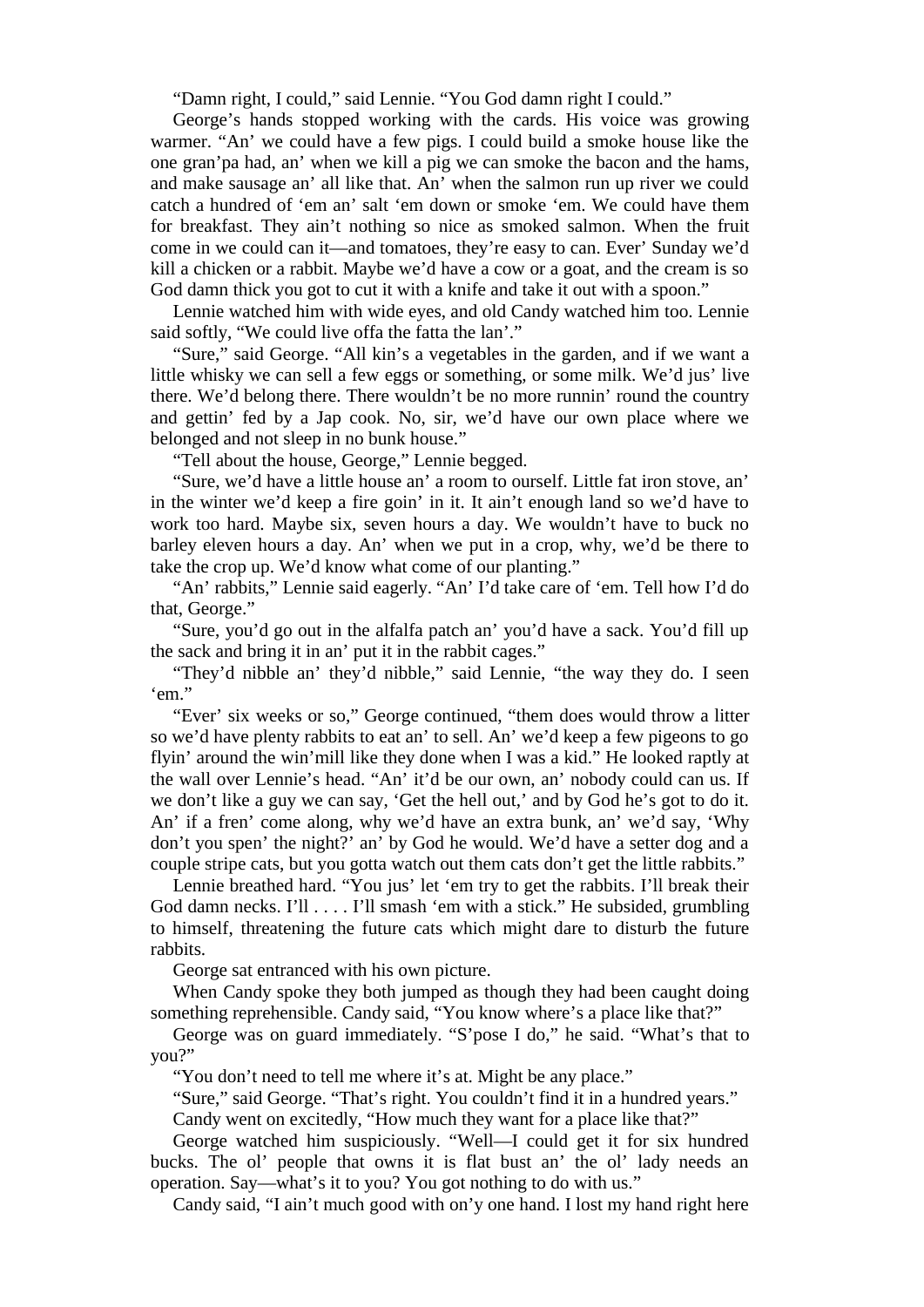"Damn right, I could," said Lennie. "You God damn right I could."

George's hands stopped working with the cards. His voice was growing warmer. "An' we could have a few pigs. I could build a smoke house like the one gran'pa had, an' when we kill a pig we can smoke the bacon and the hams, and make sausage an' all like that. An' when the salmon run up river we could catch a hundred of 'em an' salt 'em down or smoke 'em. We could have them for breakfast. They ain't nothing so nice as smoked salmon. When the fruit come in we could can it—and tomatoes, they're easy to can. Ever' Sunday we'd kill a chicken or a rabbit. Maybe we'd have a cow or a goat, and the cream is so God damn thick you got to cut it with a knife and take it out with a spoon."

Lennie watched him with wide eyes, and old Candy watched him too. Lennie said softly, "We could live offa the fatta the lan'."

"Sure," said George. "All kin's a vegetables in the garden, and if we want a little whisky we can sell a few eggs or something, or some milk. We'd jus' live there. We'd belong there. There wouldn't be no more runnin' round the country and gettin' fed by a Jap cook. No, sir, we'd have our own place where we belonged and not sleep in no bunk house."

"Tell about the house, George," Lennie begged.

"Sure, we'd have a little house an' a room to ourself. Little fat iron stove, an' in the winter we'd keep a fire goin' in it. It ain't enough land so we'd have to work too hard. Maybe six, seven hours a day. We wouldn't have to buck no barley eleven hours a day. An' when we put in a crop, why, we'd be there to take the crop up. We'd know what come of our planting."

"An' rabbits," Lennie said eagerly. "An' I'd take care of 'em. Tell how I'd do that, George."

"Sure, you'd go out in the alfalfa patch an' you'd have a sack. You'd fill up the sack and bring it in an' put it in the rabbit cages."

"They'd nibble an' they'd nibble," said Lennie, "the way they do. I seen 'em."

"Ever' six weeks or so," George continued, "them does would throw a litter so we'd have plenty rabbits to eat an' to sell. An' we'd keep a few pigeons to go flyin' around the win'mill like they done when I was a kid." He looked raptly at the wall over Lennie's head. "An' it'd be our own, an' nobody could can us. If we don't like a guy we can say, 'Get the hell out,' and by God he's got to do it. An' if a fren' come along, why we'd have an extra bunk, an' we'd say, 'Why don't you spen' the night?' an' by God he would. We'd have a setter dog and a couple stripe cats, but you gotta watch out them cats don't get the little rabbits."

Lennie breathed hard. "You jus' let 'em try to get the rabbits. I'll break their God damn necks. I'll . . . . I'll smash 'em with a stick." He subsided, grumbling to himself, threatening the future cats which might dare to disturb the future rabbits.

George sat entranced with his own picture.

When Candy spoke they both jumped as though they had been caught doing something reprehensible. Candy said, "You know where's a place like that?"

George was on guard immediately. "S'pose I do," he said. "What's that to you?"

"You don't need to tell me where it's at. Might be any place."

"Sure," said George. "That's right. You couldn't find it in a hundred years."

Candy went on excitedly, "How much they want for a place like that?"

George watched him suspiciously. "Well—I could get it for six hundred bucks. The ol' people that owns it is flat bust an' the ol' lady needs an operation. Say—what's it to you? You got nothing to do with us."

Candy said, "I ain't much good with on'y one hand. I lost my hand right here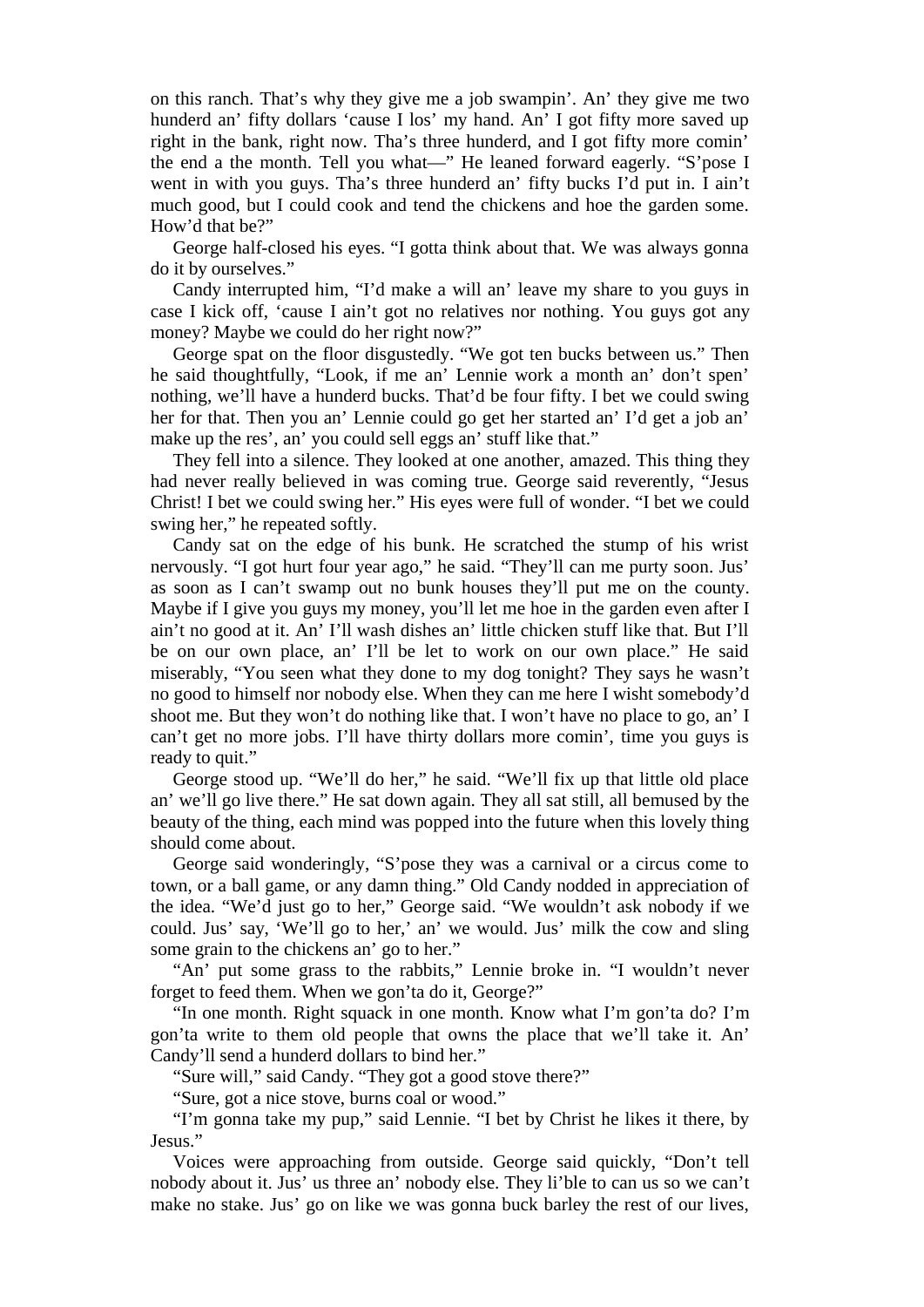on this ranch. That's why they give me a job swampin'. An' they give me two hunderd an' fifty dollars 'cause I los' my hand. An' I got fifty more saved up right in the bank, right now. Tha's three hunderd, and I got fifty more comin' the end a the month. Tell you what—" He leaned forward eagerly. "S'pose I went in with you guys. Tha's three hunderd an' fifty bucks I'd put in. I ain't much good, but I could cook and tend the chickens and hoe the garden some. How'd that be?"

George half-closed his eyes. "I gotta think about that. We was always gonna do it by ourselves."

Candy interrupted him, "I'd make a will an' leave my share to you guys in case I kick off, 'cause I ain't got no relatives nor nothing. You guys got any money? Maybe we could do her right now?"

George spat on the floor disgustedly. "We got ten bucks between us." Then he said thoughtfully, "Look, if me an' Lennie work a month an' don't spen' nothing, we'll have a hunderd bucks. That'd be four fifty. I bet we could swing her for that. Then you an' Lennie could go get her started an' I'd get a job an' make up the res', an' you could sell eggs an' stuff like that."

They fell into a silence. They looked at one another, amazed. This thing they had never really believed in was coming true. George said reverently, "Jesus Christ! I bet we could swing her." His eyes were full of wonder. "I bet we could swing her," he repeated softly.

Candy sat on the edge of his bunk. He scratched the stump of his wrist nervously. "I got hurt four year ago," he said. "They'll can me purty soon. Jus' as soon as I can't swamp out no bunk houses they'll put me on the county. Maybe if I give you guys my money, you'll let me hoe in the garden even after I ain't no good at it. An' I'll wash dishes an' little chicken stuff like that. But I'll be on our own place, an' I'll be let to work on our own place." He said miserably, "You seen what they done to my dog tonight? They says he wasn't no good to himself nor nobody else. When they can me here I wisht somebody'd shoot me. But they won't do nothing like that. I won't have no place to go, an' I can't get no more jobs. I'll have thirty dollars more comin', time you guys is ready to quit."

George stood up. "We'll do her," he said. "We'll fix up that little old place an' we'll go live there." He sat down again. They all sat still, all bemused by the beauty of the thing, each mind was popped into the future when this lovely thing should come about.

George said wonderingly, "S'pose they was a carnival or a circus come to town, or a ball game, or any damn thing." Old Candy nodded in appreciation of the idea. "We'd just go to her," George said. "We wouldn't ask nobody if we could. Jus' say, 'We'll go to her,' an' we would. Jus' milk the cow and sling some grain to the chickens an' go to her."

"An' put some grass to the rabbits," Lennie broke in. "I wouldn't never forget to feed them. When we gon'ta do it, George?"

"In one month. Right squack in one month. Know what I'm gon'ta do? I'm gon'ta write to them old people that owns the place that we'll take it. An' Candy'll send a hunderd dollars to bind her."

"Sure will," said Candy. "They got a good stove there?"

"Sure, got a nice stove, burns coal or wood."

"I'm gonna take my pup," said Lennie. "I bet by Christ he likes it there, by Jesus."

Voices were approaching from outside. George said quickly, "Don't tell nobody about it. Jus' us three an' nobody else. They li'ble to can us so we can't make no stake. Jus' go on like we was gonna buck barley the rest of our lives,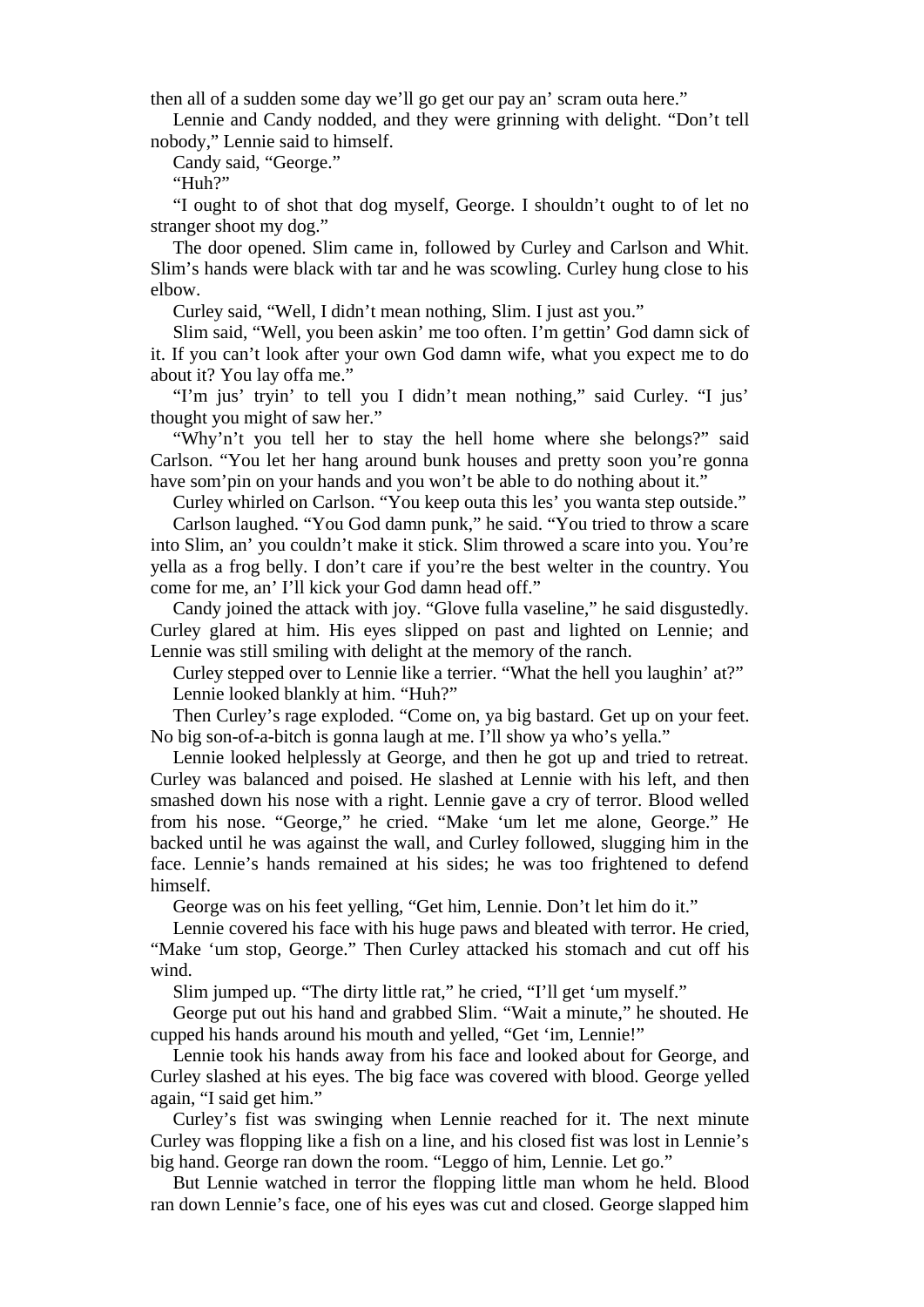then all of a sudden some day we'll go get our pay an' scram outa here."

Lennie and Candy nodded, and they were grinning with delight. "Don't tell nobody," Lennie said to himself.

Candy said, "George."

"Huh?"

"I ought to of shot that dog myself, George. I shouldn't ought to of let no stranger shoot my dog."

The door opened. Slim came in, followed by Curley and Carlson and Whit. Slim's hands were black with tar and he was scowling. Curley hung close to his elbow.

Curley said, "Well, I didn't mean nothing, Slim. I just ast you."

Slim said, "Well, you been askin' me too often. I'm gettin' God damn sick of it. If you can't look after your own God damn wife, what you expect me to do about it? You lay offa me."

"I'm jus' tryin' to tell you I didn't mean nothing," said Curley. "I jus' thought you might of saw her."

"Why'n't you tell her to stay the hell home where she belongs?" said Carlson. "You let her hang around bunk houses and pretty soon you're gonna have som'pin on your hands and you won't be able to do nothing about it."

Curley whirled on Carlson. "You keep outa this les' you wanta step outside."

Carlson laughed. "You God damn punk," he said. "You tried to throw a scare into Slim, an' you couldn't make it stick. Slim throwed a scare into you. You're yella as a frog belly. I don't care if you're the best welter in the country. You come for me, an' I'll kick your God damn head off."

Candy joined the attack with joy. "Glove fulla vaseline," he said disgustedly. Curley glared at him. His eyes slipped on past and lighted on Lennie; and Lennie was still smiling with delight at the memory of the ranch.

Curley stepped over to Lennie like a terrier. "What the hell you laughin' at?" Lennie looked blankly at him. "Huh?"

Then Curley's rage exploded. "Come on, ya big bastard. Get up on your feet. No big son-of-a-bitch is gonna laugh at me. I'll show ya who's yella."

Lennie looked helplessly at George, and then he got up and tried to retreat. Curley was balanced and poised. He slashed at Lennie with his left, and then smashed down his nose with a right. Lennie gave a cry of terror. Blood welled from his nose. "George," he cried. "Make 'um let me alone, George." He backed until he was against the wall, and Curley followed, slugging him in the face. Lennie's hands remained at his sides; he was too frightened to defend himself.

George was on his feet yelling, "Get him, Lennie. Don't let him do it."

Lennie covered his face with his huge paws and bleated with terror. He cried, "Make 'um stop, George." Then Curley attacked his stomach and cut off his wind.

Slim jumped up. "The dirty little rat," he cried, "I'll get 'um myself."

George put out his hand and grabbed Slim. "Wait a minute," he shouted. He cupped his hands around his mouth and yelled, "Get 'im, Lennie!"

Lennie took his hands away from his face and looked about for George, and Curley slashed at his eyes. The big face was covered with blood. George yelled again, "I said get him."

Curley's fist was swinging when Lennie reached for it. The next minute Curley was flopping like a fish on a line, and his closed fist was lost in Lennie's big hand. George ran down the room. "Leggo of him, Lennie. Let go."

But Lennie watched in terror the flopping little man whom he held. Blood ran down Lennie's face, one of his eyes was cut and closed. George slapped him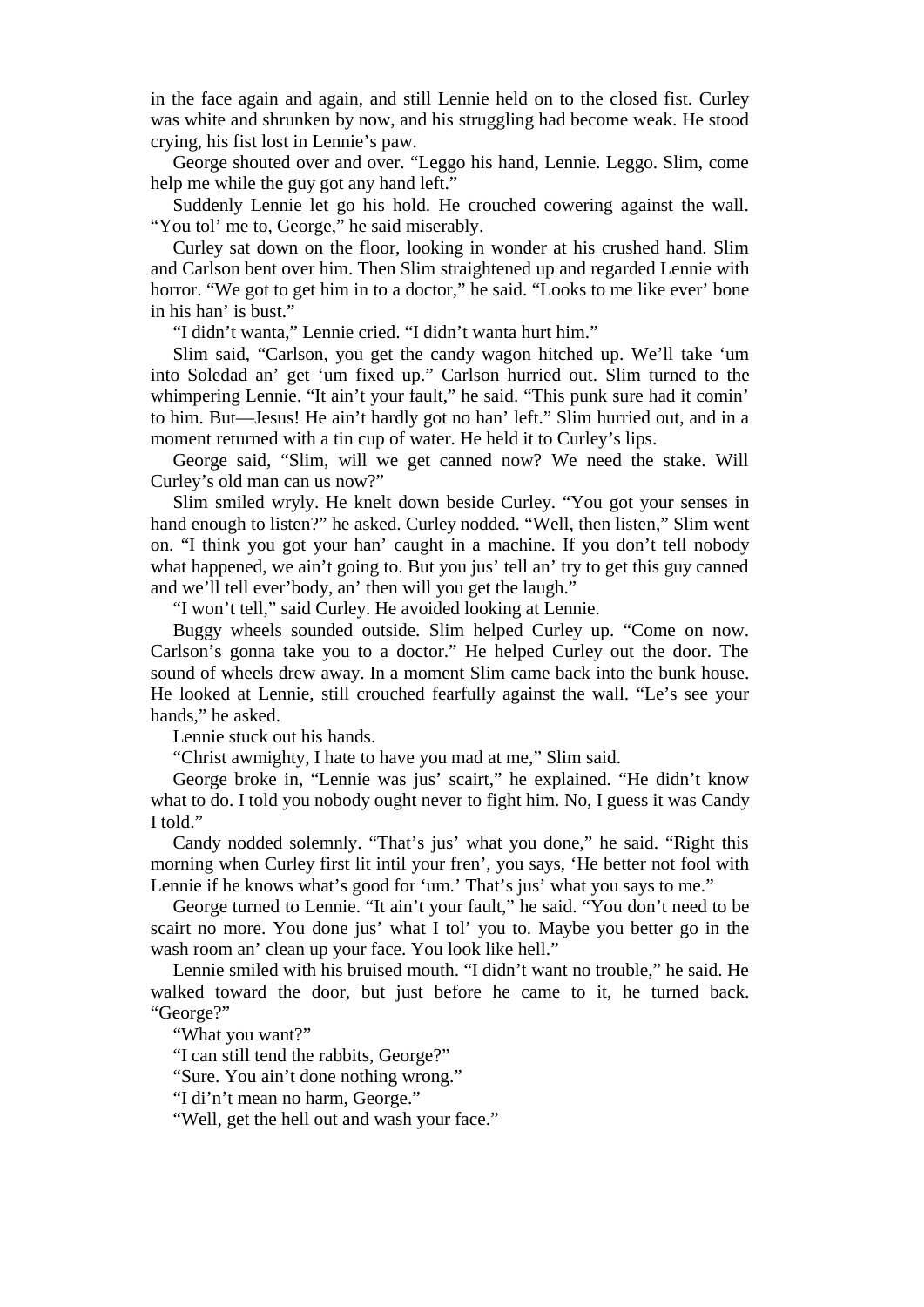in the face again and again, and still Lennie held on to the closed fist. Curley was white and shrunken by now, and his struggling had become weak. He stood crying, his fist lost in Lennie's paw.

George shouted over and over. "Leggo his hand, Lennie. Leggo. Slim, come help me while the guy got any hand left."

Suddenly Lennie let go his hold. He crouched cowering against the wall. "You tol' me to, George," he said miserably.

Curley sat down on the floor, looking in wonder at his crushed hand. Slim and Carlson bent over him. Then Slim straightened up and regarded Lennie with horror. "We got to get him in to a doctor," he said. "Looks to me like ever' bone in his han' is bust."

"I didn't wanta," Lennie cried. "I didn't wanta hurt him."

Slim said, "Carlson, you get the candy wagon hitched up. We'll take 'um into Soledad an' get 'um fixed up." Carlson hurried out. Slim turned to the whimpering Lennie. "It ain't your fault," he said. "This punk sure had it comin' to him. But—Jesus! He ain't hardly got no han' left." Slim hurried out, and in a moment returned with a tin cup of water. He held it to Curley's lips.

George said, "Slim, will we get canned now? We need the stake. Will Curley's old man can us now?"

Slim smiled wryly. He knelt down beside Curley. "You got your senses in hand enough to listen?" he asked. Curley nodded. "Well, then listen," Slim went on. "I think you got your han' caught in a machine. If you don't tell nobody what happened, we ain't going to. But you jus' tell an' try to get this guy canned and we'll tell ever'body, an' then will you get the laugh."

"I won't tell," said Curley. He avoided looking at Lennie.

Buggy wheels sounded outside. Slim helped Curley up. "Come on now. Carlson's gonna take you to a doctor." He helped Curley out the door. The sound of wheels drew away. In a moment Slim came back into the bunk house. He looked at Lennie, still crouched fearfully against the wall. "Le's see your hands," he asked.

Lennie stuck out his hands.

"Christ awmighty, I hate to have you mad at me," Slim said.

George broke in, "Lennie was jus' scairt," he explained. "He didn't know what to do. I told you nobody ought never to fight him. No, I guess it was Candy I told."

Candy nodded solemnly. "That's jus' what you done," he said. "Right this morning when Curley first lit intil your fren', you says, 'He better not fool with Lennie if he knows what's good for 'um.' That's jus' what you says to me."

George turned to Lennie. "It ain't your fault," he said. "You don't need to be scairt no more. You done jus' what I tol' you to. Maybe you better go in the wash room an' clean up your face. You look like hell."

Lennie smiled with his bruised mouth. "I didn't want no trouble," he said. He walked toward the door, but just before he came to it, he turned back. "George?"

"What you want?"

"I can still tend the rabbits, George?"

"Sure. You ain't done nothing wrong."

"I di'n't mean no harm, George."

"Well, get the hell out and wash your face."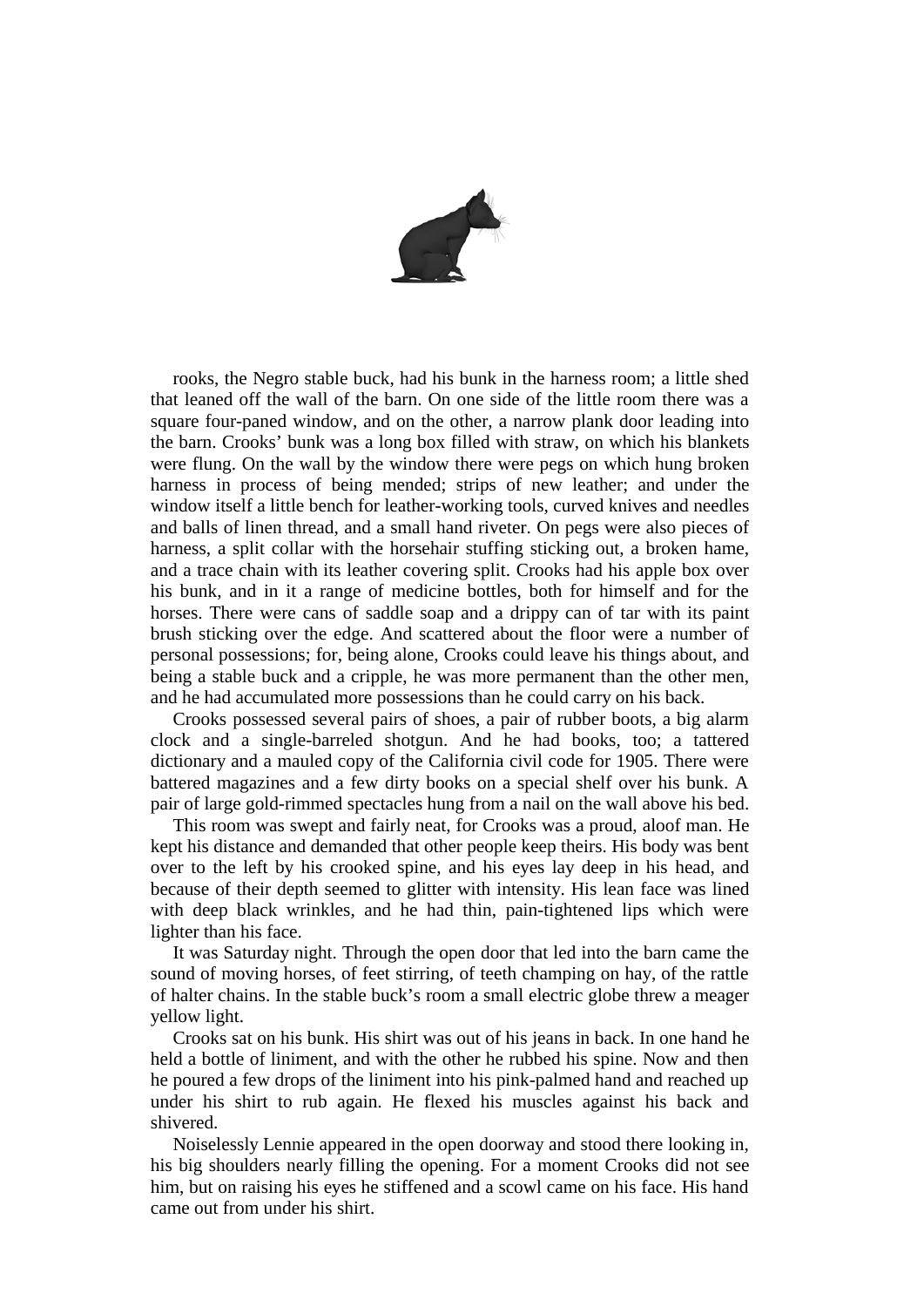

rooks, the Negro stable buck, had his bunk in the harness room; a little shed that leaned off the wall of the barn. On one side of the little room there was a square four-paned window, and on the other, a narrow plank door leading into the barn. Crooks' bunk was a long box filled with straw, on which his blankets were flung. On the wall by the window there were pegs on which hung broken harness in process of being mended; strips of new leather; and under the window itself a little bench for leather-working tools, curved knives and needles and balls of linen thread, and a small hand riveter. On pegs were also pieces of harness, a split collar with the horsehair stuffing sticking out, a broken hame, and a trace chain with its leather covering split. Crooks had his apple box over his bunk, and in it a range of medicine bottles, both for himself and for the horses. There were cans of saddle soap and a drippy can of tar with its paint brush sticking over the edge. And scattered about the floor were a number of personal possessions; for, being alone, Crooks could leave his things about, and being a stable buck and a cripple, he was more permanent than the other men, and he had accumulated more possessions than he could carry on his back.

Crooks possessed several pairs of shoes, a pair of rubber boots, a big alarm clock and a single-barreled shotgun. And he had books, too; a tattered dictionary and a mauled copy of the California civil code for 1905. There were battered magazines and a few dirty books on a special shelf over his bunk. A pair of large gold-rimmed spectacles hung from a nail on the wall above his bed.

This room was swept and fairly neat, for Crooks was a proud, aloof man. He kept his distance and demanded that other people keep theirs. His body was bent over to the left by his crooked spine, and his eyes lay deep in his head, and because of their depth seemed to glitter with intensity. His lean face was lined with deep black wrinkles, and he had thin, pain-tightened lips which were lighter than his face.

It was Saturday night. Through the open door that led into the barn came the sound of moving horses, of feet stirring, of teeth champing on hay, of the rattle of halter chains. In the stable buck's room a small electric globe threw a meager yellow light.

Crooks sat on his bunk. His shirt was out of his jeans in back. In one hand he held a bottle of liniment, and with the other he rubbed his spine. Now and then he poured a few drops of the liniment into his pink-palmed hand and reached up under his shirt to rub again. He flexed his muscles against his back and shivered.

Noiselessly Lennie appeared in the open doorway and stood there looking in, his big shoulders nearly filling the opening. For a moment Crooks did not see him, but on raising his eyes he stiffened and a scowl came on his face. His hand came out from under his shirt.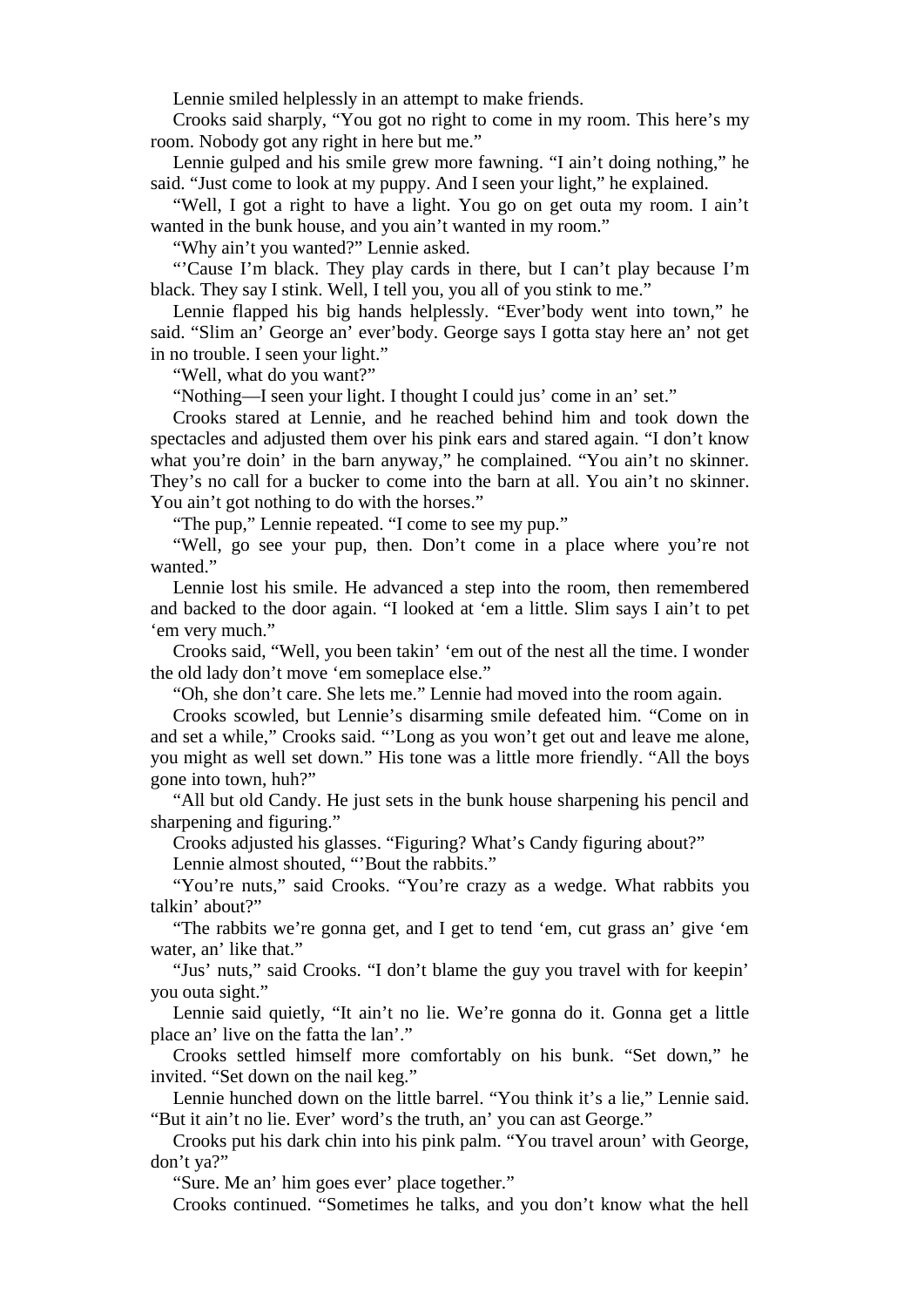Lennie smiled helplessly in an attempt to make friends.

Crooks said sharply, "You got no right to come in my room. This here's my room. Nobody got any right in here but me."

Lennie gulped and his smile grew more fawning. "I ain't doing nothing," he said. "Just come to look at my puppy. And I seen your light," he explained.

"Well, I got a right to have a light. You go on get outa my room. I ain't wanted in the bunk house, and you ain't wanted in my room."

"Why ain't you wanted?" Lennie asked.

"Cause I'm black. They play cards in there, but I can't play because I'm black. They say I stink. Well, I tell you, you all of you stink to me."

Lennie flapped his big hands helplessly. "Ever'body went into town," he said. "Slim an' George an' ever'body. George says I gotta stay here an' not get in no trouble. I seen your light."

"Well, what do you want?"

"Nothing—I seen your light. I thought I could jus' come in an' set."

Crooks stared at Lennie, and he reached behind him and took down the spectacles and adjusted them over his pink ears and stared again. "I don't know what you're doin' in the barn anyway," he complained. "You ain't no skinner. They's no call for a bucker to come into the barn at all. You ain't no skinner. You ain't got nothing to do with the horses."

"The pup," Lennie repeated. "I come to see my pup."

"Well, go see your pup, then. Don't come in a place where you're not wanted."

Lennie lost his smile. He advanced a step into the room, then remembered and backed to the door again. "I looked at 'em a little. Slim says I ain't to pet 'em very much."

Crooks said, "Well, you been takin' 'em out of the nest all the time. I wonder the old lady don't move 'em someplace else."

"Oh, she don't care. She lets me." Lennie had moved into the room again.

Crooks scowled, but Lennie's disarming smile defeated him. "Come on in and set a while," Crooks said. "'Long as you won't get out and leave me alone, you might as well set down." His tone was a little more friendly. "All the boys gone into town, huh?"

"All but old Candy. He just sets in the bunk house sharpening his pencil and sharpening and figuring."

Crooks adjusted his glasses. "Figuring? What's Candy figuring about?"

Lennie almost shouted, "'Bout the rabbits."

"You're nuts," said Crooks. "You're crazy as a wedge. What rabbits you talkin' about?"

"The rabbits we're gonna get, and I get to tend 'em, cut grass an' give 'em water, an' like that."

"Jus' nuts," said Crooks. "I don't blame the guy you travel with for keepin' you outa sight."

Lennie said quietly, "It ain't no lie. We're gonna do it. Gonna get a little place an' live on the fatta the lan'."

Crooks settled himself more comfortably on his bunk. "Set down," he invited. "Set down on the nail keg."

Lennie hunched down on the little barrel. "You think it's a lie," Lennie said. "But it ain't no lie. Ever' word's the truth, an' you can ast George."

Crooks put his dark chin into his pink palm. "You travel aroun' with George, don't ya?"

"Sure. Me an' him goes ever' place together."

Crooks continued. "Sometimes he talks, and you don't know what the hell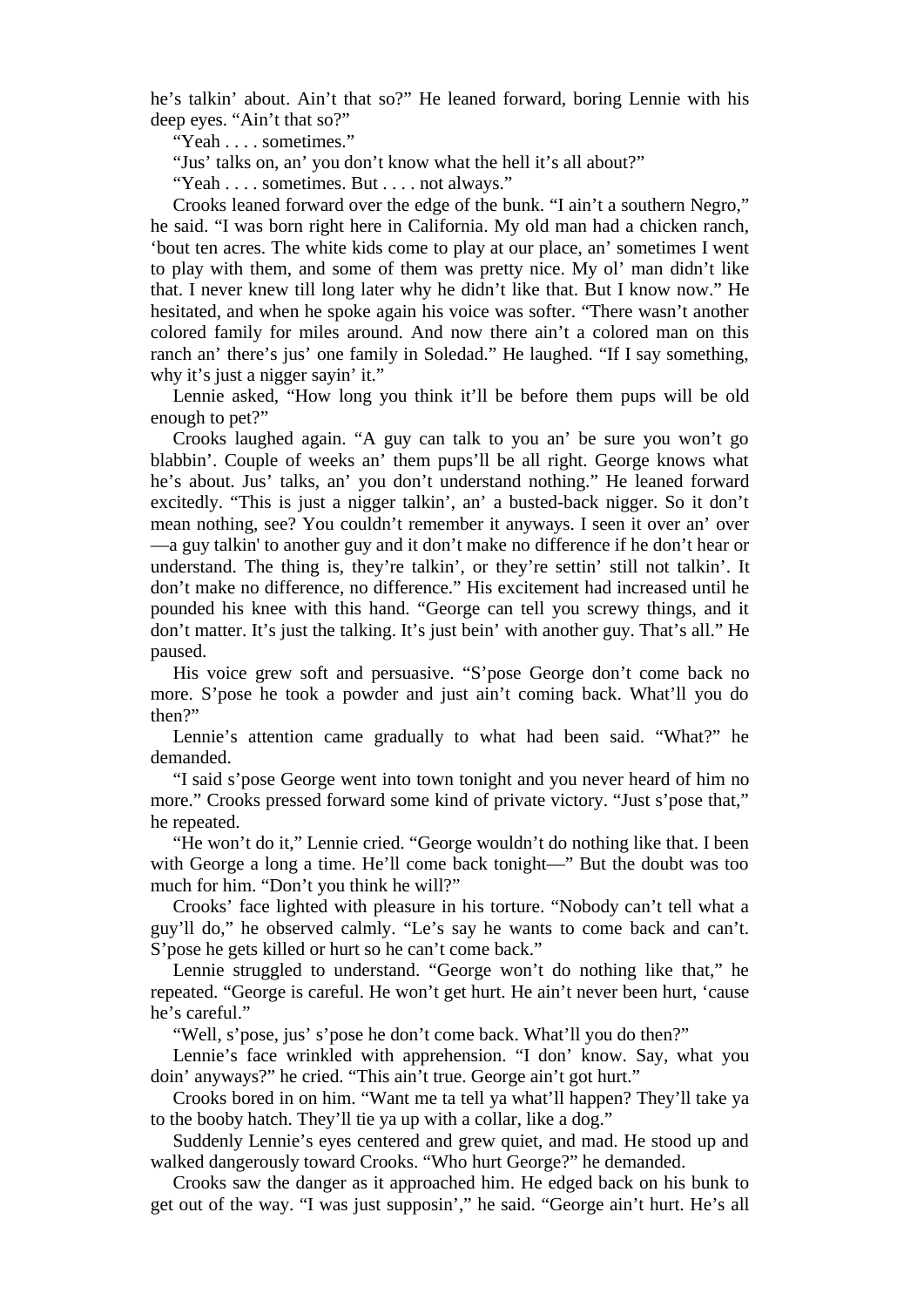he's talkin' about. Ain't that so?" He leaned forward, boring Lennie with his deep eyes. "Ain't that so?"

"Yeah . . . . sometimes."

"Jus' talks on, an' you don't know what the hell it's all about?"

"Yeah . . . . sometimes. But . . . . not always."

Crooks leaned forward over the edge of the bunk. "I ain't a southern Negro," he said. "I was born right here in California. My old man had a chicken ranch, 'bout ten acres. The white kids come to play at our place, an' sometimes I went to play with them, and some of them was pretty nice. My ol' man didn't like that. I never knew till long later why he didn't like that. But I know now." He hesitated, and when he spoke again his voice was softer. "There wasn't another colored family for miles around. And now there ain't a colored man on this ranch an' there's jus' one family in Soledad." He laughed. "If I say something, why it's just a nigger sayin' it."

Lennie asked, "How long you think it'll be before them pups will be old enough to pet?"

Crooks laughed again. "A guy can talk to you an' be sure you won't go blabbin'. Couple of weeks an' them pups'll be all right. George knows what he's about. Jus' talks, an' you don't understand nothing." He leaned forward excitedly. "This is just a nigger talkin', an' a busted-back nigger. So it don't mean nothing, see? You couldn't remember it anyways. I seen it over an' over —a guy talkin' to another guy and it don't make no difference if he don't hear or understand. The thing is, they're talkin', or they're settin' still not talkin'. It don't make no difference, no difference." His excitement had increased until he pounded his knee with this hand. "George can tell you screwy things, and it don't matter. It's just the talking. It's just bein' with another guy. That's all." He paused.

His voice grew soft and persuasive. "S'pose George don't come back no more. S'pose he took a powder and just ain't coming back. What'll you do then?"

Lennie's attention came gradually to what had been said. "What?" he demanded.

"I said s'pose George went into town tonight and you never heard of him no more." Crooks pressed forward some kind of private victory. "Just s'pose that," he repeated.

"He won't do it," Lennie cried. "George wouldn't do nothing like that. I been with George a long a time. He'll come back tonight—" But the doubt was too much for him. "Don't you think he will?"

Crooks' face lighted with pleasure in his torture. "Nobody can't tell what a guy'll do," he observed calmly. "Le's say he wants to come back and can't. S'pose he gets killed or hurt so he can't come back."

Lennie struggled to understand. "George won't do nothing like that," he repeated. "George is careful. He won't get hurt. He ain't never been hurt, 'cause he's careful."

"Well, s'pose, jus' s'pose he don't come back. What'll you do then?"

Lennie's face wrinkled with apprehension. "I don' know. Say, what you doin' anyways?" he cried. "This ain't true. George ain't got hurt."

Crooks bored in on him. "Want me ta tell ya what'll happen? They'll take ya to the booby hatch. They'll tie ya up with a collar, like a dog."

Suddenly Lennie's eyes centered and grew quiet, and mad. He stood up and walked dangerously toward Crooks. "Who hurt George?" he demanded.

Crooks saw the danger as it approached him. He edged back on his bunk to get out of the way. "I was just supposin'," he said. "George ain't hurt. He's all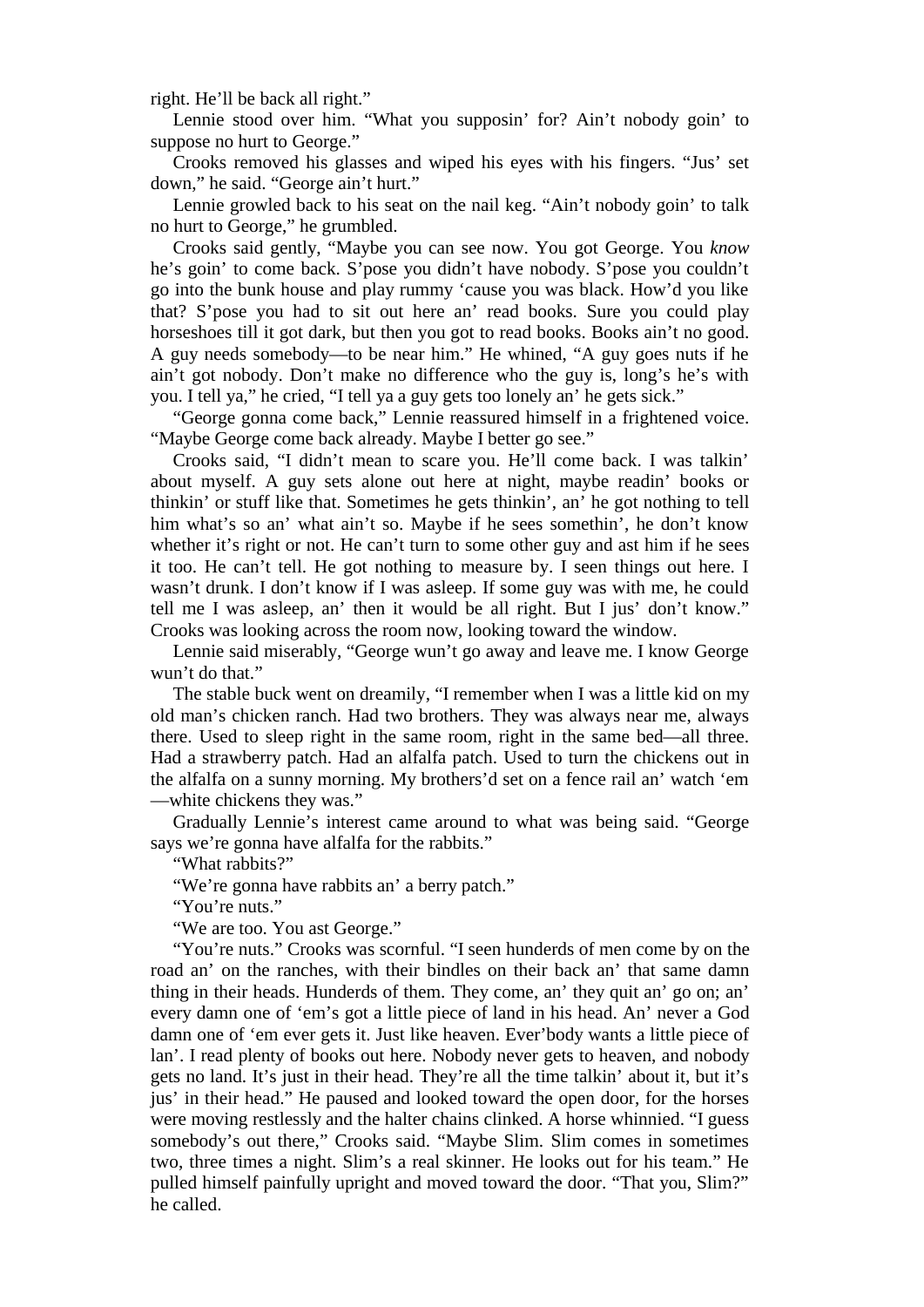right. He'll be back all right."

Lennie stood over him. "What you supposin' for? Ain't nobody goin' to suppose no hurt to George."

Crooks removed his glasses and wiped his eyes with his fingers. "Jus' set down," he said. "George ain't hurt."

Lennie growled back to his seat on the nail keg. "Ain't nobody goin' to talk no hurt to George," he grumbled.

Crooks said gently, "Maybe you can see now. You got George. You *know* he's goin' to come back. S'pose you didn't have nobody. S'pose you couldn't go into the bunk house and play rummy 'cause you was black. How'd you like that? S'pose you had to sit out here an' read books. Sure you could play horseshoes till it got dark, but then you got to read books. Books ain't no good. A guy needs somebody—to be near him." He whined, "A guy goes nuts if he ain't got nobody. Don't make no difference who the guy is, long's he's with you. I tell ya," he cried, "I tell ya a guy gets too lonely an' he gets sick."

"George gonna come back," Lennie reassured himself in a frightened voice. "Maybe George come back already. Maybe I better go see."

Crooks said, "I didn't mean to scare you. He'll come back. I was talkin' about myself. A guy sets alone out here at night, maybe readin' books or thinkin' or stuff like that. Sometimes he gets thinkin', an' he got nothing to tell him what's so an' what ain't so. Maybe if he sees somethin', he don't know whether it's right or not. He can't turn to some other guy and ast him if he sees it too. He can't tell. He got nothing to measure by. I seen things out here. I wasn't drunk. I don't know if I was asleep. If some guy was with me, he could tell me I was asleep, an' then it would be all right. But I jus' don't know." Crooks was looking across the room now, looking toward the window.

Lennie said miserably, "George wun't go away and leave me. I know George wun't do that."

The stable buck went on dreamily, "I remember when I was a little kid on my old man's chicken ranch. Had two brothers. They was always near me, always there. Used to sleep right in the same room, right in the same bed—all three. Had a strawberry patch. Had an alfalfa patch. Used to turn the chickens out in the alfalfa on a sunny morning. My brothers'd set on a fence rail an' watch 'em —white chickens they was."

Gradually Lennie's interest came around to what was being said. "George says we're gonna have alfalfa for the rabbits."

"What rabbits?"

"We're gonna have rabbits an' a berry patch."

"You're nuts."

"We are too. You ast George."

"You're nuts." Crooks was scornful. "I seen hunderds of men come by on the road an' on the ranches, with their bindles on their back an' that same damn thing in their heads. Hunderds of them. They come, an' they quit an' go on; an' every damn one of 'em's got a little piece of land in his head. An' never a God damn one of 'em ever gets it. Just like heaven. Ever'body wants a little piece of lan'. I read plenty of books out here. Nobody never gets to heaven, and nobody gets no land. It's just in their head. They're all the time talkin' about it, but it's jus' in their head." He paused and looked toward the open door, for the horses were moving restlessly and the halter chains clinked. A horse whinnied. "I guess somebody's out there," Crooks said. "Maybe Slim. Slim comes in sometimes two, three times a night. Slim's a real skinner. He looks out for his team." He pulled himself painfully upright and moved toward the door. "That you, Slim?" he called.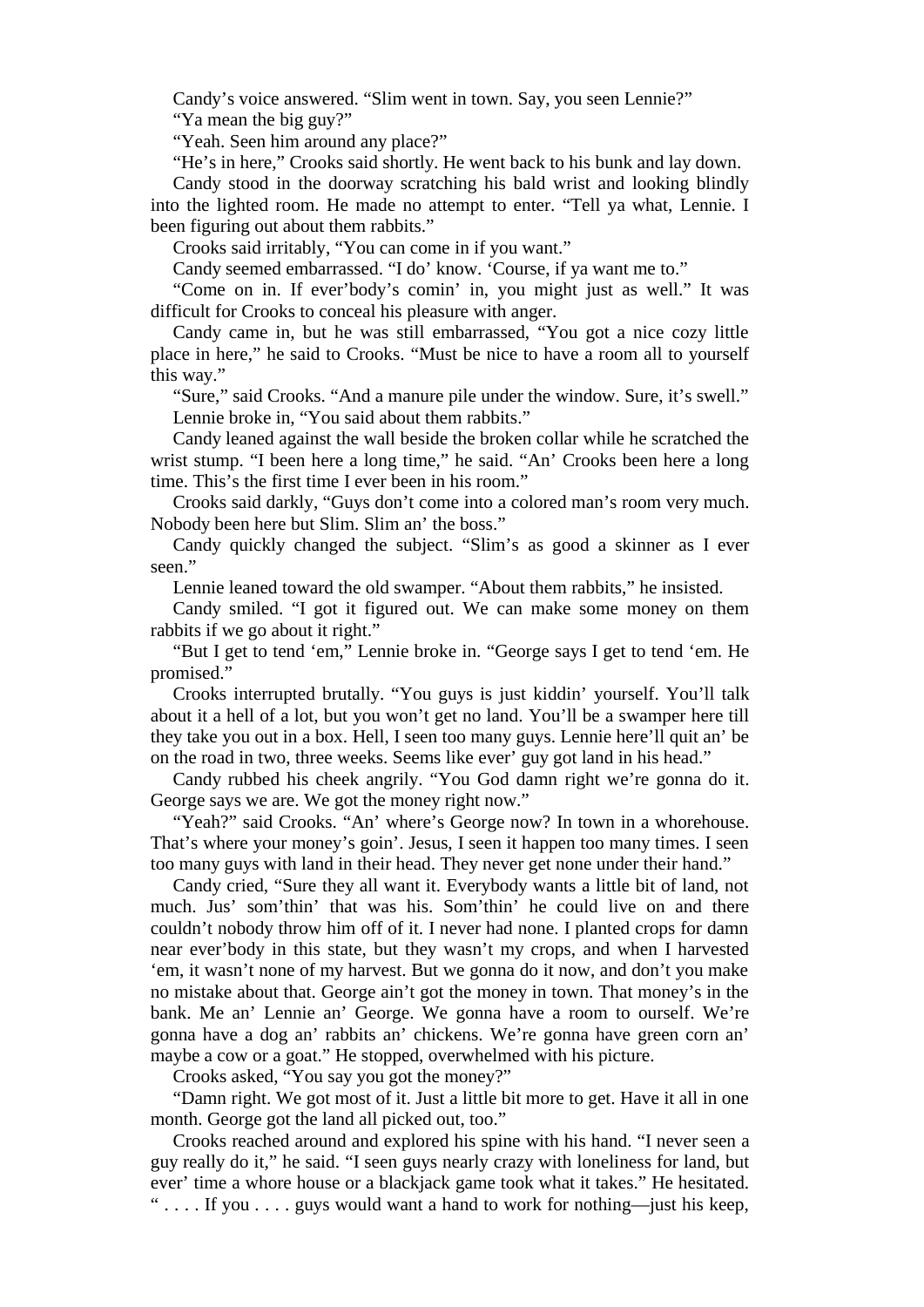Candy's voice answered. "Slim went in town. Say, you seen Lennie?" "Ya mean the big guy?"

"Yeah. Seen him around any place?"

"He's in here," Crooks said shortly. He went back to his bunk and lay down.

Candy stood in the doorway scratching his bald wrist and looking blindly into the lighted room. He made no attempt to enter. "Tell ya what, Lennie. I been figuring out about them rabbits."

Crooks said irritably, "You can come in if you want."

Candy seemed embarrassed. "I do' know. 'Course, if ya want me to."

"Come on in. If ever'body's comin' in, you might just as well." It was difficult for Crooks to conceal his pleasure with anger.

Candy came in, but he was still embarrassed, "You got a nice cozy little place in here," he said to Crooks. "Must be nice to have a room all to yourself this way."

"Sure," said Crooks. "And a manure pile under the window. Sure, it's swell." Lennie broke in, "You said about them rabbits."

Candy leaned against the wall beside the broken collar while he scratched the wrist stump. "I been here a long time," he said. "An' Crooks been here a long time. This's the first time I ever been in his room."

Crooks said darkly, "Guys don't come into a colored man's room very much. Nobody been here but Slim. Slim an' the boss."

Candy quickly changed the subject. "Slim's as good a skinner as I ever seen."

Lennie leaned toward the old swamper. "About them rabbits," he insisted.

Candy smiled. "I got it figured out. We can make some money on them rabbits if we go about it right."

"But I get to tend 'em," Lennie broke in. "George says I get to tend 'em. He promised."

Crooks interrupted brutally. "You guys is just kiddin' yourself. You'll talk about it a hell of a lot, but you won't get no land. You'll be a swamper here till they take you out in a box. Hell, I seen too many guys. Lennie here'll quit an' be on the road in two, three weeks. Seems like ever' guy got land in his head."

Candy rubbed his cheek angrily. "You God damn right we're gonna do it. George says we are. We got the money right now."

"Yeah?" said Crooks. "An' where's George now? In town in a whorehouse. That's where your money's goin'. Jesus, I seen it happen too many times. I seen too many guys with land in their head. They never get none under their hand."

Candy cried, "Sure they all want it. Everybody wants a little bit of land, not much. Jus' som'thin' that was his. Som'thin' he could live on and there couldn't nobody throw him off of it. I never had none. I planted crops for damn near ever'body in this state, but they wasn't my crops, and when I harvested 'em, it wasn't none of my harvest. But we gonna do it now, and don't you make no mistake about that. George ain't got the money in town. That money's in the bank. Me an' Lennie an' George. We gonna have a room to ourself. We're gonna have a dog an' rabbits an' chickens. We're gonna have green corn an' maybe a cow or a goat." He stopped, overwhelmed with his picture.

Crooks asked, "You say you got the money?"

"Damn right. We got most of it. Just a little bit more to get. Have it all in one month. George got the land all picked out, too."

Crooks reached around and explored his spine with his hand. "I never seen a guy really do it," he said. "I seen guys nearly crazy with loneliness for land, but ever' time a whore house or a blackjack game took what it takes." He hesitated. " . . . . If you . . . . guys would want a hand to work for nothing—just his keep,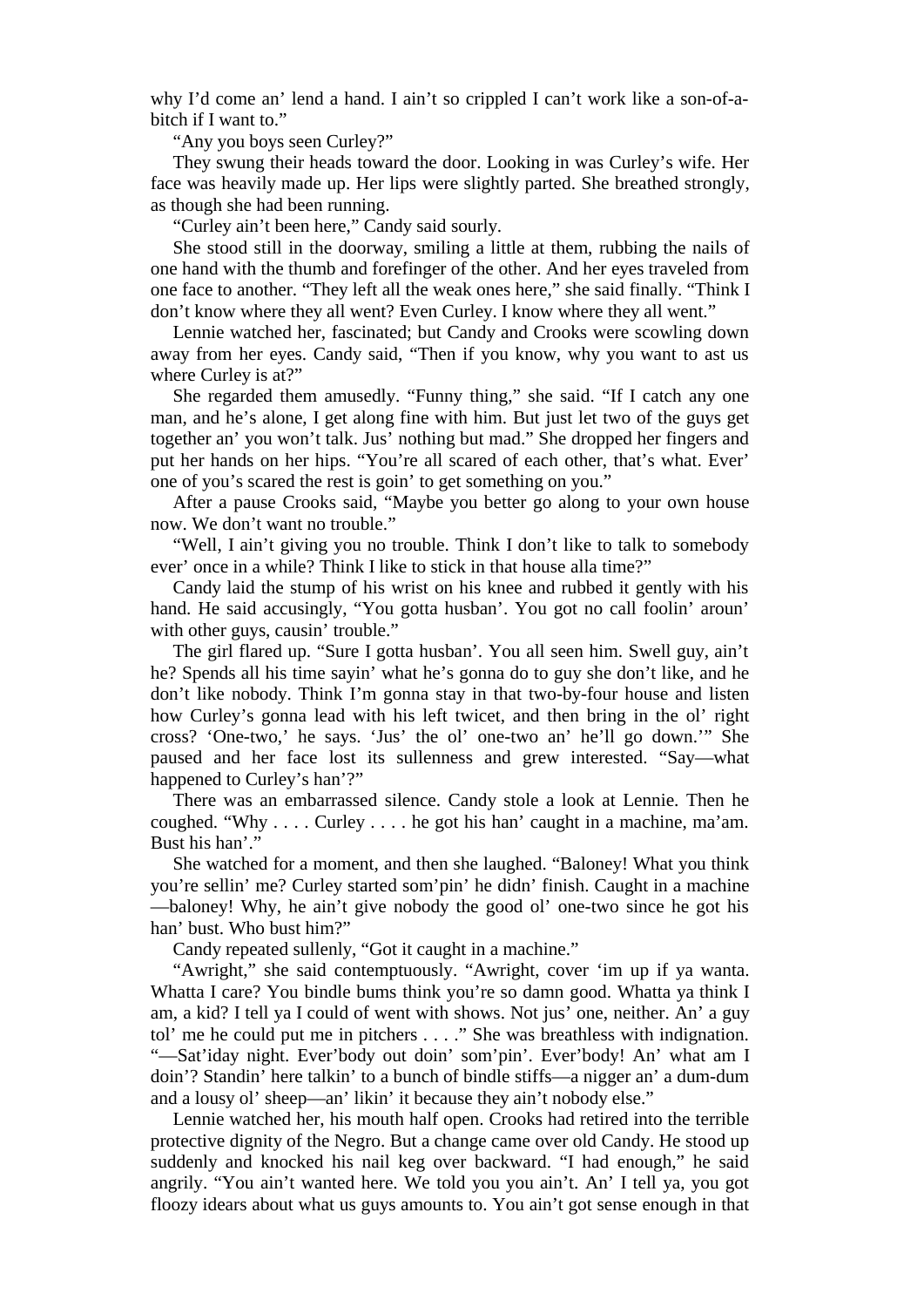why I'd come an' lend a hand. I ain't so crippled I can't work like a son-of-abitch if I want to."

"Any you boys seen Curley?"

They swung their heads toward the door. Looking in was Curley's wife. Her face was heavily made up. Her lips were slightly parted. She breathed strongly, as though she had been running.

"Curley ain't been here," Candy said sourly.

She stood still in the doorway, smiling a little at them, rubbing the nails of one hand with the thumb and forefinger of the other. And her eyes traveled from one face to another. "They left all the weak ones here," she said finally. "Think I don't know where they all went? Even Curley. I know where they all went."

Lennie watched her, fascinated; but Candy and Crooks were scowling down away from her eyes. Candy said, "Then if you know, why you want to ast us where Curley is at?"

She regarded them amusedly. "Funny thing," she said. "If I catch any one man, and he's alone, I get along fine with him. But just let two of the guys get together an' you won't talk. Jus' nothing but mad." She dropped her fingers and put her hands on her hips. "You're all scared of each other, that's what. Ever' one of you's scared the rest is goin' to get something on you."

After a pause Crooks said, "Maybe you better go along to your own house now. We don't want no trouble."

"Well, I ain't giving you no trouble. Think I don't like to talk to somebody ever' once in a while? Think I like to stick in that house alla time?"

Candy laid the stump of his wrist on his knee and rubbed it gently with his hand. He said accusingly, "You gotta husban'. You got no call foolin' aroun' with other guys, causin' trouble."

The girl flared up. "Sure I gotta husban'. You all seen him. Swell guy, ain't he? Spends all his time sayin' what he's gonna do to guy she don't like, and he don't like nobody. Think I'm gonna stay in that two-by-four house and listen how Curley's gonna lead with his left twicet, and then bring in the ol' right cross? 'One-two,' he says. 'Jus' the ol' one-two an' he'll go down.'" She paused and her face lost its sullenness and grew interested. "Say—what happened to Curley's han'?"

There was an embarrassed silence. Candy stole a look at Lennie. Then he coughed. "Why . . . . Curley . . . . he got his han' caught in a machine, ma'am. Bust his han'."

She watched for a moment, and then she laughed. "Baloney! What you think you're sellin' me? Curley started som'pin' he didn' finish. Caught in a machine —baloney! Why, he ain't give nobody the good ol' one-two since he got his han' bust. Who bust him?"

Candy repeated sullenly, "Got it caught in a machine."

"Awright," she said contemptuously. "Awright, cover 'im up if ya wanta. Whatta I care? You bindle bums think you're so damn good. Whatta ya think I am, a kid? I tell ya I could of went with shows. Not jus' one, neither. An' a guy tol' me he could put me in pitchers . . . ." She was breathless with indignation. "—Sat'iday night. Ever'body out doin' som'pin'. Ever'body! An' what am I doin'? Standin' here talkin' to a bunch of bindle stiffs—a nigger an' a dum-dum and a lousy ol' sheep—an' likin' it because they ain't nobody else."

Lennie watched her, his mouth half open. Crooks had retired into the terrible protective dignity of the Negro. But a change came over old Candy. He stood up suddenly and knocked his nail keg over backward. "I had enough," he said angrily. "You ain't wanted here. We told you you ain't. An' I tell ya, you got floozy idears about what us guys amounts to. You ain't got sense enough in that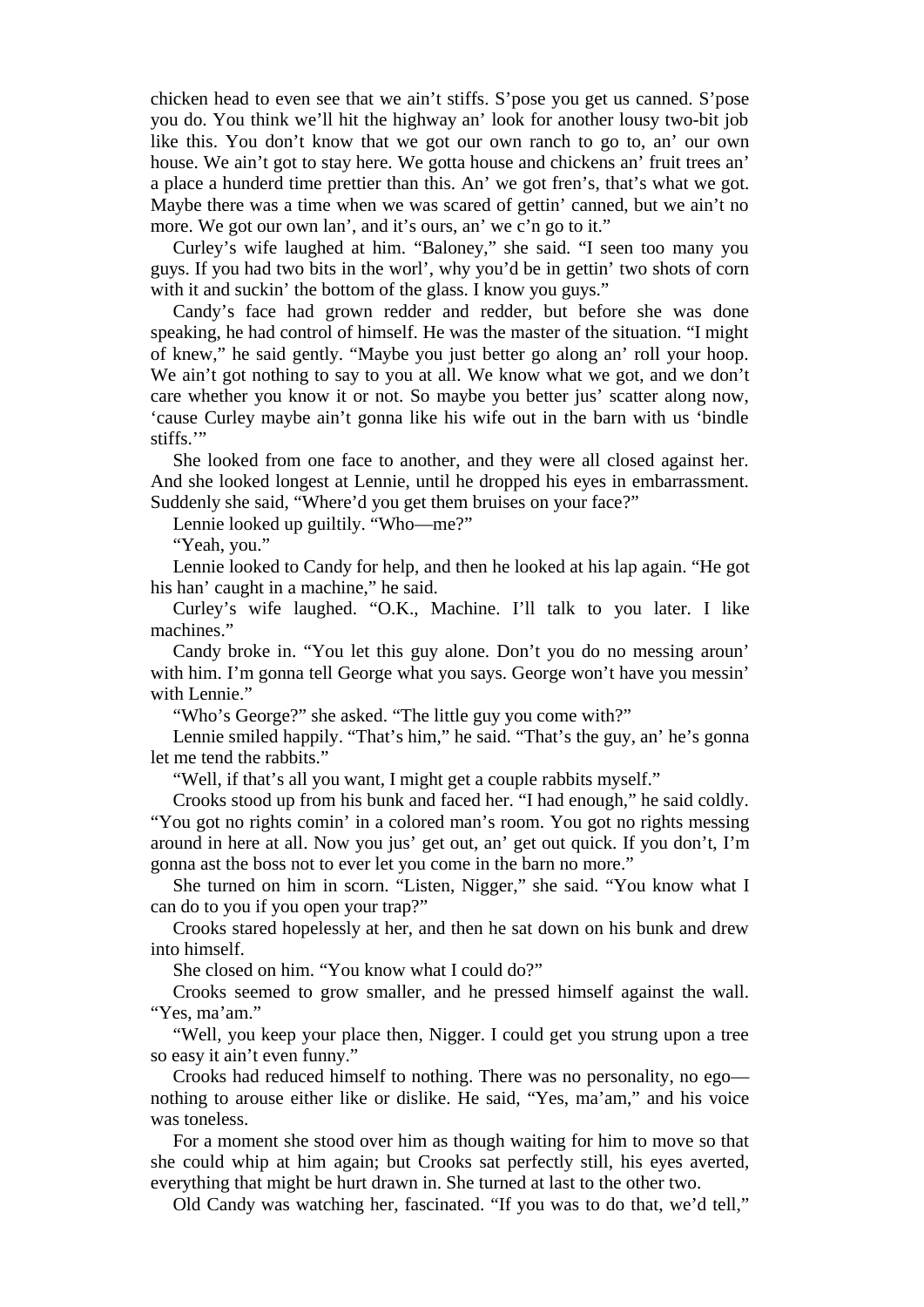chicken head to even see that we ain't stiffs. S'pose you get us canned. S'pose you do. You think we'll hit the highway an' look for another lousy two-bit job like this. You don't know that we got our own ranch to go to, an' our own house. We ain't got to stay here. We gotta house and chickens an' fruit trees an' a place a hunderd time prettier than this. An' we got fren's, that's what we got. Maybe there was a time when we was scared of gettin' canned, but we ain't no more. We got our own lan', and it's ours, an' we c'n go to it."

Curley's wife laughed at him. "Baloney," she said. "I seen too many you guys. If you had two bits in the worl', why you'd be in gettin' two shots of corn with it and suckin' the bottom of the glass. I know you guys."

Candy's face had grown redder and redder, but before she was done speaking, he had control of himself. He was the master of the situation. "I might of knew," he said gently. "Maybe you just better go along an' roll your hoop. We ain't got nothing to say to you at all. We know what we got, and we don't care whether you know it or not. So maybe you better jus' scatter along now, 'cause Curley maybe ain't gonna like his wife out in the barn with us 'bindle stiffs."

She looked from one face to another, and they were all closed against her. And she looked longest at Lennie, until he dropped his eyes in embarrassment. Suddenly she said, "Where'd you get them bruises on your face?"

Lennie looked up guiltily. "Who—me?"

"Yeah, you."

Lennie looked to Candy for help, and then he looked at his lap again. "He got his han' caught in a machine," he said.

Curley's wife laughed. "O.K., Machine. I'll talk to you later. I like machines."

Candy broke in. "You let this guy alone. Don't you do no messing aroun' with him. I'm gonna tell George what you says. George won't have you messin' with Lennie."

"Who's George?" she asked. "The little guy you come with?"

Lennie smiled happily. "That's him," he said. "That's the guy, an' he's gonna let me tend the rabbits."

"Well, if that's all you want, I might get a couple rabbits myself."

Crooks stood up from his bunk and faced her. "I had enough," he said coldly. "You got no rights comin' in a colored man's room. You got no rights messing around in here at all. Now you jus' get out, an' get out quick. If you don't, I'm gonna ast the boss not to ever let you come in the barn no more."

She turned on him in scorn. "Listen, Nigger," she said. "You know what I can do to you if you open your trap?"

Crooks stared hopelessly at her, and then he sat down on his bunk and drew into himself.

She closed on him. "You know what I could do?"

Crooks seemed to grow smaller, and he pressed himself against the wall. "Yes, ma'am."

"Well, you keep your place then, Nigger. I could get you strung upon a tree so easy it ain't even funny."

Crooks had reduced himself to nothing. There was no personality, no ego nothing to arouse either like or dislike. He said, "Yes, ma'am," and his voice was toneless.

For a moment she stood over him as though waiting for him to move so that she could whip at him again; but Crooks sat perfectly still, his eyes averted, everything that might be hurt drawn in. She turned at last to the other two.

Old Candy was watching her, fascinated. "If you was to do that, we'd tell,"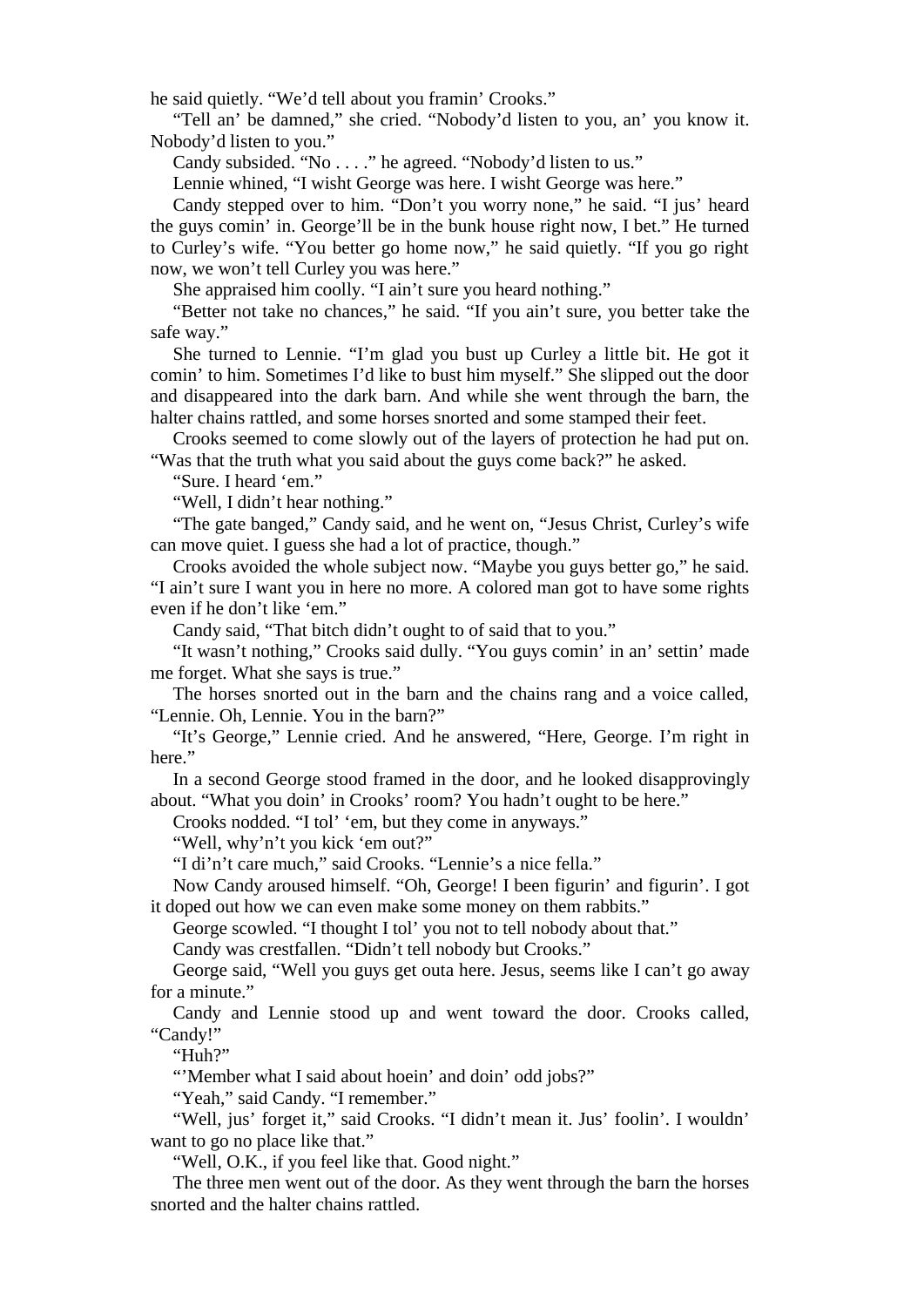he said quietly. "We'd tell about you framin' Crooks."

"Tell an' be damned," she cried. "Nobody'd listen to you, an' you know it. Nobody'd listen to you."

Candy subsided. "No . . . ." he agreed. "Nobody'd listen to us."

Lennie whined, "I wisht George was here. I wisht George was here."

Candy stepped over to him. "Don't you worry none," he said. "I jus' heard the guys comin' in. George'll be in the bunk house right now, I bet." He turned to Curley's wife. "You better go home now," he said quietly. "If you go right now, we won't tell Curley you was here."

She appraised him coolly. "I ain't sure you heard nothing."

"Better not take no chances," he said. "If you ain't sure, you better take the safe way."

She turned to Lennie. "I'm glad you bust up Curley a little bit. He got it comin' to him. Sometimes I'd like to bust him myself." She slipped out the door and disappeared into the dark barn. And while she went through the barn, the halter chains rattled, and some horses snorted and some stamped their feet.

Crooks seemed to come slowly out of the layers of protection he had put on. "Was that the truth what you said about the guys come back?" he asked.

"Sure. I heard 'em."

"Well, I didn't hear nothing."

"The gate banged," Candy said, and he went on, "Jesus Christ, Curley's wife can move quiet. I guess she had a lot of practice, though."

Crooks avoided the whole subject now. "Maybe you guys better go," he said. "I ain't sure I want you in here no more. A colored man got to have some rights even if he don't like 'em."

Candy said, "That bitch didn't ought to of said that to you."

"It wasn't nothing," Crooks said dully. "You guys comin' in an' settin' made me forget. What she says is true."

The horses snorted out in the barn and the chains rang and a voice called, "Lennie. Oh, Lennie. You in the barn?"

"It's George," Lennie cried. And he answered, "Here, George. I'm right in here."

In a second George stood framed in the door, and he looked disapprovingly about. "What you doin' in Crooks' room? You hadn't ought to be here."

Crooks nodded. "I tol' 'em, but they come in anyways."

"Well, why'n't you kick 'em out?"

"I di'n't care much," said Crooks. "Lennie's a nice fella."

Now Candy aroused himself. "Oh, George! I been figurin' and figurin'. I got it doped out how we can even make some money on them rabbits."

George scowled. "I thought I tol' you not to tell nobody about that."

Candy was crestfallen. "Didn't tell nobody but Crooks."

George said, "Well you guys get outa here. Jesus, seems like I can't go away for a minute."

Candy and Lennie stood up and went toward the door. Crooks called, "Candy!"

"Huh?"

"'Member what I said about hoein' and doin' odd jobs?"

"Yeah," said Candy. "I remember."

"Well, jus' forget it," said Crooks. "I didn't mean it. Jus' foolin'. I wouldn' want to go no place like that."

"Well, O.K., if you feel like that. Good night."

The three men went out of the door. As they went through the barn the horses snorted and the halter chains rattled.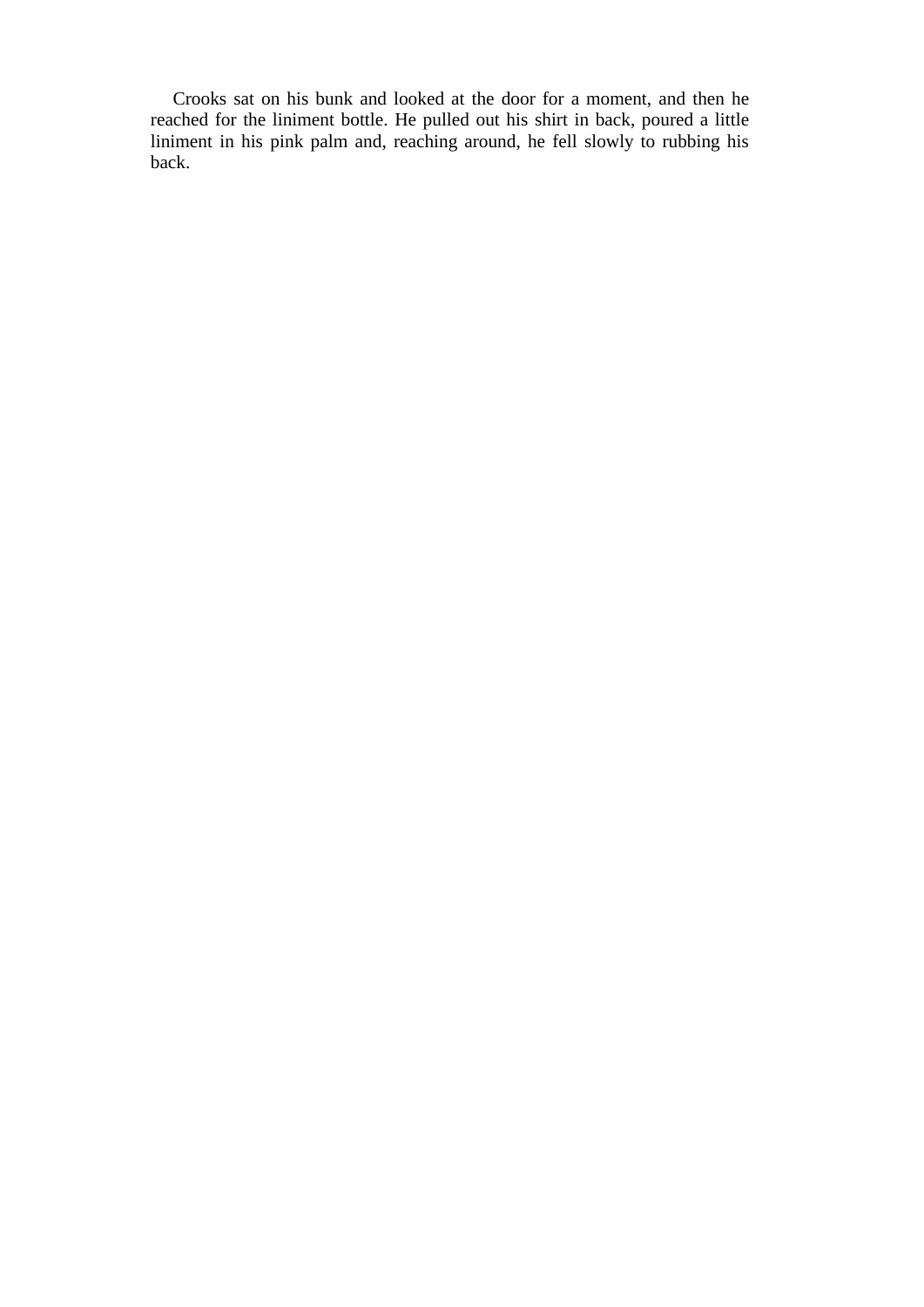Crooks sat on his bunk and looked at the door for a moment, and then he reached for the liniment bottle. He pulled out his shirt in back, poured a little liniment in his pink palm and, reaching around, he fell slowly to rubbing his back.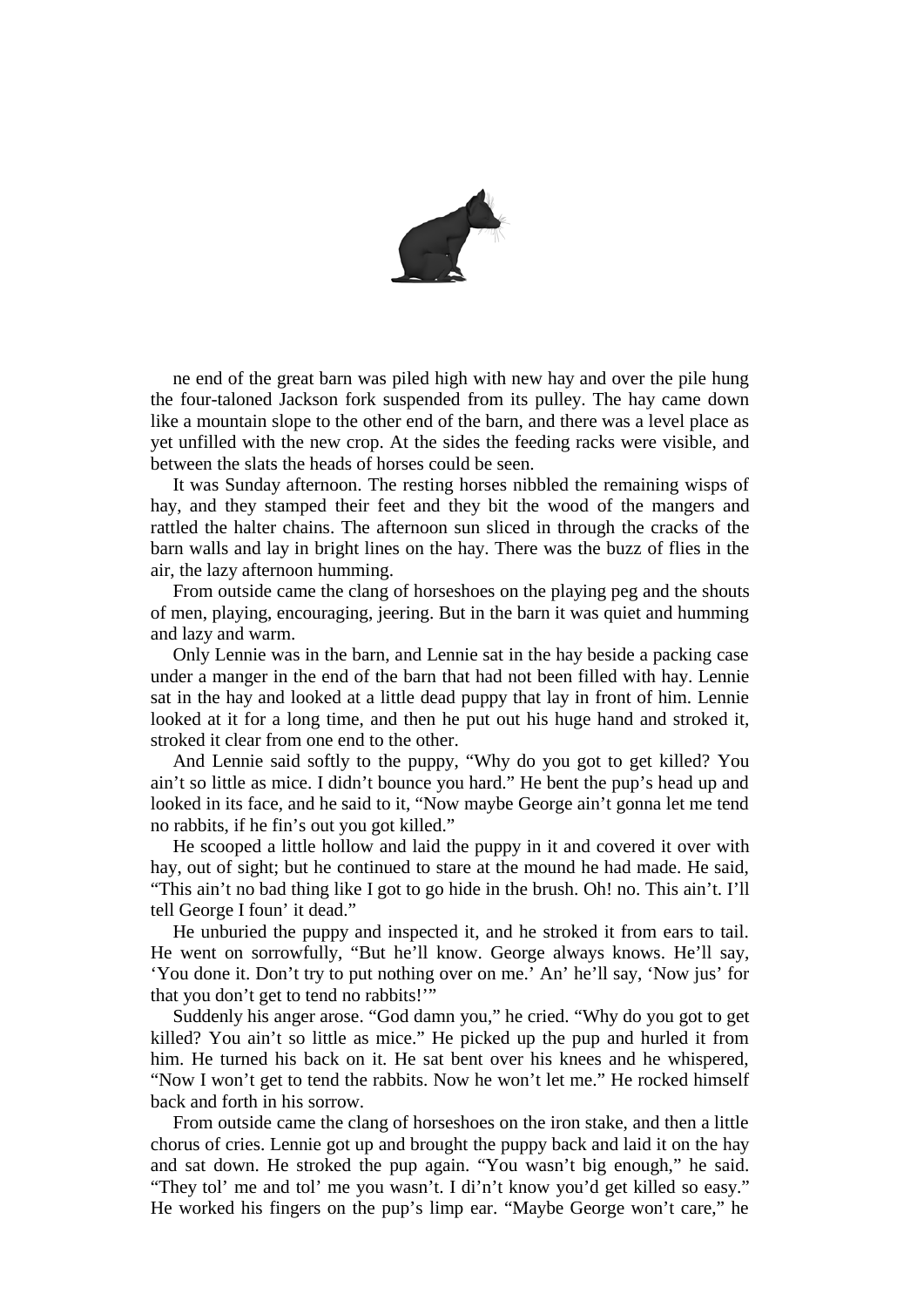

ne end of the great barn was piled high with new hay and over the pile hung the four-taloned Jackson fork suspended from its pulley. The hay came down like a mountain slope to the other end of the barn, and there was a level place as yet unfilled with the new crop. At the sides the feeding racks were visible, and between the slats the heads of horses could be seen.

It was Sunday afternoon. The resting horses nibbled the remaining wisps of hay, and they stamped their feet and they bit the wood of the mangers and rattled the halter chains. The afternoon sun sliced in through the cracks of the barn walls and lay in bright lines on the hay. There was the buzz of flies in the air, the lazy afternoon humming.

From outside came the clang of horseshoes on the playing peg and the shouts of men, playing, encouraging, jeering. But in the barn it was quiet and humming and lazy and warm.

Only Lennie was in the barn, and Lennie sat in the hay beside a packing case under a manger in the end of the barn that had not been filled with hay. Lennie sat in the hay and looked at a little dead puppy that lay in front of him. Lennie looked at it for a long time, and then he put out his huge hand and stroked it, stroked it clear from one end to the other.

And Lennie said softly to the puppy, "Why do you got to get killed? You ain't so little as mice. I didn't bounce you hard." He bent the pup's head up and looked in its face, and he said to it, "Now maybe George ain't gonna let me tend no rabbits, if he fin's out you got killed."

He scooped a little hollow and laid the puppy in it and covered it over with hay, out of sight; but he continued to stare at the mound he had made. He said, "This ain't no bad thing like I got to go hide in the brush. Oh! no. This ain't. I'll tell George I foun' it dead."

He unburied the puppy and inspected it, and he stroked it from ears to tail. He went on sorrowfully, "But he'll know. George always knows. He'll say, 'You done it. Don't try to put nothing over on me.' An' he'll say, 'Now jus' for that you don't get to tend no rabbits!'"

Suddenly his anger arose. "God damn you," he cried. "Why do you got to get killed? You ain't so little as mice." He picked up the pup and hurled it from him. He turned his back on it. He sat bent over his knees and he whispered, "Now I won't get to tend the rabbits. Now he won't let me." He rocked himself back and forth in his sorrow.

From outside came the clang of horseshoes on the iron stake, and then a little chorus of cries. Lennie got up and brought the puppy back and laid it on the hay and sat down. He stroked the pup again. "You wasn't big enough," he said. "They tol' me and tol' me you wasn't. I di'n't know you'd get killed so easy." He worked his fingers on the pup's limp ear. "Maybe George won't care," he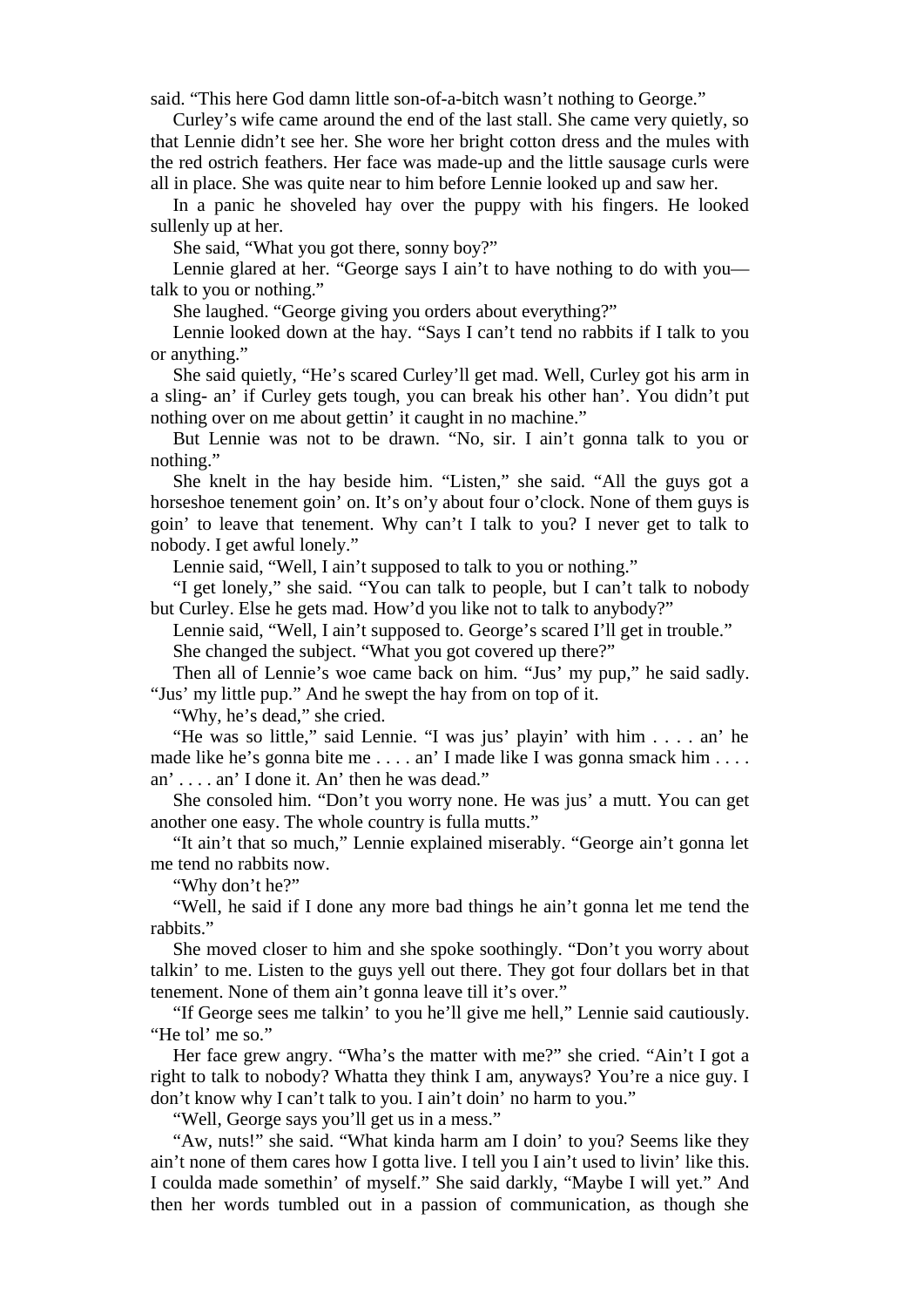said. "This here God damn little son-of-a-bitch wasn't nothing to George."

Curley's wife came around the end of the last stall. She came very quietly, so that Lennie didn't see her. She wore her bright cotton dress and the mules with the red ostrich feathers. Her face was made-up and the little sausage curls were all in place. She was quite near to him before Lennie looked up and saw her.

In a panic he shoveled hay over the puppy with his fingers. He looked sullenly up at her.

She said, "What you got there, sonny boy?"

Lennie glared at her. "George says I ain't to have nothing to do with you talk to you or nothing."

She laughed. "George giving you orders about everything?"

Lennie looked down at the hay. "Says I can't tend no rabbits if I talk to you or anything."

She said quietly, "He's scared Curley'll get mad. Well, Curley got his arm in a sling- an' if Curley gets tough, you can break his other han'. You didn't put nothing over on me about gettin' it caught in no machine."

But Lennie was not to be drawn. "No, sir. I ain't gonna talk to you or nothing."

She knelt in the hay beside him. "Listen," she said. "All the guys got a horseshoe tenement goin' on. It's on'y about four o'clock. None of them guys is goin' to leave that tenement. Why can't I talk to you? I never get to talk to nobody. I get awful lonely."

Lennie said, "Well, I ain't supposed to talk to you or nothing."

"I get lonely," she said. "You can talk to people, but I can't talk to nobody but Curley. Else he gets mad. How'd you like not to talk to anybody?"

Lennie said, "Well, I ain't supposed to. George's scared I'll get in trouble."

She changed the subject. "What you got covered up there?"

Then all of Lennie's woe came back on him. "Jus' my pup," he said sadly. "Jus' my little pup." And he swept the hay from on top of it.

"Why, he's dead," she cried.

"He was so little," said Lennie. "I was jus' playin' with him . . . . an' he made like he's gonna bite me . . . . an' I made like I was gonna smack him . . . . an' . . . . an' I done it. An' then he was dead."

She consoled him. "Don't you worry none. He was jus' a mutt. You can get another one easy. The whole country is fulla mutts."

"It ain't that so much," Lennie explained miserably. "George ain't gonna let me tend no rabbits now.

"Why don't he?"

"Well, he said if I done any more bad things he ain't gonna let me tend the rabbits."

She moved closer to him and she spoke soothingly. "Don't you worry about talkin' to me. Listen to the guys yell out there. They got four dollars bet in that tenement. None of them ain't gonna leave till it's over."

"If George sees me talkin' to you he'll give me hell," Lennie said cautiously. "He tol' me so."

Her face grew angry. "Wha's the matter with me?" she cried. "Ain't I got a right to talk to nobody? Whatta they think I am, anyways? You're a nice guy. I don't know why I can't talk to you. I ain't doin' no harm to you."

"Well, George says you'll get us in a mess."

"Aw, nuts!" she said. "What kinda harm am I doin' to you? Seems like they ain't none of them cares how I gotta live. I tell you I ain't used to livin' like this. I coulda made somethin' of myself." She said darkly, "Maybe I will yet." And then her words tumbled out in a passion of communication, as though she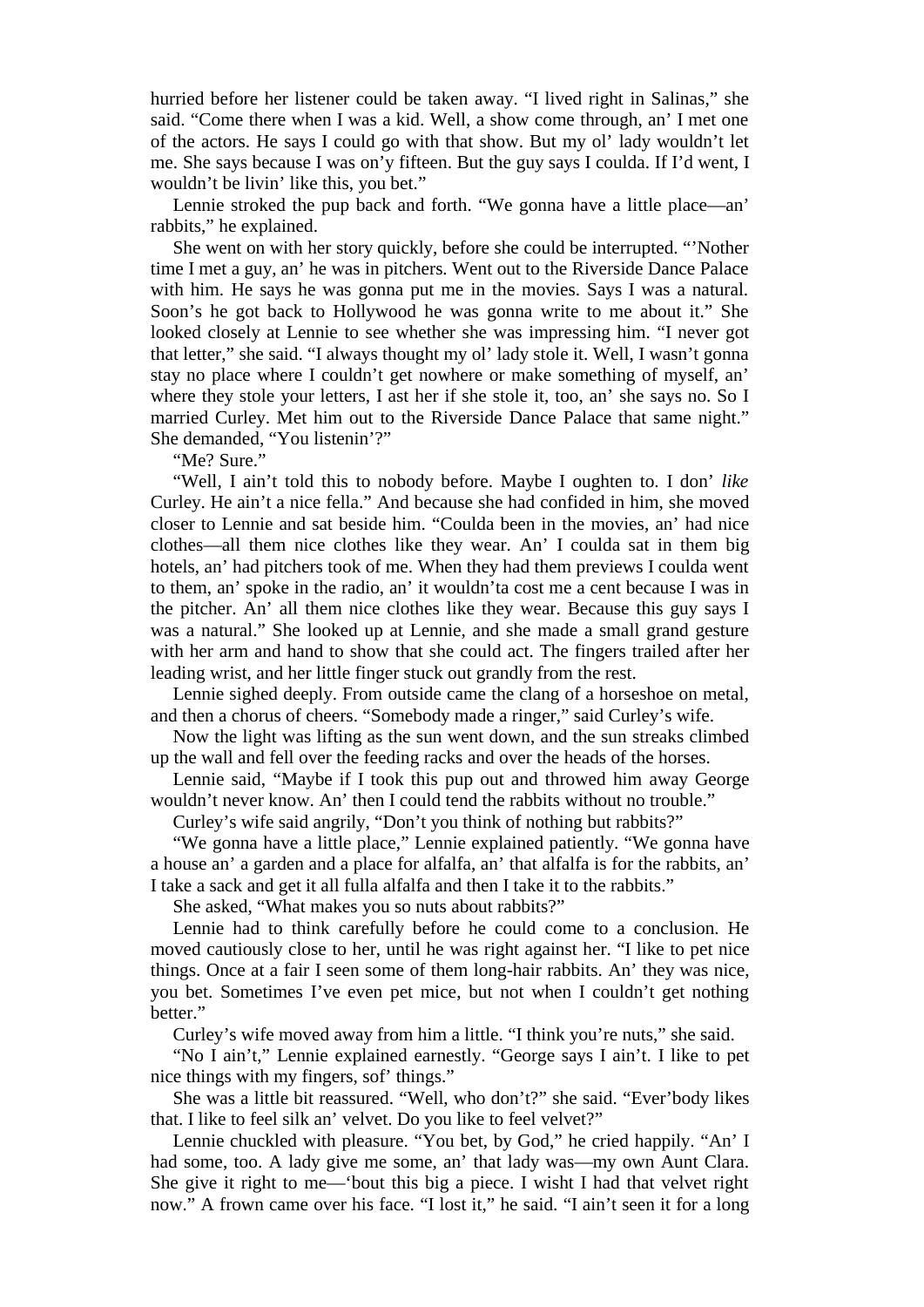hurried before her listener could be taken away. "I lived right in Salinas," she said. "Come there when I was a kid. Well, a show come through, an' I met one of the actors. He says I could go with that show. But my ol' lady wouldn't let me. She says because I was on'y fifteen. But the guy says I coulda. If I'd went, I wouldn't be livin' like this, you bet."

Lennie stroked the pup back and forth. "We gonna have a little place—an' rabbits," he explained.

She went on with her story quickly, before she could be interrupted. "'Nother time I met a guy, an' he was in pitchers. Went out to the Riverside Dance Palace with him. He says he was gonna put me in the movies. Says I was a natural. Soon's he got back to Hollywood he was gonna write to me about it." She looked closely at Lennie to see whether she was impressing him. "I never got that letter," she said. "I always thought my ol' lady stole it. Well, I wasn't gonna stay no place where I couldn't get nowhere or make something of myself, an' where they stole your letters, I ast her if she stole it, too, an' she says no. So I married Curley. Met him out to the Riverside Dance Palace that same night." She demanded, "You listenin'?"

"Me? Sure."

"Well, I ain't told this to nobody before. Maybe I oughten to. I don' *like* Curley. He ain't a nice fella." And because she had confided in him, she moved closer to Lennie and sat beside him. "Coulda been in the movies, an' had nice clothes—all them nice clothes like they wear. An' I coulda sat in them big hotels, an' had pitchers took of me. When they had them previews I coulda went to them, an' spoke in the radio, an' it wouldn'ta cost me a cent because I was in the pitcher. An' all them nice clothes like they wear. Because this guy says I was a natural." She looked up at Lennie, and she made a small grand gesture with her arm and hand to show that she could act. The fingers trailed after her leading wrist, and her little finger stuck out grandly from the rest.

Lennie sighed deeply. From outside came the clang of a horseshoe on metal, and then a chorus of cheers. "Somebody made a ringer," said Curley's wife.

Now the light was lifting as the sun went down, and the sun streaks climbed up the wall and fell over the feeding racks and over the heads of the horses.

Lennie said, "Maybe if I took this pup out and throwed him away George wouldn't never know. An' then I could tend the rabbits without no trouble."

Curley's wife said angrily, "Don't you think of nothing but rabbits?"

"We gonna have a little place," Lennie explained patiently. "We gonna have a house an' a garden and a place for alfalfa, an' that alfalfa is for the rabbits, an' I take a sack and get it all fulla alfalfa and then I take it to the rabbits."

She asked, "What makes you so nuts about rabbits?"

Lennie had to think carefully before he could come to a conclusion. He moved cautiously close to her, until he was right against her. "I like to pet nice things. Once at a fair I seen some of them long-hair rabbits. An' they was nice, you bet. Sometimes I've even pet mice, but not when I couldn't get nothing better."

Curley's wife moved away from him a little. "I think you're nuts," she said.

"No I ain't," Lennie explained earnestly. "George says I ain't. I like to pet nice things with my fingers, sof' things."

She was a little bit reassured. "Well, who don't?" she said. "Ever'body likes that. I like to feel silk an' velvet. Do you like to feel velvet?"

Lennie chuckled with pleasure. "You bet, by God," he cried happily. "An' I had some, too. A lady give me some, an' that lady was—my own Aunt Clara. She give it right to me—'bout this big a piece. I wisht I had that velvet right now." A frown came over his face. "I lost it," he said. "I ain't seen it for a long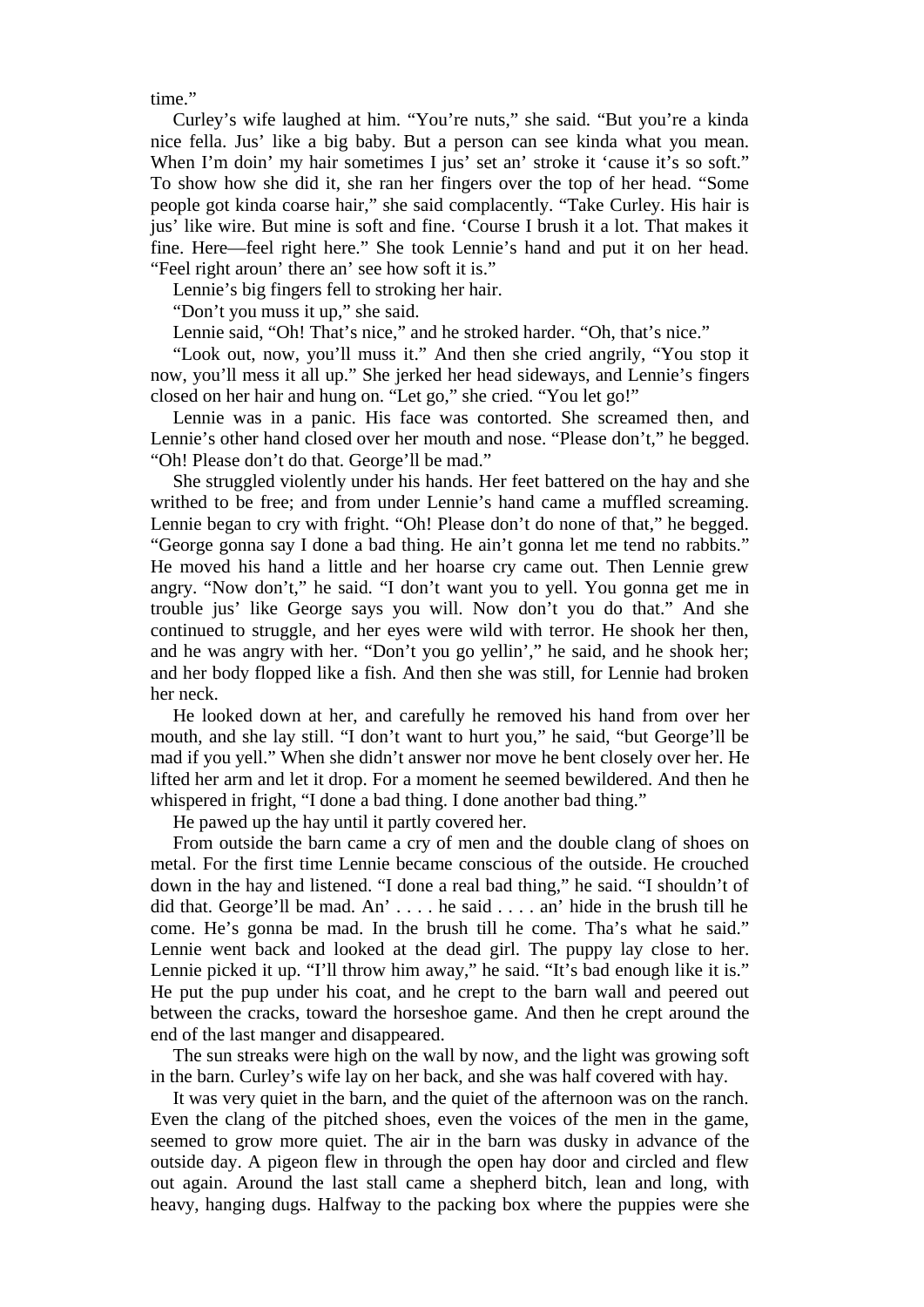time."

Curley's wife laughed at him. "You're nuts," she said. "But you're a kinda nice fella. Jus' like a big baby. But a person can see kinda what you mean. When I'm doin' my hair sometimes I jus' set an' stroke it 'cause it's so soft." To show how she did it, she ran her fingers over the top of her head. "Some people got kinda coarse hair," she said complacently. "Take Curley. His hair is jus' like wire. But mine is soft and fine. 'Course I brush it a lot. That makes it fine. Here—feel right here." She took Lennie's hand and put it on her head. "Feel right aroun' there an' see how soft it is."

Lennie's big fingers fell to stroking her hair.

"Don't you muss it up," she said.

Lennie said, "Oh! That's nice," and he stroked harder. "Oh, that's nice."

"Look out, now, you'll muss it." And then she cried angrily, "You stop it now, you'll mess it all up." She jerked her head sideways, and Lennie's fingers closed on her hair and hung on. "Let go," she cried. "You let go!"

Lennie was in a panic. His face was contorted. She screamed then, and Lennie's other hand closed over her mouth and nose. "Please don't," he begged. "Oh! Please don't do that. George'll be mad."

She struggled violently under his hands. Her feet battered on the hay and she writhed to be free; and from under Lennie's hand came a muffled screaming. Lennie began to cry with fright. "Oh! Please don't do none of that," he begged. "George gonna say I done a bad thing. He ain't gonna let me tend no rabbits." He moved his hand a little and her hoarse cry came out. Then Lennie grew angry. "Now don't," he said. "I don't want you to yell. You gonna get me in trouble jus' like George says you will. Now don't you do that." And she continued to struggle, and her eyes were wild with terror. He shook her then, and he was angry with her. "Don't you go yellin'," he said, and he shook her; and her body flopped like a fish. And then she was still, for Lennie had broken her neck.

He looked down at her, and carefully he removed his hand from over her mouth, and she lay still. "I don't want to hurt you," he said, "but George'll be mad if you yell." When she didn't answer nor move he bent closely over her. He lifted her arm and let it drop. For a moment he seemed bewildered. And then he whispered in fright, "I done a bad thing. I done another bad thing."

He pawed up the hay until it partly covered her.

From outside the barn came a cry of men and the double clang of shoes on metal. For the first time Lennie became conscious of the outside. He crouched down in the hay and listened. "I done a real bad thing," he said. "I shouldn't of did that. George'll be mad. An' . . . . he said . . . . an' hide in the brush till he come. He's gonna be mad. In the brush till he come. Tha's what he said." Lennie went back and looked at the dead girl. The puppy lay close to her. Lennie picked it up. "I'll throw him away," he said. "It's bad enough like it is." He put the pup under his coat, and he crept to the barn wall and peered out between the cracks, toward the horseshoe game. And then he crept around the end of the last manger and disappeared.

The sun streaks were high on the wall by now, and the light was growing soft in the barn. Curley's wife lay on her back, and she was half covered with hay.

It was very quiet in the barn, and the quiet of the afternoon was on the ranch. Even the clang of the pitched shoes, even the voices of the men in the game, seemed to grow more quiet. The air in the barn was dusky in advance of the outside day. A pigeon flew in through the open hay door and circled and flew out again. Around the last stall came a shepherd bitch, lean and long, with heavy, hanging dugs. Halfway to the packing box where the puppies were she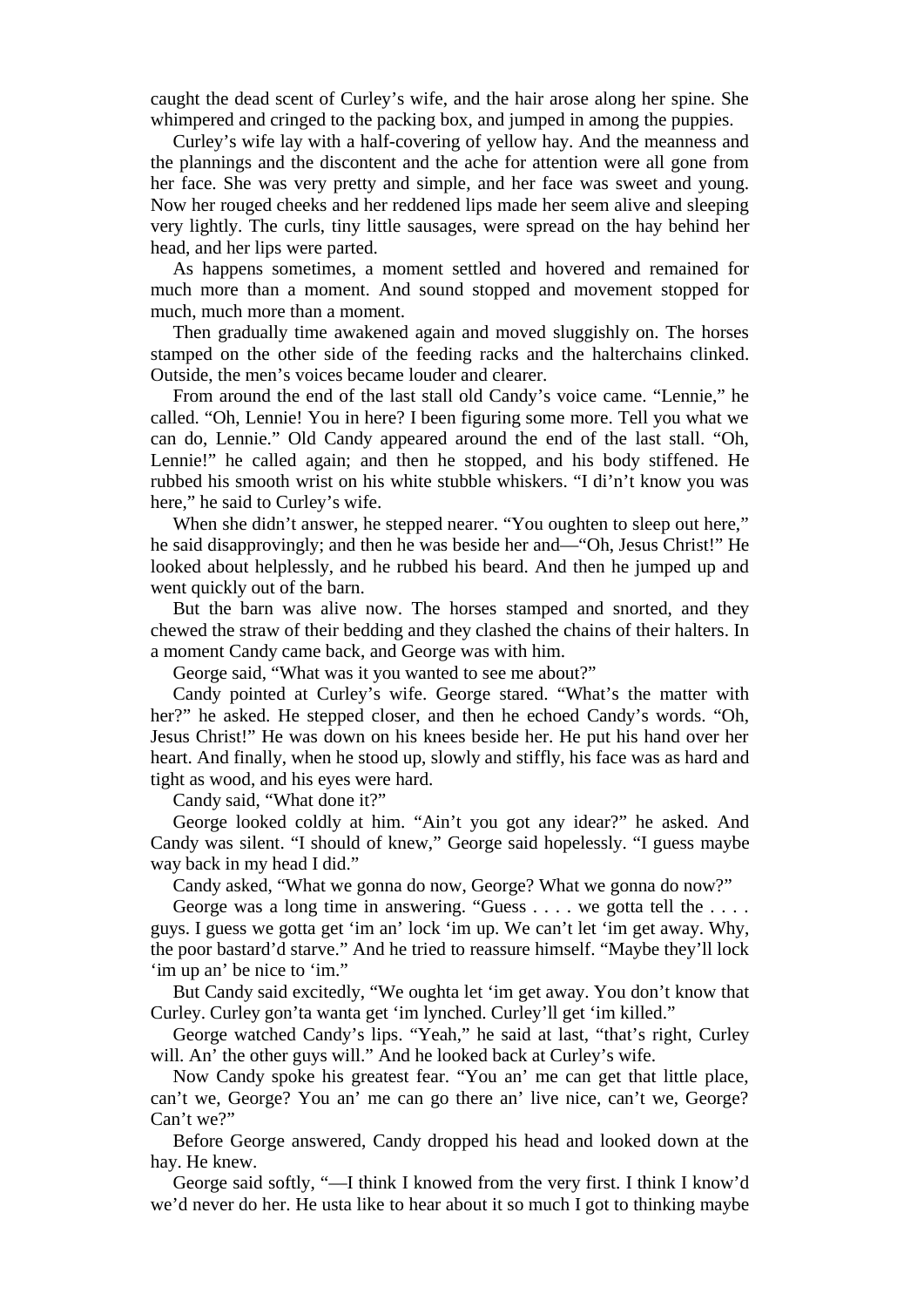caught the dead scent of Curley's wife, and the hair arose along her spine. She whimpered and cringed to the packing box, and jumped in among the puppies.

Curley's wife lay with a half-covering of yellow hay. And the meanness and the plannings and the discontent and the ache for attention were all gone from her face. She was very pretty and simple, and her face was sweet and young. Now her rouged cheeks and her reddened lips made her seem alive and sleeping very lightly. The curls, tiny little sausages, were spread on the hay behind her head, and her lips were parted.

As happens sometimes, a moment settled and hovered and remained for much more than a moment. And sound stopped and movement stopped for much, much more than a moment.

Then gradually time awakened again and moved sluggishly on. The horses stamped on the other side of the feeding racks and the halterchains clinked. Outside, the men's voices became louder and clearer.

From around the end of the last stall old Candy's voice came. "Lennie," he called. "Oh, Lennie! You in here? I been figuring some more. Tell you what we can do, Lennie." Old Candy appeared around the end of the last stall. "Oh, Lennie!" he called again; and then he stopped, and his body stiffened. He rubbed his smooth wrist on his white stubble whiskers. "I di'n't know you was here," he said to Curley's wife.

When she didn't answer, he stepped nearer. "You oughten to sleep out here," he said disapprovingly; and then he was beside her and—"Oh, Jesus Christ!" He looked about helplessly, and he rubbed his beard. And then he jumped up and went quickly out of the barn.

But the barn was alive now. The horses stamped and snorted, and they chewed the straw of their bedding and they clashed the chains of their halters. In a moment Candy came back, and George was with him.

George said, "What was it you wanted to see me about?"

Candy pointed at Curley's wife. George stared. "What's the matter with her?" he asked. He stepped closer, and then he echoed Candy's words. "Oh, Jesus Christ!" He was down on his knees beside her. He put his hand over her heart. And finally, when he stood up, slowly and stiffly, his face was as hard and tight as wood, and his eyes were hard.

Candy said, "What done it?"

George looked coldly at him. "Ain't you got any idear?" he asked. And Candy was silent. "I should of knew," George said hopelessly. "I guess maybe way back in my head I did."

Candy asked, "What we gonna do now, George? What we gonna do now?"

George was a long time in answering. "Guess . . . . we gotta tell the . . . . guys. I guess we gotta get 'im an' lock 'im up. We can't let 'im get away. Why, the poor bastard'd starve." And he tried to reassure himself. "Maybe they'll lock 'im up an' be nice to 'im."

But Candy said excitedly, "We oughta let 'im get away. You don't know that Curley. Curley gon'ta wanta get 'im lynched. Curley'll get 'im killed."

George watched Candy's lips. "Yeah," he said at last, "that's right, Curley will. An' the other guys will." And he looked back at Curley's wife.

Now Candy spoke his greatest fear. "You an' me can get that little place, can't we, George? You an' me can go there an' live nice, can't we, George? Can't we?"

Before George answered, Candy dropped his head and looked down at the hay. He knew.

George said softly, "—I think I knowed from the very first. I think I know'd we'd never do her. He usta like to hear about it so much I got to thinking maybe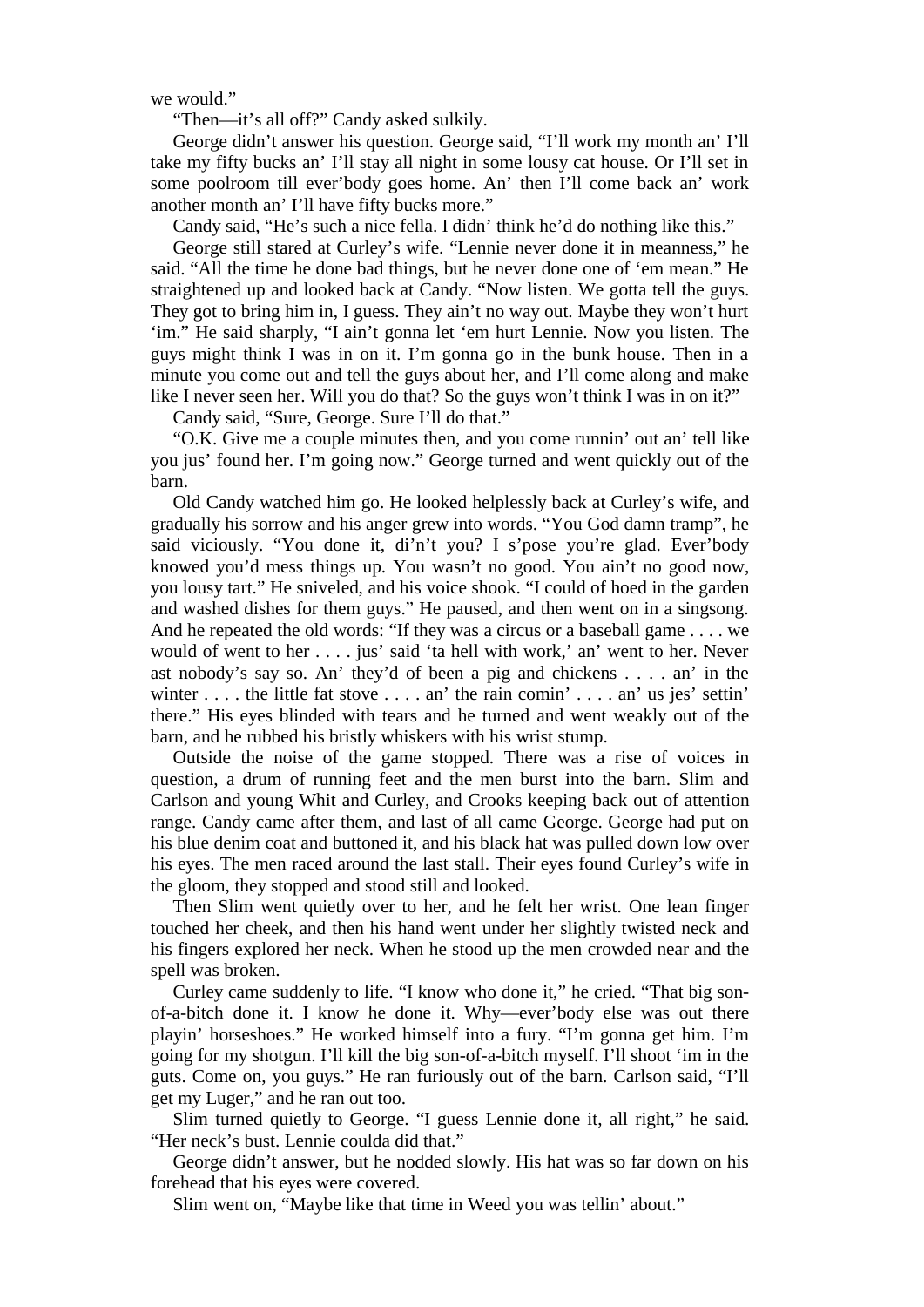we would."

"Then—it's all off?" Candy asked sulkily.

George didn't answer his question. George said, "I'll work my month an' I'll take my fifty bucks an' I'll stay all night in some lousy cat house. Or I'll set in some poolroom till ever'body goes home. An' then I'll come back an' work another month an' I'll have fifty bucks more."

Candy said, "He's such a nice fella. I didn' think he'd do nothing like this."

George still stared at Curley's wife. "Lennie never done it in meanness," he said. "All the time he done bad things, but he never done one of 'em mean." He straightened up and looked back at Candy. "Now listen. We gotta tell the guys. They got to bring him in, I guess. They ain't no way out. Maybe they won't hurt 'im." He said sharply, "I ain't gonna let 'em hurt Lennie. Now you listen. The guys might think I was in on it. I'm gonna go in the bunk house. Then in a minute you come out and tell the guys about her, and I'll come along and make like I never seen her. Will you do that? So the guys won't think I was in on it?"

Candy said, "Sure, George. Sure I'll do that."

"O.K. Give me a couple minutes then, and you come runnin' out an' tell like you jus' found her. I'm going now." George turned and went quickly out of the barn.

Old Candy watched him go. He looked helplessly back at Curley's wife, and gradually his sorrow and his anger grew into words. "You God damn tramp", he said viciously. "You done it, di'n't you? I s'pose you're glad. Ever'body knowed you'd mess things up. You wasn't no good. You ain't no good now, you lousy tart." He sniveled, and his voice shook. "I could of hoed in the garden and washed dishes for them guys." He paused, and then went on in a singsong. And he repeated the old words: "If they was a circus or a baseball game . . . . we would of went to her . . . . jus' said 'ta hell with work,' an' went to her. Never ast nobody's say so. An' they'd of been a pig and chickens . . . . an' in the winter . . . . the little fat stove . . . . an' the rain comin' . . . . an' us jes' settin' there." His eyes blinded with tears and he turned and went weakly out of the barn, and he rubbed his bristly whiskers with his wrist stump.

Outside the noise of the game stopped. There was a rise of voices in question, a drum of running feet and the men burst into the barn. Slim and Carlson and young Whit and Curley, and Crooks keeping back out of attention range. Candy came after them, and last of all came George. George had put on his blue denim coat and buttoned it, and his black hat was pulled down low over his eyes. The men raced around the last stall. Their eyes found Curley's wife in the gloom, they stopped and stood still and looked.

Then Slim went quietly over to her, and he felt her wrist. One lean finger touched her cheek, and then his hand went under her slightly twisted neck and his fingers explored her neck. When he stood up the men crowded near and the spell was broken.

Curley came suddenly to life. "I know who done it," he cried. "That big sonof-a-bitch done it. I know he done it. Why—ever'body else was out there playin' horseshoes." He worked himself into a fury. "I'm gonna get him. I'm going for my shotgun. I'll kill the big son-of-a-bitch myself. I'll shoot 'im in the guts. Come on, you guys." He ran furiously out of the barn. Carlson said, "I'll get my Luger," and he ran out too.

Slim turned quietly to George. "I guess Lennie done it, all right," he said. "Her neck's bust. Lennie coulda did that."

George didn't answer, but he nodded slowly. His hat was so far down on his forehead that his eyes were covered.

Slim went on, "Maybe like that time in Weed you was tellin' about."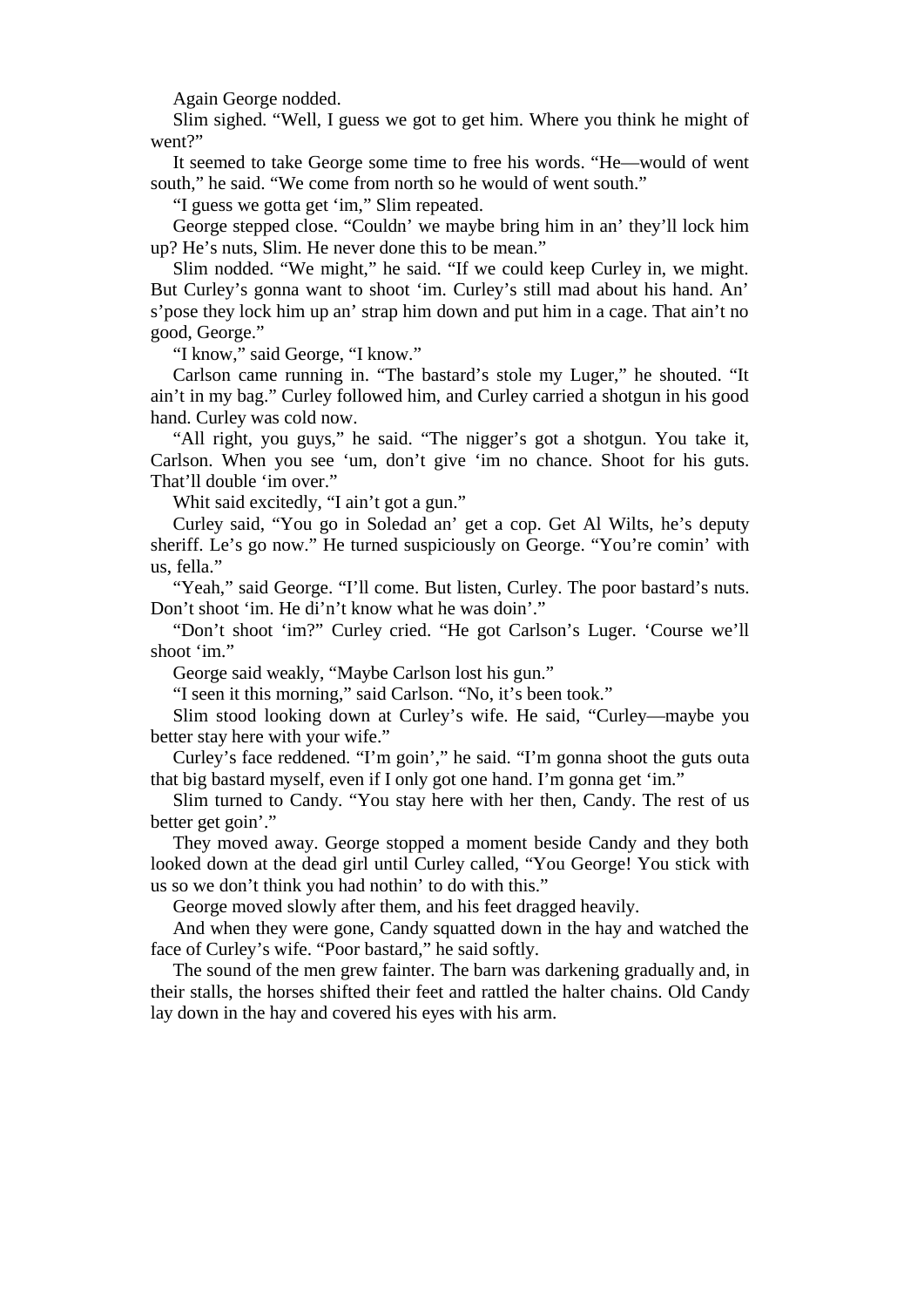Again George nodded.

Slim sighed. "Well, I guess we got to get him. Where you think he might of went?"

It seemed to take George some time to free his words. "He—would of went south," he said. "We come from north so he would of went south."

"I guess we gotta get 'im," Slim repeated.

George stepped close. "Couldn' we maybe bring him in an' they'll lock him up? He's nuts, Slim. He never done this to be mean."

Slim nodded. "We might," he said. "If we could keep Curley in, we might. But Curley's gonna want to shoot 'im. Curley's still mad about his hand. An' s'pose they lock him up an' strap him down and put him in a cage. That ain't no good, George."

"I know," said George, "I know."

Carlson came running in. "The bastard's stole my Luger," he shouted. "It ain't in my bag." Curley followed him, and Curley carried a shotgun in his good hand. Curley was cold now.

"All right, you guys," he said. "The nigger's got a shotgun. You take it, Carlson. When you see 'um, don't give 'im no chance. Shoot for his guts. That'll double 'im over."

Whit said excitedly, "I ain't got a gun."

Curley said, "You go in Soledad an' get a cop. Get Al Wilts, he's deputy sheriff. Le's go now." He turned suspiciously on George. "You're comin' with us, fella."

"Yeah," said George. "I'll come. But listen, Curley. The poor bastard's nuts. Don't shoot 'im. He di'n't know what he was doin'."

"Don't shoot 'im?" Curley cried. "He got Carlson's Luger. 'Course we'll shoot 'im."

George said weakly, "Maybe Carlson lost his gun."

"I seen it this morning," said Carlson. "No, it's been took."

Slim stood looking down at Curley's wife. He said, "Curley—maybe you better stay here with your wife."

Curley's face reddened. "I'm goin'," he said. "I'm gonna shoot the guts outa that big bastard myself, even if I only got one hand. I'm gonna get 'im."

Slim turned to Candy. "You stay here with her then, Candy. The rest of us better get goin'."

They moved away. George stopped a moment beside Candy and they both looked down at the dead girl until Curley called, "You George! You stick with us so we don't think you had nothin' to do with this."

George moved slowly after them, and his feet dragged heavily.

And when they were gone, Candy squatted down in the hay and watched the face of Curley's wife. "Poor bastard," he said softly.

The sound of the men grew fainter. The barn was darkening gradually and, in their stalls, the horses shifted their feet and rattled the halter chains. Old Candy lay down in the hay and covered his eyes with his arm.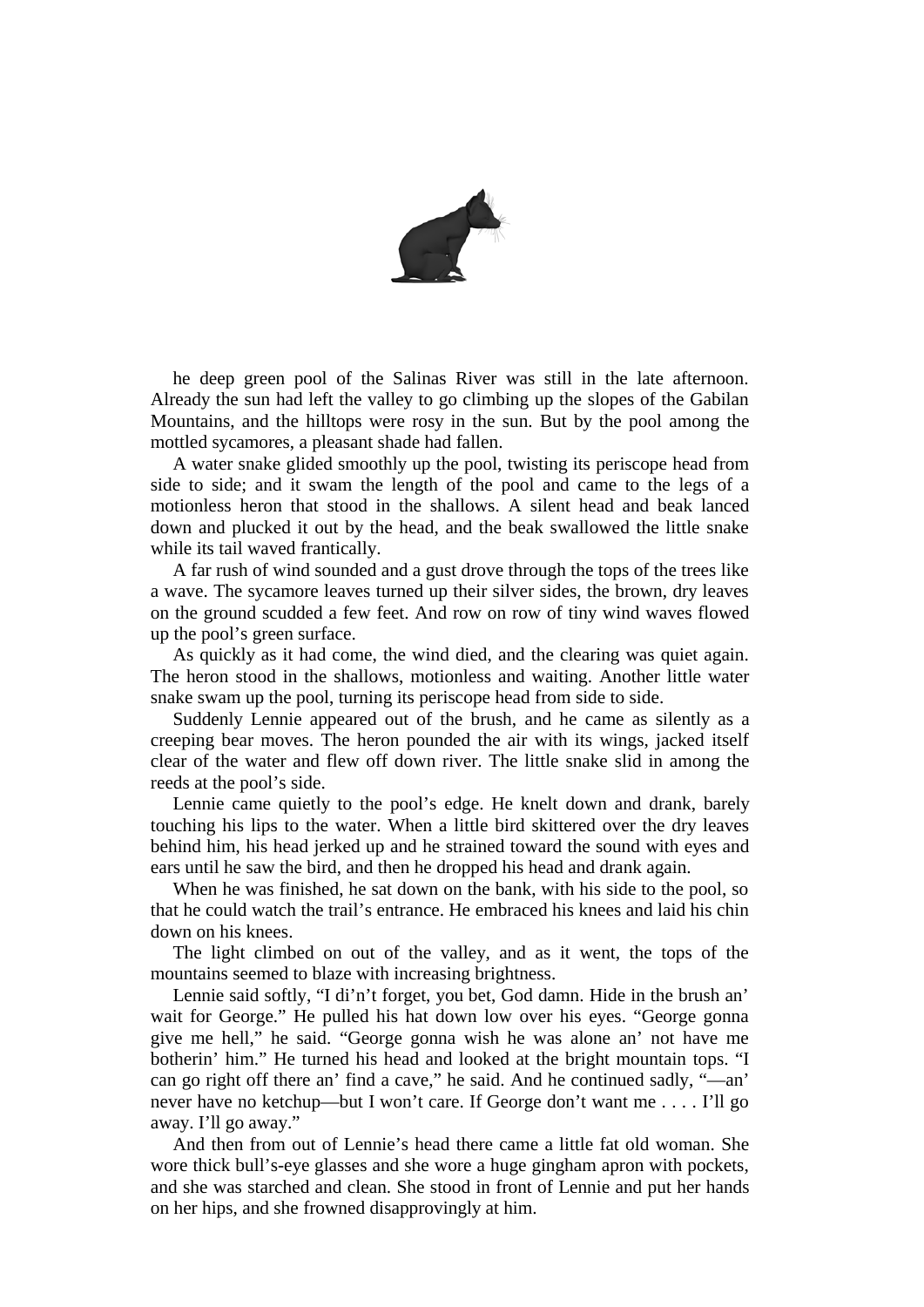

he deep green pool of the Salinas River was still in the late afternoon. Already the sun had left the valley to go climbing up the slopes of the Gabilan Mountains, and the hilltops were rosy in the sun. But by the pool among the mottled sycamores, a pleasant shade had fallen.

A water snake glided smoothly up the pool, twisting its periscope head from side to side; and it swam the length of the pool and came to the legs of a motionless heron that stood in the shallows. A silent head and beak lanced down and plucked it out by the head, and the beak swallowed the little snake while its tail waved frantically.

A far rush of wind sounded and a gust drove through the tops of the trees like a wave. The sycamore leaves turned up their silver sides, the brown, dry leaves on the ground scudded a few feet. And row on row of tiny wind waves flowed up the pool's green surface.

As quickly as it had come, the wind died, and the clearing was quiet again. The heron stood in the shallows, motionless and waiting. Another little water snake swam up the pool, turning its periscope head from side to side.

Suddenly Lennie appeared out of the brush, and he came as silently as a creeping bear moves. The heron pounded the air with its wings, jacked itself clear of the water and flew off down river. The little snake slid in among the reeds at the pool's side.

Lennie came quietly to the pool's edge. He knelt down and drank, barely touching his lips to the water. When a little bird skittered over the dry leaves behind him, his head jerked up and he strained toward the sound with eyes and ears until he saw the bird, and then he dropped his head and drank again.

When he was finished, he sat down on the bank, with his side to the pool, so that he could watch the trail's entrance. He embraced his knees and laid his chin down on his knees.

The light climbed on out of the valley, and as it went, the tops of the mountains seemed to blaze with increasing brightness.

Lennie said softly, "I di'n't forget, you bet, God damn. Hide in the brush an' wait for George." He pulled his hat down low over his eyes. "George gonna give me hell," he said. "George gonna wish he was alone an' not have me botherin' him." He turned his head and looked at the bright mountain tops. "I can go right off there an' find a cave," he said. And he continued sadly, "—an' never have no ketchup—but I won't care. If George don't want me . . . . I'll go away. I'll go away."

And then from out of Lennie's head there came a little fat old woman. She wore thick bull's-eye glasses and she wore a huge gingham apron with pockets, and she was starched and clean. She stood in front of Lennie and put her hands on her hips, and she frowned disapprovingly at him.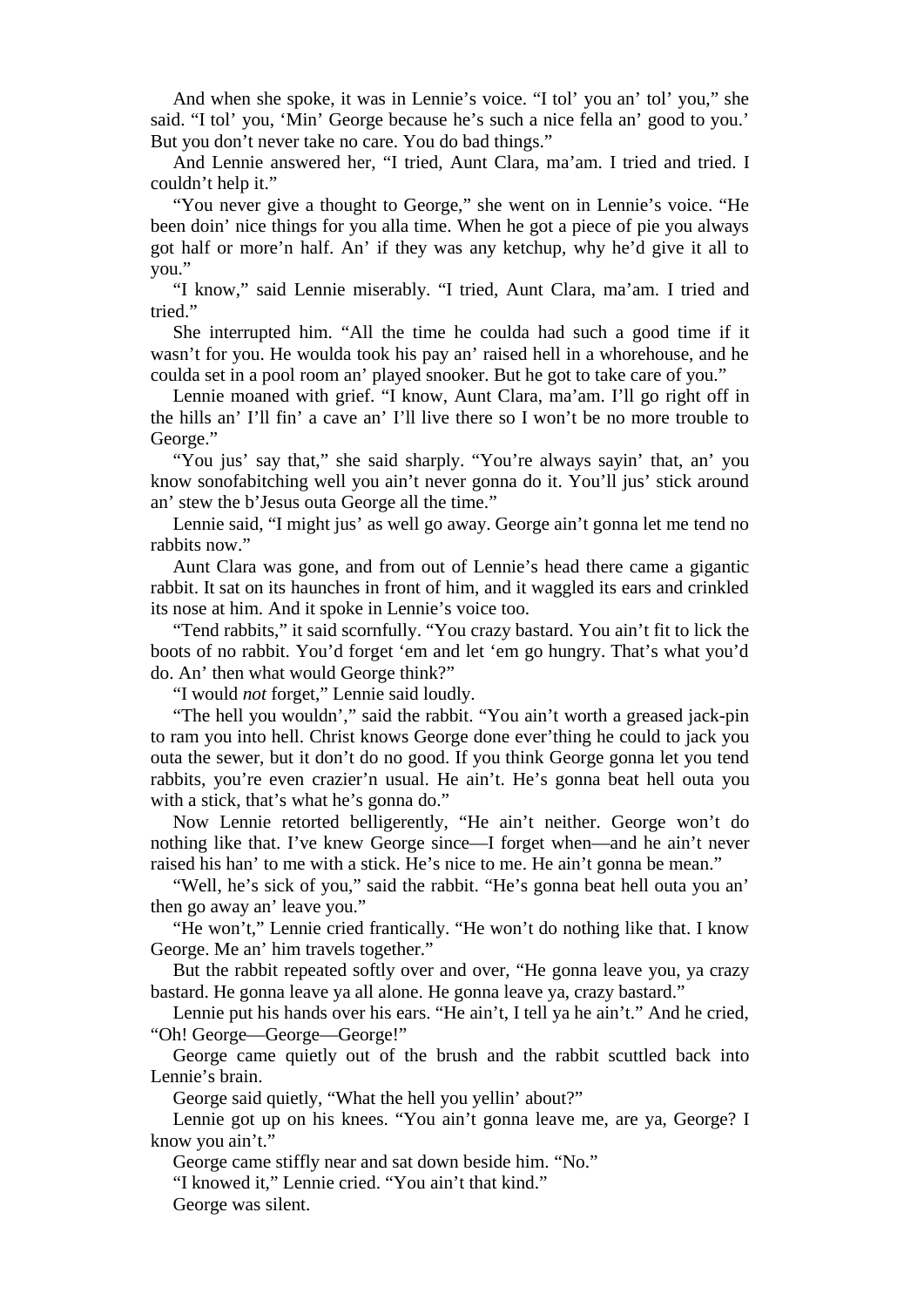And when she spoke, it was in Lennie's voice. "I tol' you an' tol' you," she said. "I tol' you, 'Min' George because he's such a nice fella an' good to you.' But you don't never take no care. You do bad things."

And Lennie answered her, "I tried, Aunt Clara, ma'am. I tried and tried. I couldn't help it."

"You never give a thought to George," she went on in Lennie's voice. "He been doin' nice things for you alla time. When he got a piece of pie you always got half or more'n half. An' if they was any ketchup, why he'd give it all to you."

"I know," said Lennie miserably. "I tried, Aunt Clara, ma'am. I tried and tried."

She interrupted him. "All the time he coulda had such a good time if it wasn't for you. He woulda took his pay an' raised hell in a whorehouse, and he coulda set in a pool room an' played snooker. But he got to take care of you."

Lennie moaned with grief. "I know, Aunt Clara, ma'am. I'll go right off in the hills an' I'll fin' a cave an' I'll live there so I won't be no more trouble to George."

"You jus' say that," she said sharply. "You're always sayin' that, an' you know sonofabitching well you ain't never gonna do it. You'll jus' stick around an' stew the b'Jesus outa George all the time."

Lennie said, "I might jus' as well go away. George ain't gonna let me tend no rabbits now."

Aunt Clara was gone, and from out of Lennie's head there came a gigantic rabbit. It sat on its haunches in front of him, and it waggled its ears and crinkled its nose at him. And it spoke in Lennie's voice too.

"Tend rabbits," it said scornfully. "You crazy bastard. You ain't fit to lick the boots of no rabbit. You'd forget 'em and let 'em go hungry. That's what you'd do. An' then what would George think?"

"I would *not* forget," Lennie said loudly.

"The hell you wouldn'," said the rabbit. "You ain't worth a greased jack-pin to ram you into hell. Christ knows George done ever'thing he could to jack you outa the sewer, but it don't do no good. If you think George gonna let you tend rabbits, you're even crazier'n usual. He ain't. He's gonna beat hell outa you with a stick, that's what he's gonna do."

Now Lennie retorted belligerently, "He ain't neither. George won't do nothing like that. I've knew George since—I forget when—and he ain't never raised his han' to me with a stick. He's nice to me. He ain't gonna be mean."

"Well, he's sick of you," said the rabbit. "He's gonna beat hell outa you an' then go away an' leave you."

"He won't," Lennie cried frantically. "He won't do nothing like that. I know George. Me an' him travels together."

But the rabbit repeated softly over and over, "He gonna leave you, ya crazy bastard. He gonna leave ya all alone. He gonna leave ya, crazy bastard."

Lennie put his hands over his ears. "He ain't, I tell ya he ain't." And he cried, "Oh! George—George—George!"

George came quietly out of the brush and the rabbit scuttled back into Lennie's brain.

George said quietly, "What the hell you yellin' about?"

Lennie got up on his knees. "You ain't gonna leave me, are ya, George? I know you ain't."

George came stiffly near and sat down beside him. "No."

"I knowed it," Lennie cried. "You ain't that kind."

George was silent.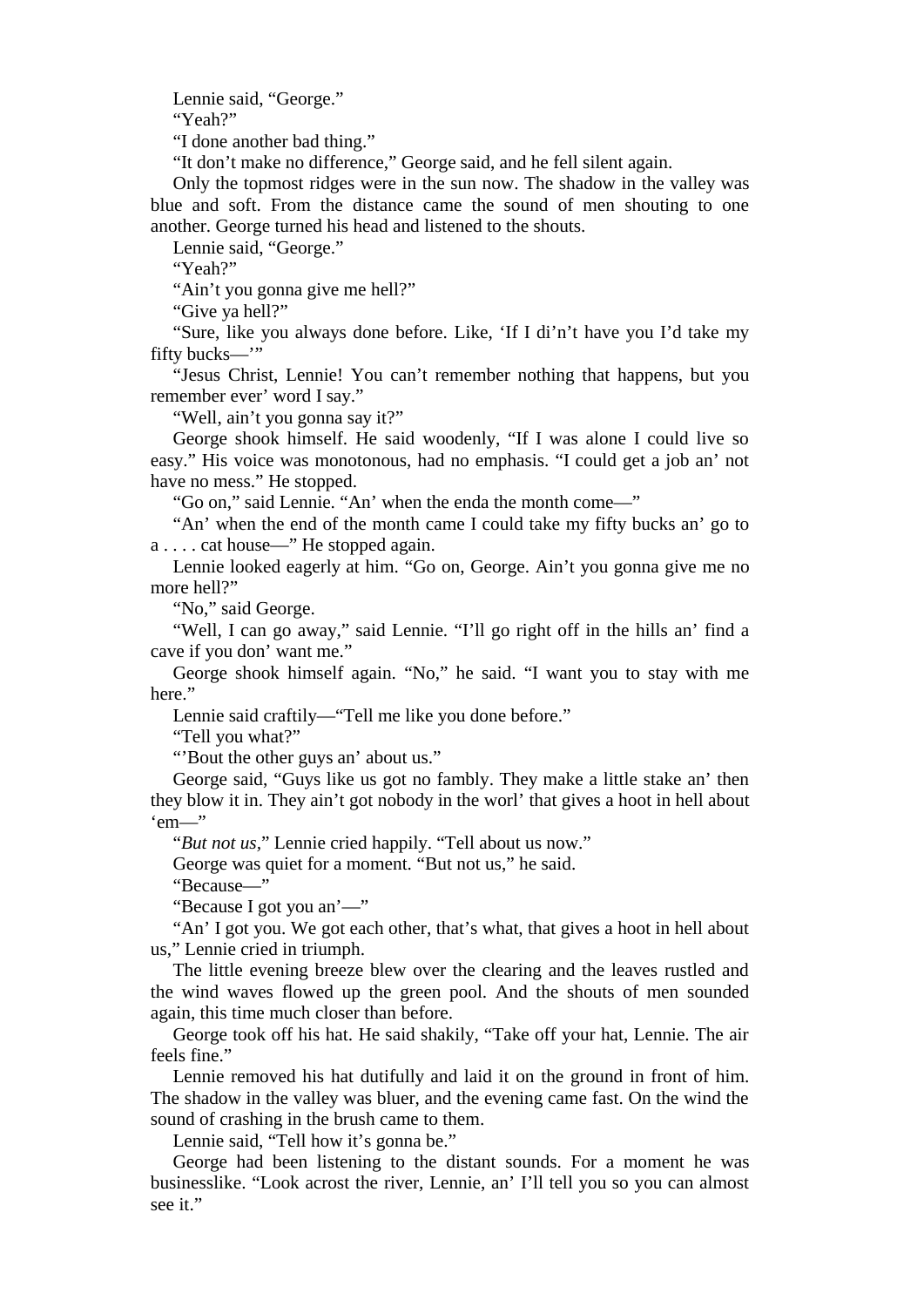Lennie said, "George."

"Yeah?"

"I done another bad thing."

"It don't make no difference," George said, and he fell silent again.

Only the topmost ridges were in the sun now. The shadow in the valley was blue and soft. From the distance came the sound of men shouting to one another. George turned his head and listened to the shouts.

Lennie said, "George."

"Yeah?"

"Ain't you gonna give me hell?"

"Give ya hell?"

"Sure, like you always done before. Like, 'If I di'n't have you I'd take my fifty bucks—"

"Jesus Christ, Lennie! You can't remember nothing that happens, but you remember ever' word I say."

"Well, ain't you gonna say it?"

George shook himself. He said woodenly, "If I was alone I could live so easy." His voice was monotonous, had no emphasis. "I could get a job an' not have no mess." He stopped.

"Go on," said Lennie. "An' when the enda the month come—"

"An' when the end of the month came I could take my fifty bucks an' go to a . . . . cat house—" He stopped again.

Lennie looked eagerly at him. "Go on, George. Ain't you gonna give me no more hell?"

"No," said George.

"Well, I can go away," said Lennie. "I'll go right off in the hills an' find a cave if you don' want me."

George shook himself again. "No," he said. "I want you to stay with me here."

Lennie said craftily—"Tell me like you done before."

"Tell you what?"

"'Bout the other guys an' about us."

George said, "Guys like us got no fambly. They make a little stake an' then they blow it in. They ain't got nobody in the worl' that gives a hoot in hell about  $"em$ "

"*But not us,*" Lennie cried happily. "Tell about us now."

George was quiet for a moment. "But not us," he said.

"Because—"

"Because I got you an'—"

"An' I got you. We got each other, that's what, that gives a hoot in hell about us," Lennie cried in triumph.

The little evening breeze blew over the clearing and the leaves rustled and the wind waves flowed up the green pool. And the shouts of men sounded again, this time much closer than before.

George took off his hat. He said shakily, "Take off your hat, Lennie. The air feels fine."

Lennie removed his hat dutifully and laid it on the ground in front of him. The shadow in the valley was bluer, and the evening came fast. On the wind the sound of crashing in the brush came to them.

Lennie said, "Tell how it's gonna be."

George had been listening to the distant sounds. For a moment he was businesslike. "Look acrost the river, Lennie, an' I'll tell you so you can almost see it."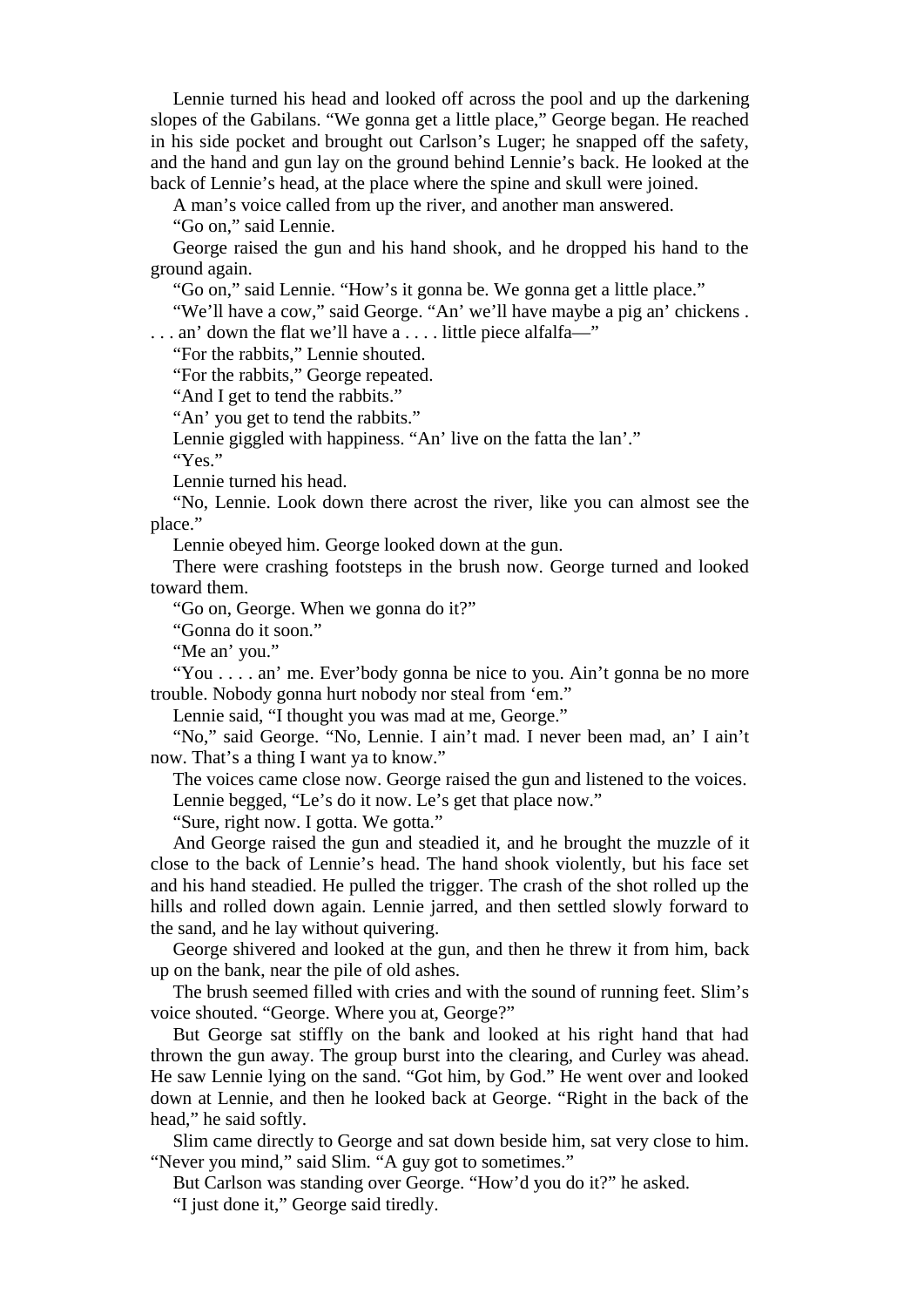Lennie turned his head and looked off across the pool and up the darkening slopes of the Gabilans. "We gonna get a little place," George began. He reached in his side pocket and brought out Carlson's Luger; he snapped off the safety, and the hand and gun lay on the ground behind Lennie's back. He looked at the back of Lennie's head, at the place where the spine and skull were joined.

A man's voice called from up the river, and another man answered.

"Go on," said Lennie.

George raised the gun and his hand shook, and he dropped his hand to the ground again.

"Go on," said Lennie. "How's it gonna be. We gonna get a little place."

"We'll have a cow," said George. "An' we'll have maybe a pig an' chickens. . . . an' down the flat we'll have a . . . . little piece alfalfa—"

"For the rabbits," Lennie shouted.

"For the rabbits," George repeated.

"And I get to tend the rabbits."

"An' you get to tend the rabbits."

Lennie giggled with happiness. "An' live on the fatta the lan'."

"Yes."

Lennie turned his head.

"No, Lennie. Look down there acrost the river, like you can almost see the place."

Lennie obeyed him. George looked down at the gun.

There were crashing footsteps in the brush now. George turned and looked toward them.

"Go on, George. When we gonna do it?"

"Gonna do it soon."

"Me an' you."

"You . . . . an' me. Ever'body gonna be nice to you. Ain't gonna be no more trouble. Nobody gonna hurt nobody nor steal from 'em."

Lennie said, "I thought you was mad at me, George."

"No," said George. "No, Lennie. I ain't mad. I never been mad, an' I ain't now. That's a thing I want ya to know."

The voices came close now. George raised the gun and listened to the voices. Lennie begged, "Le's do it now. Le's get that place now."

"Sure, right now. I gotta. We gotta."

And George raised the gun and steadied it, and he brought the muzzle of it close to the back of Lennie's head. The hand shook violently, but his face set and his hand steadied. He pulled the trigger. The crash of the shot rolled up the hills and rolled down again. Lennie jarred, and then settled slowly forward to the sand, and he lay without quivering.

George shivered and looked at the gun, and then he threw it from him, back up on the bank, near the pile of old ashes.

The brush seemed filled with cries and with the sound of running feet. Slim's voice shouted. "George. Where you at, George?"

But George sat stiffly on the bank and looked at his right hand that had thrown the gun away. The group burst into the clearing, and Curley was ahead. He saw Lennie lying on the sand. "Got him, by God." He went over and looked down at Lennie, and then he looked back at George. "Right in the back of the head," he said softly.

Slim came directly to George and sat down beside him, sat very close to him. "Never you mind," said Slim. "A guy got to sometimes."

But Carlson was standing over George. "How'd you do it?" he asked.

"I just done it," George said tiredly.